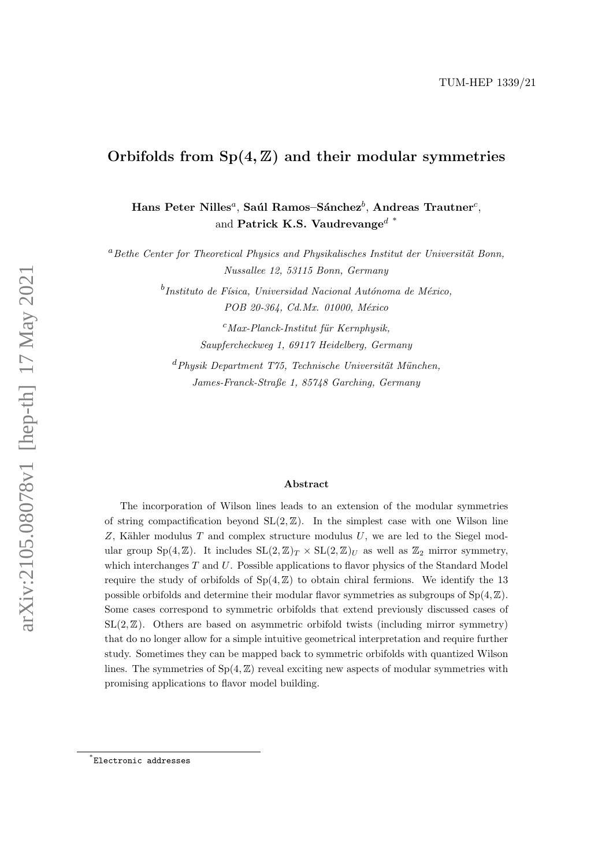# Orbifolds from  $Sp(4, \mathbb{Z})$  and their modular symmetries

Hans Peter Nilles<sup>a</sup>, Saúl Ramos–Sánchez $^b$ , Andreas Trautner $^c$ , and Patrick K.S. Vaudrevange<sup> $d^*$  $d^*$ </sup>

 $a<sup>a</sup> Bethe Center for Theoretical Physics and Physikalisches Institut der Universität Bonn,$ Nussallee 12, 53115 Bonn, Germany

> $^b$ Instituto de Física, Universidad Nacional Autónoma de México, POB 20-364, Cd.Mx. 01000, México

> > $c$ Max-Planck-Institut für Kernphysik. Saupfercheckweg 1, 69117 Heidelberg, Germany

 $d$ Physik Department T75, Technische Universität München, James-Franck-Straße 1, 85748 Garching, Germany

#### Abstract

The incorporation of Wilson lines leads to an extension of the modular symmetries of string compactification beyond  $SL(2, \mathbb{Z})$ . In the simplest case with one Wilson line  $Z$ , Kähler modulus  $T$  and complex structure modulus  $U$ , we are led to the Siegel modular group Sp(4, Z). It includes  $SL(2, \mathbb{Z})_T \times SL(2, \mathbb{Z})_U$  as well as  $\mathbb{Z}_2$  mirror symmetry, which interchanges T and U. Possible applications to flavor physics of the Standard Model require the study of orbifolds of  $Sp(4, \mathbb{Z})$  to obtain chiral fermions. We identify the 13 possible orbifolds and determine their modular flavor symmetries as subgroups of  $Sp(4, \mathbb{Z})$ . Some cases correspond to symmetric orbifolds that extend previously discussed cases of  $SL(2, \mathbb{Z})$ . Others are based on asymmetric orbifold twists (including mirror symmetry) that do no longer allow for a simple intuitive geometrical interpretation and require further study. Sometimes they can be mapped back to symmetric orbifolds with quantized Wilson lines. The symmetries of  $Sp(4, \mathbb{Z})$  reveal exciting new aspects of modular symmetries with promising applications to flavor model building.

<span id="page-0-0"></span><sup>\*</sup> [Electronic addresses](mailto:nilles@th.physik.uni-bonn.de;ramos@fisica.unam.mx;trautner@mpi-hd.mpg.de;patrick.vaudrevange@tum.de)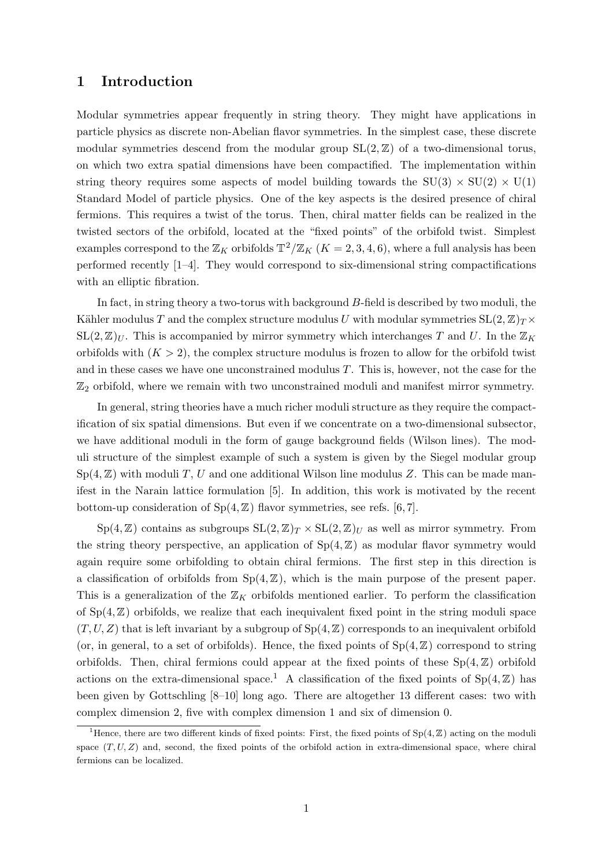# 1 Introduction

Modular symmetries appear frequently in string theory. They might have applications in particle physics as discrete non-Abelian flavor symmetries. In the simplest case, these discrete modular symmetries descend from the modular group  $SL(2, \mathbb{Z})$  of a two-dimensional torus, on which two extra spatial dimensions have been compactified. The implementation within string theory requires some aspects of model building towards the  $SU(3) \times SU(2) \times U(1)$ Standard Model of particle physics. One of the key aspects is the desired presence of chiral fermions. This requires a twist of the torus. Then, chiral matter fields can be realized in the twisted sectors of the orbifold, located at the "fixed points" of the orbifold twist. Simplest examples correspond to the  $\mathbb{Z}_K$  orbifolds  $\mathbb{T}^2/\mathbb{Z}_K$   $(K = 2, 3, 4, 6)$ , where a full analysis has been performed recently [\[1](#page-34-0)[–4\]](#page-34-1). They would correspond to six-dimensional string compactifications with an elliptic fibration.

In fact, in string theory a two-torus with background B-field is described by two moduli, the Kähler modulus T and the complex structure modulus U with modular symmetries  $SL(2, \mathbb{Z})_T \times$  $SL(2, \mathbb{Z})_U$ . This is accompanied by mirror symmetry which interchanges T and U. In the  $\mathbb{Z}_K$ orbifolds with  $(K > 2)$ , the complex structure modulus is frozen to allow for the orbifold twist and in these cases we have one unconstrained modulus T. This is, however, not the case for the  $\mathbb{Z}_2$  orbifold, where we remain with two unconstrained moduli and manifest mirror symmetry.

In general, string theories have a much richer moduli structure as they require the compactification of six spatial dimensions. But even if we concentrate on a two-dimensional subsector, we have additional moduli in the form of gauge background fields (Wilson lines). The moduli structure of the simplest example of such a system is given by the Siegel modular group  $Sp(4, \mathbb{Z})$  with moduli T, U and one additional Wilson line modulus Z. This can be made manifest in the Narain lattice formulation [\[5\]](#page-34-2). In addition, this work is motivated by the recent bottom-up consideration of  $Sp(4, \mathbb{Z})$  flavor symmetries, see refs. [\[6,](#page-34-3) [7\]](#page-34-4).

 $Sp(4, \mathbb{Z})$  contains as subgroups  $SL(2, \mathbb{Z})_T \times SL(2, \mathbb{Z})_U$  as well as mirror symmetry. From the string theory perspective, an application of  $Sp(4, \mathbb{Z})$  as modular flavor symmetry would again require some orbifolding to obtain chiral fermions. The first step in this direction is a classification of orbifolds from  $Sp(4, \mathbb{Z})$ , which is the main purpose of the present paper. This is a generalization of the  $\mathbb{Z}_K$  orbifolds mentioned earlier. To perform the classification of  $Sp(4, \mathbb{Z})$  orbifolds, we realize that each inequivalent fixed point in the string moduli space  $(T, U, Z)$  that is left invariant by a subgroup of  $Sp(4, \mathbb{Z})$  corresponds to an inequivalent orbifold (or, in general, to a set of orbifolds). Hence, the fixed points of  $Sp(4, \mathbb{Z})$  correspond to string orbifolds. Then, chiral fermions could appear at the fixed points of these  $Sp(4, \mathbb{Z})$  orbifold actions on the extra-dimensional space.<sup>[1](#page-1-0)</sup> A classification of the fixed points of  $Sp(4, \mathbb{Z})$  has been given by Gottschling [\[8](#page-34-5)[–10\]](#page-35-0) long ago. There are altogether 13 different cases: two with complex dimension 2, five with complex dimension 1 and six of dimension 0.

<span id="page-1-0"></span><sup>&</sup>lt;sup>1</sup>Hence, there are two different kinds of fixed points: First, the fixed points of  $Sp(4, \mathbb{Z})$  acting on the moduli space  $(T, U, Z)$  and, second, the fixed points of the orbifold action in extra-dimensional space, where chiral fermions can be localized.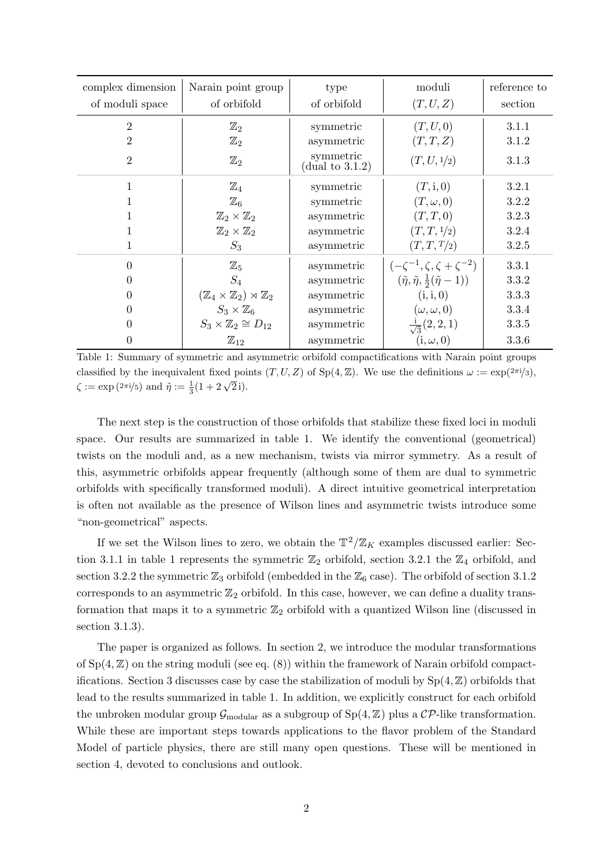| complex dimension | Narain point group                                        | type                               | moduli                                                      | reference to |
|-------------------|-----------------------------------------------------------|------------------------------------|-------------------------------------------------------------|--------------|
| of moduli space   | of orbifold                                               | of orbifold                        | (T, U, Z)                                                   | section      |
| $\overline{2}$    | $\mathbb{Z}_2$                                            | symmetric                          | (T, U, 0)                                                   | 3.1.1        |
| $\overline{2}$    | $\mathbb{Z}_2$                                            | asymmetric                         | (T, T, Z)                                                   | 3.1.2        |
| $\overline{2}$    | $\mathbb{Z}_2$                                            | symmetric<br>$($ dual to 3.1.2 $)$ | (T, U, 1/2)                                                 | 3.1.3        |
| 1                 | $\mathbb{Z}_4$                                            | symmetric                          | (T, i, 0)                                                   | 3.2.1        |
| 1                 | $\mathbb{Z}_6$                                            | symmetric                          | $(T,\omega,0)$                                              | 3.2.2        |
|                   | $\mathbb{Z}_2\times\mathbb{Z}_2$                          | asymmetric                         | (T, T, 0)                                                   | 3.2.3        |
| 1                 | $\mathbb{Z}_2\times\mathbb{Z}_2$                          | asymmetric                         | (T, T, 1/2)                                                 | 3.2.4        |
| 1                 | $S_3$                                                     | asymmetric                         | (T, T, T/2)                                                 | 3.2.5        |
| $\overline{0}$    | $\mathbb{Z}_5$                                            | asymmetric                         | $(-\zeta^{-1}, \zeta, \zeta + \zeta^{-2})$                  | 3.3.1        |
| $\boldsymbol{0}$  | $S_4$                                                     | asymmetric                         | $(\tilde{\eta}, \tilde{\eta}, \frac{1}{2}(\tilde{\eta}-1))$ | 3.3.2        |
| $\boldsymbol{0}$  | $(\mathbb{Z}_4 \times \mathbb{Z}_2) \rtimes \mathbb{Z}_2$ | asymmetric                         | (i, i, 0)                                                   | 3.3.3        |
| $\overline{0}$    | $S_3 \times \mathbb{Z}_6$                                 | asymmetric                         | $(\omega, \omega, 0)$                                       | 3.3.4        |
| $\overline{0}$    | $S_3 \times \mathbb{Z}_2 \cong D_{12}$                    | asymmetric                         | $\frac{1}{\sqrt{3}}(2,2,1)$                                 | 3.3.5        |
| $\boldsymbol{0}$  | $\mathbb{Z}_{12}$                                         | asymmetric                         | $(i, \omega, 0)$                                            | 3.3.6        |

<span id="page-2-0"></span>Table 1: Summary of symmetric and asymmetric orbifold compactifications with Narain point groups classified by the inequivalent fixed points  $(T, U, Z)$  of  $Sp(4, \mathbb{Z})$ . We use the definitions  $\omega := \exp(2\pi i/3)$ ,  $\zeta := \exp(2\pi i/5)$  and  $\tilde{\eta} := \frac{1}{3}(1 + 2\sqrt{2}i)$ .

The next step is the construction of those orbifolds that stabilize these fixed loci in moduli space. Our results are summarized in table [1.](#page-2-0) We identify the conventional (geometrical) twists on the moduli and, as a new mechanism, twists via mirror symmetry. As a result of this, asymmetric orbifolds appear frequently (although some of them are dual to symmetric orbifolds with specifically transformed moduli). A direct intuitive geometrical interpretation is often not available as the presence of Wilson lines and asymmetric twists introduce some "non-geometrical" aspects.

If we set the Wilson lines to zero, we obtain the  $\mathbb{T}^2/\mathbb{Z}_K$  examples discussed earlier: Sec-tion [3.1.1](#page-7-0) in table [1](#page-2-0) represents the symmetric  $\mathbb{Z}_2$  orbifold, section [3.2.1](#page-12-0) the  $\mathbb{Z}_4$  orbifold, and section [3.2.2](#page-14-0) the symmetric  $\mathbb{Z}_3$  orbifold (embedded in the  $\mathbb{Z}_6$  case). The orbifold of section [3.1.2](#page-9-0) corresponds to an asymmetric  $\mathbb{Z}_2$  orbifold. In this case, however, we can define a duality transformation that maps it to a symmetric  $\mathbb{Z}_2$  orbifold with a quantized Wilson line (discussed in section [3.1.3\)](#page-10-0).

The paper is organized as follows. In section [2,](#page-3-0) we introduce the modular transformations of  $Sp(4, \mathbb{Z})$  on the string moduli (see eq. [\(8\)](#page-4-0)) within the framework of Narain orbifold compact-ifications. Section [3](#page-6-0) discusses case by case the stabilization of moduli by  $Sp(4, \mathbb{Z})$  orbifolds that lead to the results summarized in table [1.](#page-2-0) In addition, we explicitly construct for each orbifold the unbroken modular group  $\mathcal{G}_{\text{modular}}$  as a subgroup of  $Sp(4, \mathbb{Z})$  plus a  $\mathcal{CP}$ -like transformation. While these are important steps towards applications to the flavor problem of the Standard Model of particle physics, there are still many open questions. These will be mentioned in section [4,](#page-25-0) devoted to conclusions and outlook.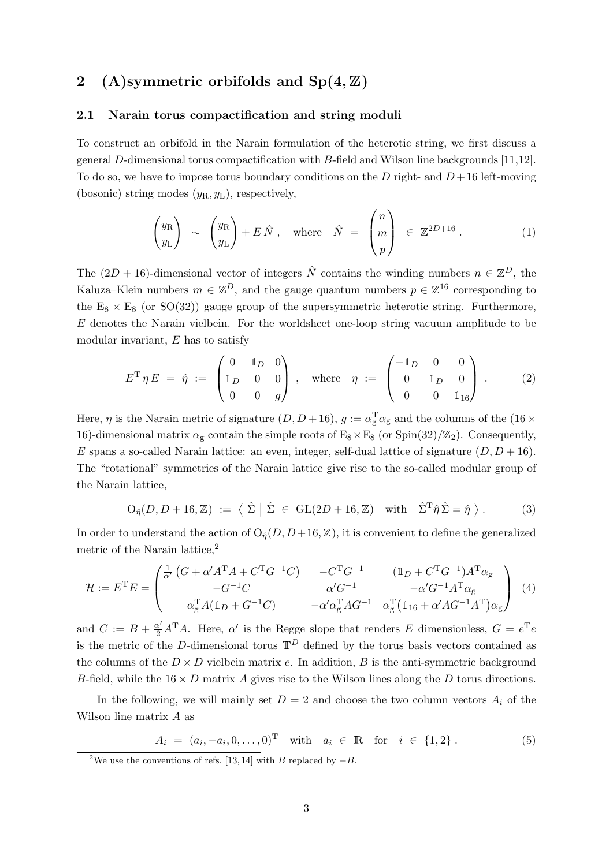# <span id="page-3-0"></span>2 (A)symmetric orbifolds and  $Sp(4, \mathbb{Z})$

#### 2.1 Narain torus compactification and string moduli

To construct an orbifold in the Narain formulation of the heterotic string, we first discuss a general D-dimensional torus compactification with B-field and Wilson line backgrounds [\[11,](#page-35-1)[12\]](#page-35-2). To do so, we have to impose torus boundary conditions on the D right- and  $D+16$  left-moving (bosonic) string modes  $(y_R, y_L)$ , respectively,

<span id="page-3-2"></span>
$$
\begin{pmatrix} y_{\rm R} \\ y_{\rm L} \end{pmatrix} \sim \begin{pmatrix} y_{\rm R} \\ y_{\rm L} \end{pmatrix} + E\,\hat{N} \,, \quad \text{where} \quad \hat{N} = \begin{pmatrix} n \\ m \\ p \end{pmatrix} \in \mathbb{Z}^{2D+16} \,.
$$
 (1)

The  $(2D + 16)$ -dimensional vector of integers  $\hat{N}$  contains the winding numbers  $n \in \mathbb{Z}^D$ , the Kaluza–Klein numbers  $m \in \mathbb{Z}^D$ , and the gauge quantum numbers  $p \in \mathbb{Z}^{16}$  corresponding to the  $E_8 \times E_8$  (or SO(32)) gauge group of the supersymmetric heterotic string. Furthermore, E denotes the Narain vielbein. For the worldsheet one-loop string vacuum amplitude to be modular invariant, E has to satisfy

$$
E^{\mathrm{T}} \eta E = \hat{\eta} := \begin{pmatrix} 0 & \mathbb{1}_D & 0 \\ \mathbb{1}_D & 0 & 0 \\ 0 & 0 & g \end{pmatrix}, \text{ where } \eta := \begin{pmatrix} -\mathbb{1}_D & 0 & 0 \\ 0 & \mathbb{1}_D & 0 \\ 0 & 0 & \mathbb{1}_{16} \end{pmatrix}. \tag{2}
$$

Here,  $\eta$  is the Narain metric of signature  $(D, D+16)$ ,  $g := \alpha_{\rm g}^{\rm T} \alpha_{\rm g}$  and the columns of the  $(16 \times$ 16)-dimensional matrix  $\alpha_{\rm g}$  contain the simple roots of  $E_8 \times E_8$  (or Spin(32)/ $\mathbb{Z}_2$ ). Consequently, E spans a so-called Narain lattice: an even, integer, self-dual lattice of signature  $(D, D + 16)$ . The "rotational" symmetries of the Narain lattice give rise to the so-called modular group of the Narain lattice,

$$
\mathrm{O}_{\hat{\eta}}(D, D + 16, \mathbb{Z}) \; := \; \langle \; \hat{\Sigma} \; | \; \hat{\Sigma} \; \in \; \mathrm{GL}(2D + 16, \mathbb{Z}) \quad \text{with} \quad \hat{\Sigma}^{\mathrm{T}} \hat{\eta} \; \hat{\Sigma} = \hat{\eta} \; \rangle \; . \tag{3}
$$

In order to understand the action of  $O_{\hat{\eta}}(D, D+16, \mathbb{Z})$ , it is convenient to define the generalized metric of the Narain lattice,<sup>[2](#page-3-1)</sup>

$$
\mathcal{H} := E^{T} E = \begin{pmatrix} \frac{1}{\alpha'} \left( G + \alpha' A^{T} A + C^{T} G^{-1} C \right) & -C^{T} G^{-1} & (\mathbb{1}_{D} + C^{T} G^{-1}) A^{T} \alpha_{g} \\ -G^{-1} C & \alpha' G^{-1} & -\alpha' G^{-1} A^{T} \alpha_{g} \\ \alpha_{g}^{T} A (\mathbb{1}_{D} + G^{-1} C) & -\alpha' \alpha_{g}^{T} A G^{-1} & \alpha_{g}^{T} (\mathbb{1}_{16} + \alpha' A G^{-1} A^{T}) \alpha_{g} \end{pmatrix} (4)
$$

and  $C := B + \frac{\alpha'}{2} A^{T} A$ . Here,  $\alpha'$  is the Regge slope that renders E dimensionless,  $G = e^{T} e$ is the metric of the D-dimensional torus  $\mathbb{T}^D$  defined by the torus basis vectors contained as the columns of the  $D \times D$  vielbein matrix e. In addition, B is the anti-symmetric background B-field, while the  $16 \times D$  matrix A gives rise to the Wilson lines along the D torus directions.

In the following, we will mainly set  $D = 2$  and choose the two column vectors  $A_i$  of the Wilson line matrix A as

$$
A_i = (a_i, -a_i, 0, \dots, 0)^{\mathrm{T}} \quad \text{with} \quad a_i \in \mathbb{R} \quad \text{for} \quad i \in \{1, 2\} \,.
$$
 (5)

<span id="page-3-1"></span><sup>&</sup>lt;sup>2</sup>We use the conventions of refs. [\[13,](#page-35-3) [14\]](#page-35-4) with B replaced by  $-B$ .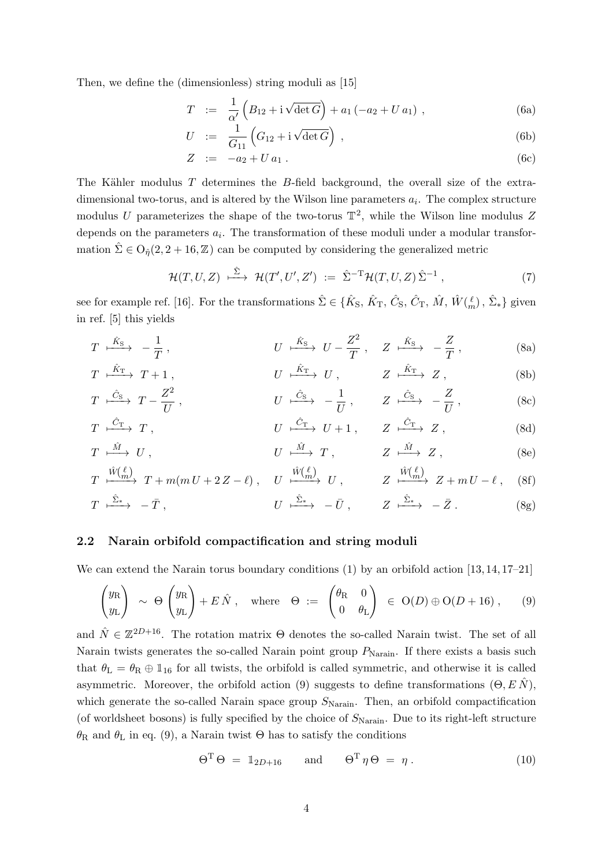Then, we define the (dimensionless) string moduli as [\[15\]](#page-35-5)

$$
T := \frac{1}{\alpha'} \left( B_{12} + i \sqrt{\det G} \right) + a_1 \left( -a_2 + U a_1 \right) , \qquad (6a)
$$

$$
U := \frac{1}{G_{11}} \left( G_{12} + i \sqrt{\det G} \right) , \qquad (6b)
$$

$$
Z := -a_2 + U a_1 . \t\t(6c)
$$

The Kähler modulus  $T$  determines the  $B$ -field background, the overall size of the extradimensional two-torus, and is altered by the Wilson line parameters  $a_i$ . The complex structure modulus U parameterizes the shape of the two-torus  $\mathbb{T}^2$ , while the Wilson line modulus Z depends on the parameters  $a_i$ . The transformation of these moduli under a modular transformation  $\Sigma \in O_{\hat{n}}(2, 2+16, \mathbb{Z})$  can be computed by considering the generalized metric

<span id="page-4-5"></span><span id="page-4-4"></span><span id="page-4-3"></span><span id="page-4-0"></span>
$$
\mathcal{H}(T,U,Z) \stackrel{\hat{\Sigma}}{\longmapsto} \mathcal{H}(T',U',Z') := \hat{\Sigma}^{-T} \mathcal{H}(T,U,Z) \hat{\Sigma}^{-1} , \qquad (7)
$$

see for example ref. [\[16\]](#page-35-6). For the transformations  $\hat{\Sigma} \in \{ \hat{K}_{S}, \hat{K}_{T}, \hat{C}_{S}, \hat{C}_{T}, \hat{M}, \hat{W}(\frac{\ell}{m}), \hat{\Sigma}_{*} \}$  given in ref. [\[5\]](#page-34-2) this yields

$$
T \xrightarrow{\hat{K}_{\text{S}}} -\frac{1}{T}, \qquad U \xrightarrow{\hat{K}_{\text{S}}} U - \frac{Z^2}{T}, \quad Z \xrightarrow{\hat{K}_{\text{S}}} -\frac{Z}{T}, \qquad (8a)
$$

$$
T \xrightarrow{\hat{K}_{\text{T}}} T + 1 , \qquad U \xrightarrow{\hat{K}_{\text{T}}} U , \qquad Z \xrightarrow{\hat{K}_{\text{T}}} Z , \qquad (8b)
$$

$$
T \xrightarrow{\hat{C}_{\text{S}}} T - \frac{Z^2}{U}, \qquad U \xrightarrow{\hat{C}_{\text{S}}} -\frac{1}{U}, \qquad Z \xrightarrow{\hat{C}_{\text{S}}} -\frac{Z}{U}, \qquad (8c)
$$

$$
T \xrightarrow{\hat{C}_{\text{T}}} T , \qquad U \xrightarrow{\hat{C}_{\text{T}}} U + 1 , \qquad Z \xrightarrow{\hat{C}_{\text{T}}} Z , \qquad (8d)
$$
  

$$
T \xrightarrow{\hat{M}} U , \qquad U \xrightarrow{\hat{M}} T , \qquad Z \xrightarrow{\hat{M}} Z , \qquad (8e)
$$

$$
T \xrightarrow{\hat{W}(\ell)} T + m(mU + 2Z - \ell) , \quad U \xrightarrow{\hat{W}(\ell)} U , \qquad Z \xrightarrow{\hat{W}(\ell)} Z + mU - \ell , \quad (8f)
$$

$$
T \xrightarrow{\hat{\Sigma}_{*}} -\bar{T}, \qquad U \xrightarrow{\hat{\Sigma}_{*}} -\bar{U}, \qquad Z \xrightarrow{\hat{\Sigma}_{*}} -\bar{Z}. \qquad (8g)
$$

#### 2.2 Narain orbifold compactification and string moduli

We can extend the Narain torus boundary conditions [\(1\)](#page-3-2) by an orbifold action [\[13,](#page-35-3) [14,](#page-35-4) [17–](#page-35-7)[21\]](#page-35-8)

<span id="page-4-1"></span>
$$
\begin{pmatrix} y_{\rm R} \\ y_{\rm L} \end{pmatrix} \sim \Theta \begin{pmatrix} y_{\rm R} \\ y_{\rm L} \end{pmatrix} + E \hat{N} , \text{ where } \Theta := \begin{pmatrix} \theta_{\rm R} & 0 \\ 0 & \theta_{\rm L} \end{pmatrix} \in O(D) \oplus O(D + 16) , \quad (9)
$$

and  $\hat{N} \in \mathbb{Z}^{2D+16}$ . The rotation matrix  $\Theta$  denotes the so-called Narain twist. The set of all Narain twists generates the so-called Narain point group  $P_{\text{Narain}}$ . If there exists a basis such that  $\theta_{\rm L} = \theta_{\rm R} \oplus \mathbb{1}_{16}$  for all twists, the orbifold is called symmetric, and otherwise it is called asymmetric. Moreover, the orbifold action [\(9\)](#page-4-1) suggests to define transformations  $(\Theta, E\hat{N})$ , which generate the so-called Narain space group  $S_{\text{Narain}}$ . Then, an orbifold compactification (of worldsheet bosons) is fully specified by the choice of  $S_{\text{Narain}}$ . Due to its right-left structure  $θ$ <sub>R</sub> and  $θ$ <sub>L</sub> in eq. [\(9\)](#page-4-1), a Narain twist  $Θ$  has to satisfy the conditions

<span id="page-4-2"></span>
$$
\Theta^{\mathrm{T}} \Theta = 1_{2D+16} \quad \text{and} \quad \Theta^{\mathrm{T}} \eta \Theta = \eta \,. \tag{10}
$$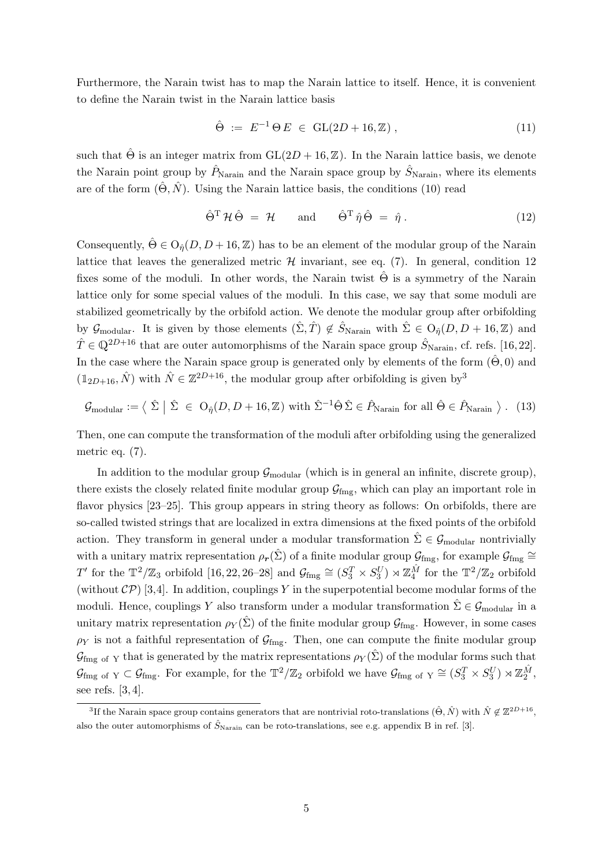Furthermore, the Narain twist has to map the Narain lattice to itself. Hence, it is convenient to define the Narain twist in the Narain lattice basis

$$
\hat{\Theta} := E^{-1} \Theta E \in GL(2D + 16, \mathbb{Z}), \tag{11}
$$

such that  $\hat{\Theta}$  is an integer matrix from  $GL(2D + 16, \mathbb{Z})$ . In the Narain lattice basis, we denote the Narain point group by  $\hat{P}_{\text{Narain}}$  and the Narain space group by  $\hat{S}_{\text{Narain}}$ , where its elements are of the form  $(\hat{\Theta}, \hat{N})$ . Using the Narain lattice basis, the conditions [\(10\)](#page-4-2) read

<span id="page-5-0"></span>
$$
\hat{\Theta}^{\mathrm{T}}\mathcal{H}\hat{\Theta} = \mathcal{H} \quad \text{and} \quad \hat{\Theta}^{\mathrm{T}}\hat{\eta}\hat{\Theta} = \hat{\eta} \,. \tag{12}
$$

Consequently,  $\hat{\Theta} \in O_{\hat{n}}(D, D + 16, \mathbb{Z})$  has to be an element of the modular group of the Narain lattice that leaves the generalized metric  $H$  invariant, see eq. [\(7\)](#page-4-3). In general, condition [12](#page-5-0) fixes some of the moduli. In other words, the Narain twist  $\hat{\Theta}$  is a symmetry of the Narain lattice only for some special values of the moduli. In this case, we say that some moduli are stabilized geometrically by the orbifold action. We denote the modular group after orbifolding by  $\mathcal{G}_{\text{modular}}$ . It is given by those elements  $(\hat{\Sigma}, \hat{T}) \notin \hat{S}_{\text{Narain}}$  with  $\hat{\Sigma} \in O_{\hat{\eta}}(D, D + 16, \mathbb{Z})$  and  $\hat{T} \in \mathbb{Q}^{2D+16}$  that are outer automorphisms of the Narain space group  $\hat{S}_{\text{Narain}}$ , cf. refs. [\[16,](#page-35-6) [22\]](#page-35-9). In the case where the Narain space group is generated only by elements of the form  $(\hat{\Theta}, 0)$  and  $(1_{2D+16}, \hat{N})$  with  $\hat{N} \in \mathbb{Z}^{2D+16}$ , the modular group after orbifolding is given by<sup>[3](#page-5-1)</sup>

<span id="page-5-2"></span>
$$
\mathcal{G}_{\text{modular}} := \langle \hat{\Sigma} \mid \hat{\Sigma} \in O_{\hat{\eta}}(D, D + 16, \mathbb{Z}) \text{ with } \hat{\Sigma}^{-1} \hat{\Theta} \hat{\Sigma} \in \hat{P}_{\text{Narain}} \text{ for all } \hat{\Theta} \in \hat{P}_{\text{Narain}} \rangle. \tag{13}
$$

Then, one can compute the transformation of the moduli after orbifolding using the generalized metric eq. [\(7\)](#page-4-3).

In addition to the modular group  $\mathcal{G}_{\text{modular}}$  (which is in general an infinite, discrete group), there exists the closely related finite modular group  $\mathcal{G}_{\text{fmg}}$ , which can play an important role in flavor physics  $[23-25]$  $[23-25]$ . This group appears in string theory as follows: On orbifolds, there are so-called twisted strings that are localized in extra dimensions at the fixed points of the orbifold action. They transform in general under a modular transformation  $\hat{\Sigma} \in \mathcal{G}_{\text{modular}}$  nontrivially with a unitary matrix representation  $\rho_r(\hat{\Sigma})$  of a finite modular group  $\mathcal{G}_{\text{fmg}}$ , for example  $\mathcal{G}_{\text{fmg}} \cong$ T' for the  $\mathbb{T}^2/\mathbb{Z}_3$  orbifold [\[16,](#page-35-6) [22,](#page-35-9) [26–](#page-36-0)[28\]](#page-36-1) and  $\mathcal{G}_{\text{fmg}} \cong (S_3^T \times S_3^U) \rtimes \mathbb{Z}_4^{\hat{M}}$  for the  $\mathbb{T}^2/\mathbb{Z}_2$  orbifold (without  $\mathcal{CP}$ ) [\[3,](#page-34-6)[4\]](#page-34-1). In addition, couplings Y in the superpotential become modular forms of the moduli. Hence, couplings Y also transform under a modular transformation  $\hat{\Sigma} \in \mathcal{G}_{\text{modular}}$  in a unitary matrix representation  $\rho_Y(\hat{\Sigma})$  of the finite modular group  $\mathcal{G}_{\text{fmg}}$ . However, in some cases  $\rho_Y$  is not a faithful representation of  $\mathcal{G}_{\text{fmg}}$ . Then, one can compute the finite modular group  $\mathcal{G}_{\text{fmg of Y}}$  that is generated by the matrix representations  $\rho_Y(\Sigma)$  of the modular forms such that  $\mathcal{G}_{\text{fmg of Y}} \subset \mathcal{G}_{\text{fmg}}$ . For example, for the  $\mathbb{T}^2/\mathbb{Z}_2$  orbifold we have  $\mathcal{G}_{\text{fmg of Y}} \cong (S_3^T \times S_3^U) \rtimes \mathbb{Z}_2^{\hat{M}}$ , see refs. [\[3,](#page-34-6) [4\]](#page-34-1).

<span id="page-5-1"></span><sup>&</sup>lt;sup>3</sup>If the Narain space group contains generators that are nontrivial roto-translations  $(\hat{\Theta}, \hat{N})$  with  $\hat{N} \notin \mathbb{Z}^{2D+16}$ , also the outer automorphisms of  $\hat{S}_{\text{Narain}}$  can be roto-translations, see e.g. appendix B in ref. [\[3\]](#page-34-6).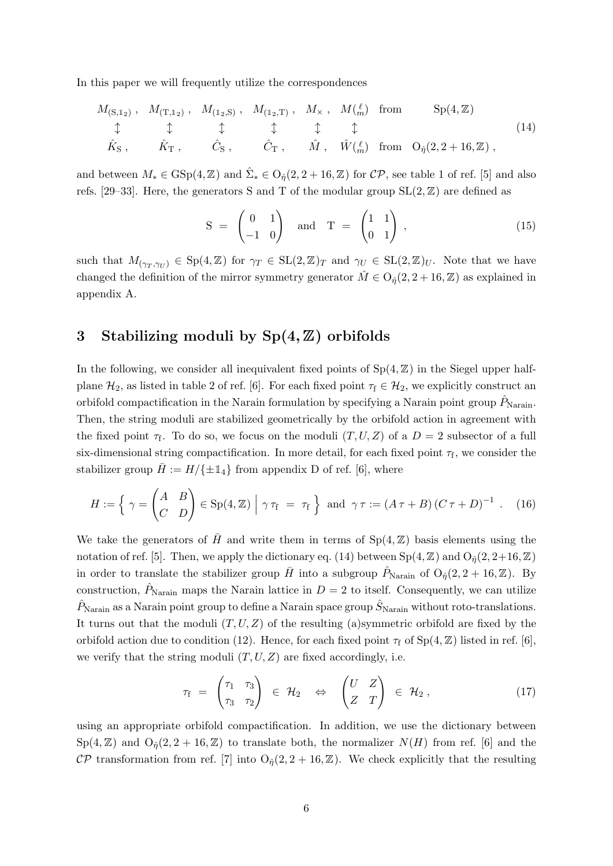In this paper we will frequently utilize the correspondences

<span id="page-6-1"></span>
$$
M_{(\mathbf{S},\mathbf{1}_2)}, M_{(\mathbf{T},\mathbf{1}_2)}, M_{(\mathbf{1}_2,\mathbf{S})}, M_{(\mathbf{1}_2,\mathbf{T})}, M_{\times}, M_{(\stackrel{\ell}{m})} \text{ from } \text{Sp}(4,\mathbb{Z})
$$
  
\n
$$
\updownarrow \qquad \updownarrow \qquad \updownarrow \qquad \updownarrow \qquad \updownarrow \qquad \updownarrow \qquad (14)
$$
  
\n
$$
\hat{K}_{\mathbf{S}}, \qquad \hat{K}_{\mathbf{T}}, \qquad \hat{C}_{\mathbf{S}}, \qquad \hat{C}_{\mathbf{T}}, \qquad \hat{M}, \qquad \hat{W}(\stackrel{\ell}{m}) \text{ from } O_{\hat{\eta}}(2,2+16,\mathbb{Z}),
$$

and between  $M_* \in \text{GSp}(4,\mathbb{Z})$  and  $\hat{\Sigma}_* \in \text{O}_{\hat{\eta}}(2,2+16,\mathbb{Z})$  for  $\mathcal{CP}$ , see table 1 of ref. [\[5\]](#page-34-2) and also refs. [\[29–](#page-36-2)[33\]](#page-36-3). Here, the generators S and T of the modular group  $SL(2, \mathbb{Z})$  are defined as

$$
S = \begin{pmatrix} 0 & 1 \\ -1 & 0 \end{pmatrix} \quad \text{and} \quad T = \begin{pmatrix} 1 & 1 \\ 0 & 1 \end{pmatrix}, \tag{15}
$$

such that  $M_{(\gamma_T,\gamma_U)} \in \text{Sp}(4,\mathbb{Z})$  for  $\gamma_T \in \text{SL}(2,\mathbb{Z})_T$  and  $\gamma_U \in \text{SL}(2,\mathbb{Z})_U$ . Note that we have changed the definition of the mirror symmetry generator  $\hat{M} \in O_{\hat{n}}(2, 2+16, \mathbb{Z})$  as explained in appendix [A.](#page-28-0)

# <span id="page-6-0"></span>3 Stabilizing moduli by  $Sp(4, \mathbb{Z})$  orbifolds

In the following, we consider all inequivalent fixed points of  $Sp(4, \mathbb{Z})$  in the Siegel upper halfplane  $\mathcal{H}_2$ , as listed in table 2 of ref. [\[6\]](#page-34-3). For each fixed point  $\tau_f \in \mathcal{H}_2$ , we explicitly construct an orbifold compactification in the Narain formulation by specifying a Narain point group  $\hat{P}_{\text{Narian}}$ . Then, the string moduli are stabilized geometrically by the orbifold action in agreement with the fixed point  $\tau_f$ . To do so, we focus on the moduli  $(T, U, Z)$  of a  $D = 2$  subsector of a full six-dimensional string compactification. In more detail, for each fixed point  $\tau_f$ , we consider the stabilizer group  $\bar{H} := H/\{\pm 1\}$  from appendix D of ref. [\[6\]](#page-34-3), where

$$
H := \left\{ \gamma = \begin{pmatrix} A & B \\ C & D \end{pmatrix} \in \text{Sp}(4, \mathbb{Z}) \; \middle| \; \gamma \tau_{\text{f}} = \tau_{\text{f}} \right\} \text{ and } \gamma \tau := \left( A \tau + B \right) \left( C \tau + D \right)^{-1}. \tag{16}
$$

We take the generators of  $\bar{H}$  and write them in terms of Sp(4,  $\mathbb{Z}$ ) basis elements using the notation of ref. [\[5\]](#page-34-2). Then, we apply the dictionary eq. [\(14\)](#page-6-1) between  $Sp(4, \mathbb{Z})$  and  $O_{\hat{n}}(2, 2+16, \mathbb{Z})$ in order to translate the stabilizer group  $\bar{H}$  into a subgroup  $\hat{P}_{\text{Narain}}$  of  $O_{\hat{\eta}}(2, 2 + 16, \mathbb{Z})$ . By construction,  $\hat{P}_{\text{Narain}}$  maps the Narain lattice in  $D = 2$  to itself. Consequently, we can utilize  $\hat{P}_{\text{Narain}}$  as a Narain point group to define a Narain space group  $\hat{S}_{\text{Narain}}$  without roto-translations. It turns out that the moduli  $(T, U, Z)$  of the resulting (a)symmetric orbifold are fixed by the orbifold action due to condition [\(12\)](#page-5-0). Hence, for each fixed point  $\tau_f$  of  $Sp(4, \mathbb{Z})$  listed in ref. [\[6\]](#page-34-3), we verify that the string moduli  $(T, U, Z)$  are fixed accordingly, i.e.

$$
\tau_{f} = \begin{pmatrix} \tau_{1} & \tau_{3} \\ \tau_{3} & \tau_{2} \end{pmatrix} \in \mathcal{H}_{2} \quad \Leftrightarrow \quad \begin{pmatrix} U & Z \\ Z & T \end{pmatrix} \in \mathcal{H}_{2}, \tag{17}
$$

using an appropriate orbifold compactification. In addition, we use the dictionary between  $Sp(4, \mathbb{Z})$  and  $O_{\hat{n}}(2, 2 + 16, \mathbb{Z})$  to translate both, the normalizer  $N(H)$  from ref. [\[6\]](#page-34-3) and the CP transformation from ref. [\[7\]](#page-34-4) into  $O_{\hat{\eta}}(2, 2+16, \mathbb{Z})$ . We check explicitly that the resulting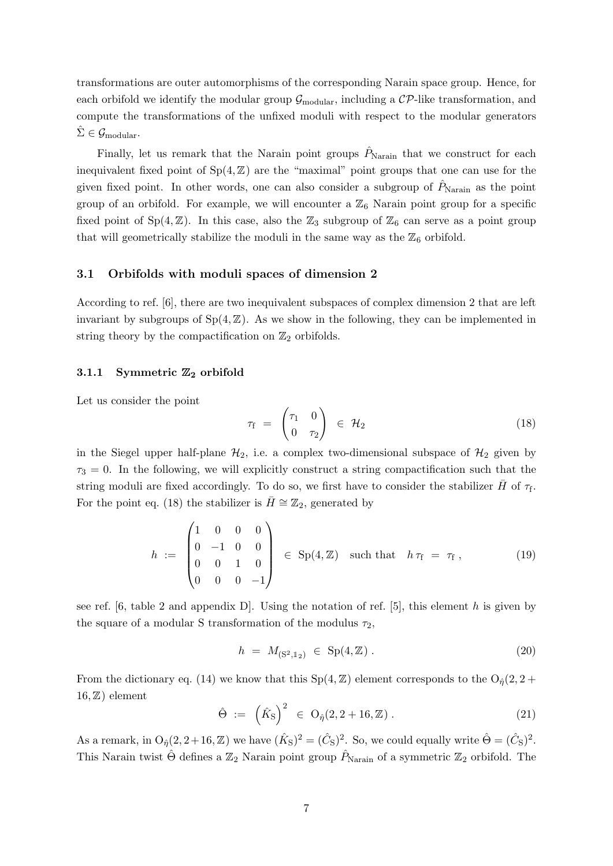transformations are outer automorphisms of the corresponding Narain space group. Hence, for each orbifold we identify the modular group  $\mathcal{G}_{\text{modular}}$ , including a  $\mathcal{CP}$ -like transformation, and compute the transformations of the unfixed moduli with respect to the modular generators  $\hat{\Sigma} \in \mathcal{G}_{\text{modular}}$ .

Finally, let us remark that the Narain point groups  $\hat{P}_{\text{Narain}}$  that we construct for each inequivalent fixed point of  $Sp(4, \mathbb{Z})$  are the "maximal" point groups that one can use for the given fixed point. In other words, one can also consider a subgroup of  $P_{\text{Narain}}$  as the point group of an orbifold. For example, we will encounter a  $\mathbb{Z}_6$  Narain point group for a specific fixed point of  $Sp(4, \mathbb{Z})$ . In this case, also the  $\mathbb{Z}_3$  subgroup of  $\mathbb{Z}_6$  can serve as a point group that will geometrically stabilize the moduli in the same way as the  $\mathbb{Z}_6$  orbifold.

#### 3.1 Orbifolds with moduli spaces of dimension 2

According to ref. [\[6\]](#page-34-3), there are two inequivalent subspaces of complex dimension 2 that are left invariant by subgroups of  $Sp(4, \mathbb{Z})$ . As we show in the following, they can be implemented in string theory by the compactification on  $\mathbb{Z}_2$  orbifolds.

#### <span id="page-7-0"></span>3.1.1 Symmetric  $\mathbb{Z}_2$  orbifold

Let us consider the point

<span id="page-7-1"></span>
$$
\tau_{\rm f} = \begin{pmatrix} \tau_1 & 0 \\ 0 & \tau_2 \end{pmatrix} \in \mathcal{H}_2 \tag{18}
$$

in the Siegel upper half-plane  $\mathcal{H}_2$ , i.e. a complex two-dimensional subspace of  $\mathcal{H}_2$  given by  $\tau_3 = 0$ . In the following, we will explicitly construct a string compactification such that the string moduli are fixed accordingly. To do so, we first have to consider the stabilizer  $\bar{H}$  of  $\tau_{\mathrm{f}}$ . For the point eq. [\(18\)](#page-7-1) the stabilizer is  $\bar{H} \cong \mathbb{Z}_2$ , generated by

$$
h := \begin{pmatrix} 1 & 0 & 0 & 0 \\ 0 & -1 & 0 & 0 \\ 0 & 0 & 1 & 0 \\ 0 & 0 & 0 & -1 \end{pmatrix} \in Sp(4, \mathbb{Z}) \text{ such that } h\tau_f = \tau_f, \qquad (19)
$$

see ref.  $[6,$  table 2 and appendix D. Using the notation of ref.  $[5]$ , this element h is given by the square of a modular S transformation of the modulus  $\tau_2$ ,

$$
h = M_{(S^2, 1_2)} \in Sp(4, \mathbb{Z}). \tag{20}
$$

From the dictionary eq. [\(14\)](#page-6-1) we know that this  $Sp(4, \mathbb{Z})$  element corresponds to the  $O_{\hat{\eta}}(2, 2 +$  $16, Z$ ) element

<span id="page-7-2"></span>
$$
\hat{\Theta} := \left(\hat{K}_{\rm S}\right)^2 \in O_{\hat{\eta}}(2, 2 + 16, \mathbb{Z}). \tag{21}
$$

As a remark, in  $O_{\hat{\eta}}(2, 2+16, \mathbb{Z})$  we have  $(\hat{K}_{S})^2 = (\hat{C}_{S})^2$ . So, we could equally write  $\hat{\Theta} = (\hat{C}_{S})^2$ . This Narain twist  $\hat{\Theta}$  defines a  $\mathbb{Z}_2$  Narain point group  $\hat{P}_{\text{Narain}}$  of a symmetric  $\mathbb{Z}_2$  orbifold. The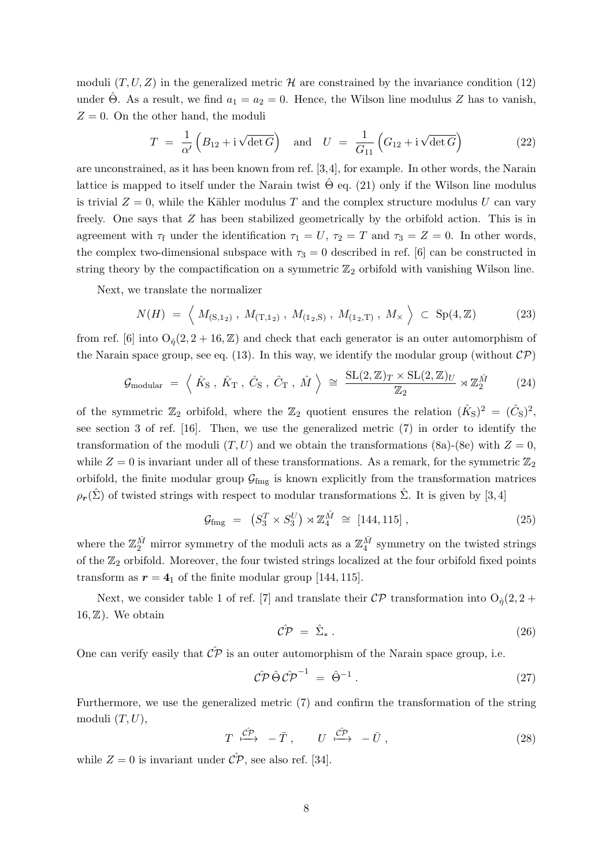moduli  $(T, U, Z)$  in the generalized metric H are constrained by the invariance condition [\(12\)](#page-5-0) under Θ. As a result, we find  $a_1 = a_2 = 0$ . Hence, the Wilson line modulus Z has to vanish,  $Z = 0$ . On the other hand, the moduli

$$
T = \frac{1}{\alpha'} \left( B_{12} + i \sqrt{\det G} \right) \quad \text{and} \quad U = \frac{1}{G_{11}} \left( G_{12} + i \sqrt{\det G} \right) \tag{22}
$$

are unconstrained, as it has been known from ref. [\[3,](#page-34-6)[4\]](#page-34-1), for example. In other words, the Narain lattice is mapped to itself under the Narain twist  $\hat{\Theta}$  eq. [\(21\)](#page-7-2) only if the Wilson line modulus is trivial  $Z = 0$ , while the Kähler modulus T and the complex structure modulus U can vary freely. One says that Z has been stabilized geometrically by the orbifold action. This is in agreement with  $\tau_f$  under the identification  $\tau_1 = U$ ,  $\tau_2 = T$  and  $\tau_3 = Z = 0$ . In other words, the complex two-dimensional subspace with  $\tau_3 = 0$  described in ref. [\[6\]](#page-34-3) can be constructed in string theory by the compactification on a symmetric  $\mathbb{Z}_2$  orbifold with vanishing Wilson line.

Next, we translate the normalizer

$$
N(H) = \left\langle M_{(S,1_2)}, M_{(T,1_2)}, M_{(1_2,S)}, M_{(1_2,T)}, M_{\times} \right\rangle \subset Sp(4,\mathbb{Z}) \tag{23}
$$

from ref. [\[6\]](#page-34-3) into  $O_{\hat{n}}(2, 2 + 16, \mathbb{Z})$  and check that each generator is an outer automorphism of the Narain space group, see eq. [\(13\)](#page-5-2). In this way, we identify the modular group (without  $\mathcal{CP}$ )

$$
\mathcal{G}_{\text{modular}} = \left\langle \hat{K}_{\text{S}} \,, \, \hat{K}_{\text{T}} \,, \, \hat{C}_{\text{S}} \,, \, \hat{C}_{\text{T}} \,, \, \hat{M} \right\rangle \, \cong \, \frac{\text{SL}(2, \mathbb{Z})_T \times \text{SL}(2, \mathbb{Z})_U}{\mathbb{Z}_2} \rtimes \mathbb{Z}_2^{\hat{M}} \tag{24}
$$

of the symmetric  $\mathbb{Z}_2$  orbifold, where the  $\mathbb{Z}_2$  quotient ensures the relation  $(\hat{K}_S)^2 = (\hat{C}_S)^2$ , see section 3 of ref. [\[16\]](#page-35-6). Then, we use the generalized metric [\(7\)](#page-4-3) in order to identify the transformation of the moduli  $(T, U)$  and we obtain the transformations [\(8a\)](#page-4-4)-[\(8e\)](#page-4-5) with  $Z = 0$ , while  $Z = 0$  is invariant under all of these transformations. As a remark, for the symmetric  $\mathbb{Z}_2$ orbifold, the finite modular group  $\mathcal{G}_{\text{fmg}}$  is known explicitly from the transformation matrices  $\rho_r(\hat{\Sigma})$  of twisted strings with respect to modular transformations  $\hat{\Sigma}$ . It is given by [\[3,](#page-34-6)4]

$$
\mathcal{G}_{\text{fmg}} = (S_3^T \times S_3^U) \rtimes \mathbb{Z}_4^{\hat{M}} \cong [144, 115], \qquad (25)
$$

where the  $\mathbb{Z}_2^{\hat{M}}$  mirror symmetry of the moduli acts as a  $\mathbb{Z}_4^{\hat{M}}$  symmetry on the twisted strings of the  $\mathbb{Z}_2$  orbifold. Moreover, the four twisted strings localized at the four orbifold fixed points transform as  $r = 4<sub>1</sub>$  of the finite modular group [144, 115].

Next, we consider table 1 of ref. [\[7\]](#page-34-4) and translate their  $\mathcal{CP}$  transformation into  $O_{\hat{\eta}}(2, 2 +$  $16, Z$ ). We obtain

$$
\hat{\mathcal{CP}} = \hat{\Sigma}_* \,. \tag{26}
$$

One can verify easily that  $\hat{\mathcal{CP}}$  is an outer automorphism of the Narain space group, i.e.

$$
\mathcal{C}\mathcal{P}\,\hat{\Theta}\,\mathcal{C}\mathcal{P}^{-1} = \hat{\Theta}^{-1} \,. \tag{27}
$$

Furthermore, we use the generalized metric [\(7\)](#page-4-3) and confirm the transformation of the string moduli  $(T, U)$ ,

$$
T \stackrel{\hat{C\mathcal{P}}}{\longmapsto} -\bar{T}, \qquad U \stackrel{\hat{C\mathcal{P}}}{\longmapsto} -\bar{U}, \qquad (28)
$$

while  $Z = 0$  is invariant under  $\hat{CP}$ , see also ref. [\[34\]](#page-36-4).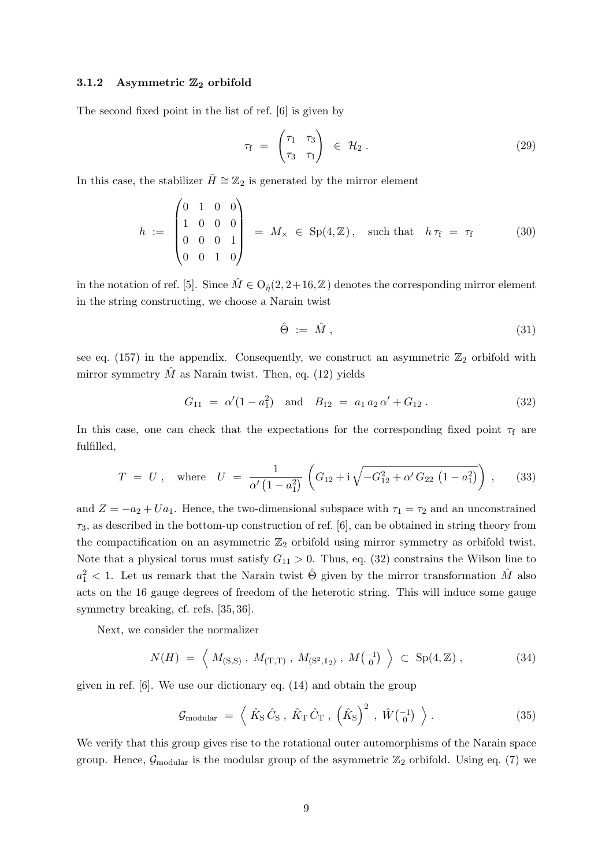#### <span id="page-9-0"></span>3.1.2 Asymmetric  $\mathbb{Z}_2$  orbifold

The second fixed point in the list of ref. [\[6\]](#page-34-3) is given by

$$
\tau_{\rm f} = \begin{pmatrix} \tau_1 & \tau_3 \\ \tau_3 & \tau_1 \end{pmatrix} \in \mathcal{H}_2 \,. \tag{29}
$$

In this case, the stabilizer  $\bar{H} \cong \mathbb{Z}_2$  is generated by the mirror element

<span id="page-9-2"></span>
$$
h := \begin{pmatrix} 0 & 1 & 0 & 0 \\ 1 & 0 & 0 & 0 \\ 0 & 0 & 0 & 1 \\ 0 & 0 & 1 & 0 \end{pmatrix} = M_{\times} \in \text{Sp}(4, \mathbb{Z}), \text{ such that } h\tau_{f} = \tau_{f} \qquad (30)
$$

in the notation of ref. [\[5\]](#page-34-2). Since  $M \in O_{\hat{\eta}}(2, 2+16, \mathbb{Z})$  denotes the corresponding mirror element in the string constructing, we choose a Narain twist

$$
\hat{\Theta} := \hat{M}, \qquad (31)
$$

see eq. [\(157\)](#page-28-1) in the appendix. Consequently, we construct an asymmetric  $\mathbb{Z}_2$  orbifold with mirror symmetry  $\hat{M}$  as Narain twist. Then, eq. [\(12\)](#page-5-0) yields

<span id="page-9-1"></span>
$$
G_{11} = \alpha'(1 - a_1^2) \quad \text{and} \quad B_{12} = a_1 a_2 \alpha' + G_{12} \,. \tag{32}
$$

In this case, one can check that the expectations for the corresponding fixed point  $\tau_f$  are fulfilled,

$$
T = U, \text{ where } U = \frac{1}{\alpha'(1 - a_1^2)} \left( G_{12} + i \sqrt{-G_{12}^2 + \alpha' G_{22} (1 - a_1^2)} \right), \quad (33)
$$

and  $Z = -a_2 + U a_1$ . Hence, the two-dimensional subspace with  $\tau_1 = \tau_2$  and an unconstrained  $\tau_3$ , as described in the bottom-up construction of ref. [\[6\]](#page-34-3), can be obtained in string theory from the compactification on an asymmetric  $\mathbb{Z}_2$  orbifold using mirror symmetry as orbifold twist. Note that a physical torus must satisfy  $G_{11} > 0$ . Thus, eq. [\(32\)](#page-9-1) constrains the Wilson line to  $a_1^2$  < 1. Let us remark that the Narain twist  $\hat{\Theta}$  given by the mirror transformation  $\hat{M}$  also acts on the 16 gauge degrees of freedom of the heterotic string. This will induce some gauge symmetry breaking, cf. refs. [\[35,](#page-36-5) [36\]](#page-36-6).

Next, we consider the normalizer

$$
N(H) = \left\langle M_{(S,S)}, M_{(T,T)}, M_{(S^2,1_2)}, M_{(0)}^{-1} \right\rangle \subset Sp(4,\mathbb{Z}), \tag{34}
$$

given in ref. [\[6\]](#page-34-3). We use our dictionary eq. [\(14\)](#page-6-1) and obtain the group

<span id="page-9-3"></span>
$$
\mathcal{G}_{\text{modular}} = \left\langle \hat{K}_{\text{S}} \hat{C}_{\text{S}} \,, \hat{K}_{\text{T}} \hat{C}_{\text{T}} \,, \left( \hat{K}_{\text{S}} \right)^2 \,, \hat{W} \begin{pmatrix} -1 \\ 0 \end{pmatrix} \right\rangle. \tag{35}
$$

We verify that this group gives rise to the rotational outer automorphisms of the Narain space group. Hence,  $\mathcal{G}_{\text{modular}}$  is the modular group of the asymmetric  $\mathbb{Z}_2$  orbifold. Using eq. [\(7\)](#page-4-3) we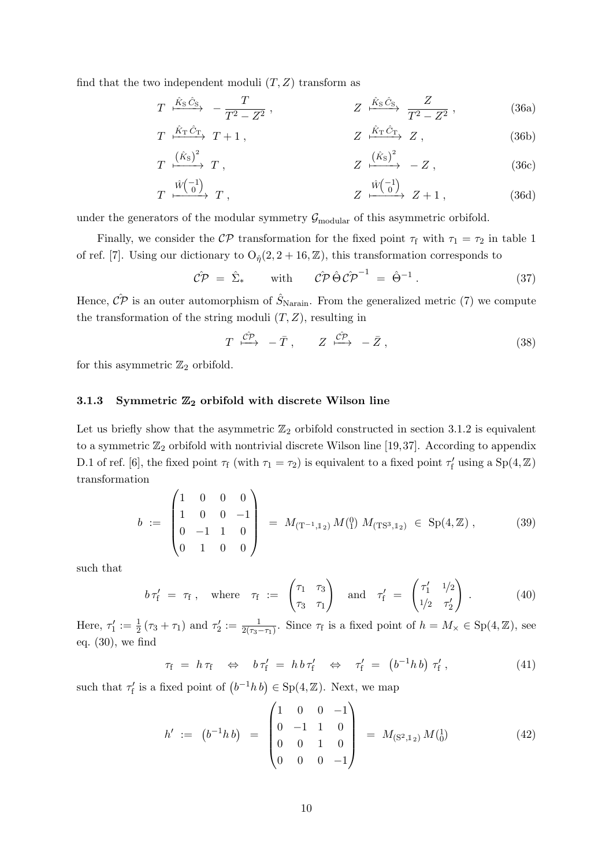find that the two independent moduli  $(T, Z)$  transform as

$$
T \xrightarrow{\hat{K}_{\text{S}} \hat{C}_{\text{S}}} -\frac{T}{T^2 - Z^2}, \qquad Z \xrightarrow{\hat{K}_{\text{S}} \hat{C}_{\text{S}}} \frac{Z}{T^2 - Z^2}, \qquad (36a)
$$

$$
T \xrightarrow{\hat{K}_{\mathrm{T}} \hat{C}_{\mathrm{T}}} T + 1 , \qquad Z \xrightarrow{\hat{K}_{\mathrm{T}} \hat{C}_{\mathrm{T}}} Z , \qquad (36b)
$$

$$
T \xrightarrow{\left(\hat{K}_{\rm S}\right)^2} T \,, \qquad Z \xrightarrow{\left(\hat{K}_{\rm S}\right)^2} - Z \,, \qquad (36c)
$$

$$
T \xrightarrow{\hat{W}\begin{pmatrix} -1 \\ 0 \end{pmatrix}} T , \qquad Z \xrightarrow{\hat{W}\begin{pmatrix} -1 \\ 0 \end{pmatrix}} Z + 1 , \qquad (36d)
$$

under the generators of the modular symmetry  $\mathcal{G}_{\text{modular}}$  of this asymmetric orbifold.

Finally, we consider the  $\mathcal{CP}$  transformation for the fixed point  $\tau_f$  with  $\tau_1 = \tau_2$  in table 1 of ref. [\[7\]](#page-34-4). Using our dictionary to  $O_{\hat{\eta}}(2, 2+16, \mathbb{Z})$ , this transformation corresponds to

<span id="page-10-3"></span>
$$
\hat{\mathcal{CP}} = \hat{\Sigma}_{*} \quad \text{with} \quad \hat{\mathcal{CP}} \hat{\Theta} \hat{\mathcal{CP}}^{-1} = \hat{\Theta}^{-1} . \quad (37)
$$

Hence,  $\hat{CP}$  is an outer automorphism of  $\hat{S}_{\text{Narain}}$ . From the generalized metric [\(7\)](#page-4-3) we compute the transformation of the string moduli  $(T, Z)$ , resulting in

$$
T \xrightarrow{\mathcal{CP}} -\bar{T}, \qquad Z \xrightarrow{\mathcal{CP}} -\bar{Z}, \qquad (38)
$$

for this asymmetric  $\mathbb{Z}_2$  orbifold.

#### <span id="page-10-0"></span>3.1.3 Symmetric  $\mathbb{Z}_2$  orbifold with discrete Wilson line

Let us briefly show that the asymmetric  $\mathbb{Z}_2$  orbifold constructed in section [3.1.2](#page-9-0) is equivalent to a symmetric  $\mathbb{Z}_2$  orbifold with nontrivial discrete Wilson line [\[19,](#page-35-12)[37\]](#page-36-7). According to appendix D.1 of ref. [\[6\]](#page-34-3), the fixed point  $\tau_f$  (with  $\tau_1 = \tau_2$ ) is equivalent to a fixed point  $\tau'_f$  using a  $Sp(4, \mathbb{Z})$ transformation

<span id="page-10-1"></span>
$$
b := \begin{pmatrix} 1 & 0 & 0 & 0 \\ 1 & 0 & 0 & -1 \\ 0 & -1 & 1 & 0 \\ 0 & 1 & 0 & 0 \end{pmatrix} = M_{(T^{-1},1_2)} M_{(1)}^{0} M_{(TS^3,1_2)} \in Sp(4,\mathbb{Z}), \quad (39)
$$

such that

$$
b \tau'_{f} = \tau_{f}
$$
, where  $\tau_{f} := \begin{pmatrix} \tau_{1} & \tau_{3} \\ \tau_{3} & \tau_{1} \end{pmatrix}$  and  $\tau'_{f} = \begin{pmatrix} \tau'_{1} & 1/2 \\ 1/2 & \tau'_{2} \end{pmatrix}$ . (40)

Here,  $\tau_1' := \frac{1}{2}(\tau_3 + \tau_1)$  and  $\tau_2' := \frac{1}{2(\tau_3 - \tau_1)}$ . Since  $\tau_f$  is a fixed point of  $h = M_\times \in \text{Sp}(4, \mathbb{Z})$ , see eq. [\(30\)](#page-9-2), we find

$$
\tau_{\rm f} \;\; = \;\; h \; \tau_{\rm f} \quad \Leftrightarrow \quad b \; \tau_{\rm f}' \;\; = \;\; h \, b \; \tau_{\rm f}' \quad \Leftrightarrow \quad \tau_{\rm f}' \; = \;\; \left(b^{-1} h \, b\right) \; \tau_{\rm f}' \; , \tag{41}
$$

such that  $\tau_f'$  is a fixed point of  $(b^{-1}h b) \in \text{Sp}(4, \mathbb{Z})$ . Next, we map

<span id="page-10-2"></span>
$$
h' := (b^{-1}hb) = \begin{pmatrix} 1 & 0 & 0 & -1 \\ 0 & -1 & 1 & 0 \\ 0 & 0 & 1 & 0 \\ 0 & 0 & 0 & -1 \end{pmatrix} = M_{(S^2,1_2)}M_{(0)}^{1}
$$
(42)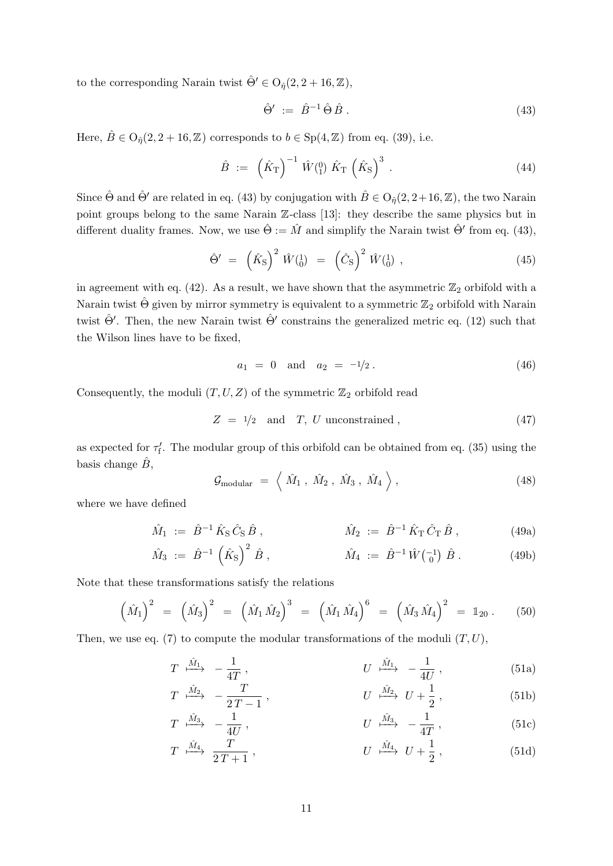to the corresponding Narain twist  $\hat{\Theta}' \in O_{\hat{\eta}}(2, 2 + 16, \mathbb{Z}),$ 

<span id="page-11-0"></span>
$$
\hat{\Theta}' := \hat{B}^{-1} \hat{\Theta} \hat{B} . \tag{43}
$$

Here,  $\hat{B} \in \mathcal{O}_{\hat{\eta}}(2, 2+16, \mathbb{Z})$  corresponds to  $b \in \mathrm{Sp}(4, \mathbb{Z})$  from eq. [\(39\)](#page-10-1), i.e.

$$
\hat{B} := \left(\hat{K}_{\mathrm{T}}\right)^{-1} \hat{W}(\mathrm{I}) \hat{K}_{\mathrm{T}} \left(\hat{K}_{\mathrm{S}}\right)^{3} . \tag{44}
$$

Since  $\hat{\Theta}$  and  $\hat{\Theta}'$  are related in eq. [\(43\)](#page-11-0) by conjugation with  $\hat{B} \in O_{\hat{n}}(2, 2+16, \mathbb{Z})$ , the two Narain point groups belong to the same Narain Z-class [\[13\]](#page-35-3): they describe the same physics but in different duality frames. Now, we use  $\hat{\Theta} := \hat{M}$  and simplify the Narain twist  $\hat{\Theta}'$  from eq. [\(43\)](#page-11-0),

$$
\hat{\Theta}' = (\hat{K}_{\rm S})^2 \hat{W}({}_{0}^{1}) = (\hat{C}_{\rm S})^2 \hat{W}({}_{0}^{1}) , \qquad (45)
$$

in agreement with eq. [\(42\)](#page-10-2). As a result, we have shown that the asymmetric  $\mathbb{Z}_2$  orbifold with a Narain twist  $\hat{\Theta}$  given by mirror symmetry is equivalent to a symmetric  $\mathbb{Z}_2$  orbifold with Narain twist  $\hat{\Theta}'$ . Then, the new Narain twist  $\hat{\Theta}'$  constrains the generalized metric eq. [\(12\)](#page-5-0) such that the Wilson lines have to be fixed,

$$
a_1 = 0 \quad \text{and} \quad a_2 = -\frac{1}{2} \,. \tag{46}
$$

Consequently, the moduli  $(T, U, Z)$  of the symmetric  $\mathbb{Z}_2$  orbifold read

$$
Z = \frac{1}{2} \quad \text{and} \quad T, \ U \text{ unconstrained}, \tag{47}
$$

as expected for  $\tau_f'$ . The modular group of this orbifold can be obtained from eq. [\(35\)](#page-9-3) using the basis change  $B$ ,

<span id="page-11-1"></span>
$$
\mathcal{G}_{\text{modular}} = \left\langle \hat{M}_1, \hat{M}_2, \hat{M}_3, \hat{M}_4 \right\rangle, \tag{48}
$$

where we have defined

$$
\hat{M}_1 := \hat{B}^{-1} \hat{K}_S \hat{C}_S \hat{B} , \qquad \hat{M}_2 := \hat{B}^{-1} \hat{K}_T \hat{C}_T \hat{B} , \qquad (49a)
$$

$$
\hat{M}_3 := \hat{B}^{-1} \left( \hat{K}_S \right)^2 \hat{B} , \qquad \hat{M}_4 := \hat{B}^{-1} \hat{W} \begin{pmatrix} -1 \\ 0 \end{pmatrix} \hat{B} . \qquad (49b)
$$

Note that these transformations satisfy the relations

$$
(\hat{M}_1)^2 = (\hat{M}_3)^2 = (\hat{M}_1 \hat{M}_2)^3 = (\hat{M}_1 \hat{M}_4)^6 = (\hat{M}_3 \hat{M}_4)^2 = 1_{20}.
$$
 (50)

Then, we use eq. [\(7\)](#page-4-3) to compute the modular transformations of the moduli  $(T, U)$ ,

$$
T \xrightarrow{\hat{M}_1} -\frac{1}{4T}, \qquad U \xrightarrow{\hat{M}_1} -\frac{1}{4U}, \qquad (51a)
$$

$$
T \xrightarrow{\hat{M}_2} -\frac{T}{2T-1}, \qquad U \xrightarrow{\hat{M}_2} U + \frac{1}{2}, \qquad (51b)
$$

$$
T \xrightarrow{\hat{M}_3} -\frac{1}{4U}, \qquad U \xrightarrow{\hat{M}_3} -\frac{1}{4T}, \qquad (51c)
$$

$$
T \xrightarrow{\hat{M}_4} \frac{T}{2T+1}, \qquad U \xrightarrow{\hat{M}_4} U + \frac{1}{2}, \qquad (51d)
$$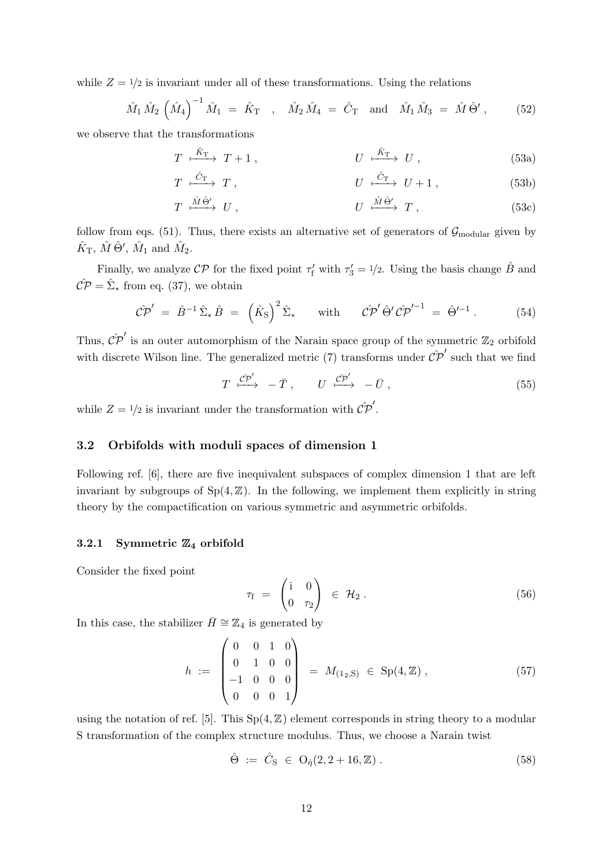while  $Z = 1/2$  is invariant under all of these transformations. Using the relations

$$
\hat{M}_1 \hat{M}_2 \left( \hat{M}_4 \right)^{-1} \hat{M}_1 = \hat{K}_{\text{T}} , \quad \hat{M}_2 \hat{M}_4 = \hat{C}_{\text{T}} \text{ and } \hat{M}_1 \hat{M}_3 = \hat{M} \hat{\Theta}^{\prime} ,
$$
\n(52)

we observe that the transformations

$$
T \xrightarrow{\hat{K}_{\mathrm{T}}} T + 1 , \qquad U \xrightarrow{\hat{K}_{\mathrm{T}}} U , \qquad (53a)
$$

$$
T \xrightarrow{\hat{C}_{\mathcal{T}}} T , \qquad \qquad U \xrightarrow{\hat{C}_{\mathcal{T}}} U + 1 , \qquad (53b)
$$

$$
T \xrightarrow{\hat{M} \hat{\Theta}'} U , \qquad \qquad U \xrightarrow{\hat{M} \hat{\Theta}'} T , \qquad (53c)
$$

follow from eqs. [\(51\)](#page-11-1). Thus, there exists an alternative set of generators of  $\mathcal{G}_{\text{modular}}$  given by  $\hat{K}_{\rm T}$ ,  $\hat{M} \hat{\Theta}'$ ,  $\hat{M}_1$  and  $\hat{M}_2$ .

Finally, we analyze  $\mathcal{CP}$  for the fixed point  $\tau'_{f}$  with  $\tau'_{3} = 1/2$ . Using the basis change  $\hat{B}$  and  $\mathcal{C} \hat{\mathcal{P}} = \hat{\Sigma}_{*}$  from eq. [\(37\)](#page-10-3), we obtain

$$
\hat{\mathcal{CP}}' = \hat{B}^{-1} \hat{\Sigma}_* \hat{B} = \left(\hat{K}_{\mathrm{S}}\right)^2 \hat{\Sigma}_* \quad \text{with} \quad \hat{\mathcal{CP}}' \hat{\Theta}' \hat{\mathcal{CP}}'^{-1} = \hat{\Theta}'^{-1} \,. \tag{54}
$$

Thus,  $\hat{CP}'$  is an outer automorphism of the Narain space group of the symmetric  $\mathbb{Z}_2$  orbifold with discrete Wilson line. The generalized metric [\(7\)](#page-4-3) transforms under  $\hat{\mathcal{CP}}'$  such that we find

$$
T \xrightarrow{\hat{\mathcal{CP}}} -\bar{T}, \qquad U \xrightarrow{\hat{\mathcal{CP}}} -\bar{U}, \qquad (55)
$$

while  $Z = 1/2$  is invariant under the transformation with  $\mathcal{C} \mathcal{P}'$ .

### 3.2 Orbifolds with moduli spaces of dimension 1

Following ref. [\[6\]](#page-34-3), there are five inequivalent subspaces of complex dimension 1 that are left invariant by subgroups of  $Sp(4, \mathbb{Z})$ . In the following, we implement them explicitly in string theory by the compactification on various symmetric and asymmetric orbifolds.

#### <span id="page-12-0"></span>3.2.1 Symmetric  $\mathbb{Z}_4$  orbifold

Consider the fixed point

$$
\tau_{\rm f} = \begin{pmatrix} \mathrm{i} & 0 \\ 0 & \tau_2 \end{pmatrix} \in \mathcal{H}_2 \,.
$$
 (56)

In this case, the stabilizer  $\bar{H} \cong \mathbb{Z}_4$  is generated by

$$
h := \begin{pmatrix} 0 & 0 & 1 & 0 \\ 0 & 1 & 0 & 0 \\ -1 & 0 & 0 & 0 \\ 0 & 0 & 0 & 1 \end{pmatrix} = M_{(1_2, S)} \in Sp(4, \mathbb{Z}), \qquad (57)
$$

using the notation of ref. [\[5\]](#page-34-2). This  $Sp(4, \mathbb{Z})$  element corresponds in string theory to a modular S transformation of the complex structure modulus. Thus, we choose a Narain twist

$$
\hat{\Theta} := \hat{C}_{\mathcal{S}} \in O_{\hat{\eta}}(2, 2 + 16, \mathbb{Z}). \tag{58}
$$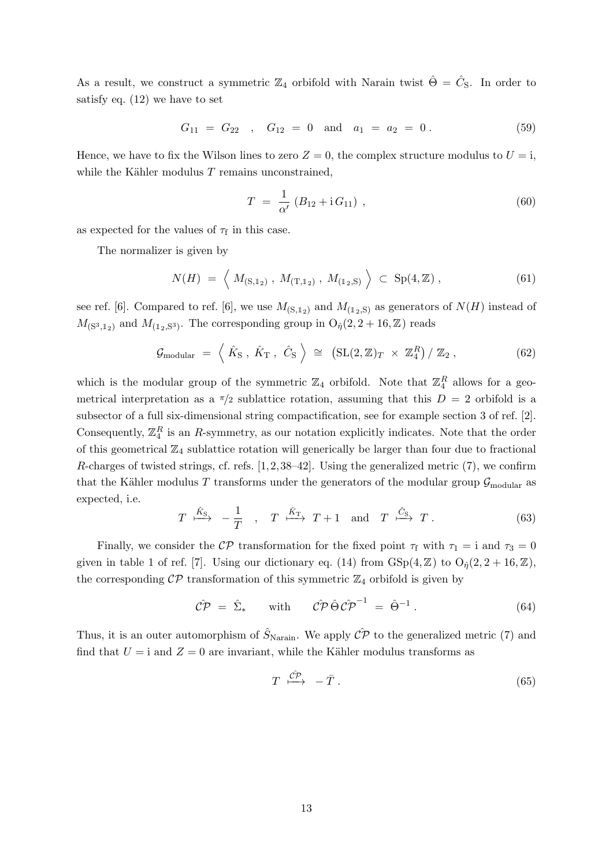As a result, we construct a symmetric  $\mathbb{Z}_4$  orbifold with Narain twist  $\hat{\Theta} = \hat{C}_S$ . In order to satisfy eq. [\(12\)](#page-5-0) we have to set

$$
G_{11} = G_{22} \quad , \quad G_{12} = 0 \quad \text{and} \quad a_1 = a_2 = 0 \,. \tag{59}
$$

Hence, we have to fix the Wilson lines to zero  $Z = 0$ , the complex structure modulus to  $U = i$ , while the Kähler modulus  $T$  remains unconstrained,

$$
T = \frac{1}{\alpha'} (B_{12} + i G_{11}), \qquad (60)
$$

as expected for the values of  $\tau_f$  in this case.

The normalizer is given by

$$
N(H) = \left\langle M_{(S,1_2)}, M_{(T,1_2)}, M_{(1_2,S)} \right\rangle \subset Sp(4,\mathbb{Z}), \tag{61}
$$

see ref. [\[6\]](#page-34-3). Compared to ref. [6], we use  $M_{(S,1_2)}$  and  $M_{(1_2,S)}$  as generators of  $N(H)$  instead of  $M_{\rm (S^3,1_2)}$  and  $M_{\rm (1_2,S^3)}$ . The corresponding group in  ${\rm O}_\eta(2,2+16,\mathbb{Z})$  reads

$$
\mathcal{G}_{\text{modular}} = \left\langle \hat{K}_{\text{S}} \,, \, \hat{K}_{\text{T}} \,, \, \hat{C}_{\text{S}} \right\rangle \cong \left( \text{SL}(2, \mathbb{Z})_T \times \mathbb{Z}_4^R \right) / \mathbb{Z}_2 \,, \tag{62}
$$

which is the modular group of the symmetric  $\mathbb{Z}_4$  orbifold. Note that  $\mathbb{Z}_4^R$  allows for a geometrical interpretation as a  $\pi/2$  sublattice rotation, assuming that this  $D = 2$  orbifold is a subsector of a full six-dimensional string compactification, see for example section 3 of ref. [\[2\]](#page-34-7). Consequently,  $\mathbb{Z}_4^R$  is an R-symmetry, as our notation explicitly indicates. Note that the order of this geometrical  $\mathbb{Z}_4$  sublattice rotation will generically be larger than four due to fractional R-charges of twisted strings, cf. refs.  $[1, 2, 38-42]$  $[1, 2, 38-42]$  $[1, 2, 38-42]$  $[1, 2, 38-42]$ . Using the generalized metric  $(7)$ , we confirm that the Kähler modulus T transforms under the generators of the modular group  $\mathcal{G}_{\text{modular}}$  as expected, i.e.

$$
T \xrightarrow{\hat{K}_{\text{S}}} -\frac{1}{T} , \quad T \xrightarrow{\hat{K}_{\text{T}}} T + 1 \quad \text{and} \quad T \xrightarrow{\hat{C}_{\text{S}}} T . \tag{63}
$$

Finally, we consider the CP transformation for the fixed point  $\tau_f$  with  $\tau_1 = i$  and  $\tau_3 = 0$ given in table 1 of ref. [\[7\]](#page-34-4). Using our dictionary eq. [\(14\)](#page-6-1) from  $GSp(4, \mathbb{Z})$  to  $O_{\hat{n}}(2, 2+16, \mathbb{Z})$ , the corresponding  $\mathcal{CP}$  transformation of this symmetric  $\mathbb{Z}_4$  orbifold is given by

$$
\hat{\mathcal{CP}} = \hat{\Sigma}_{*} \quad \text{with} \quad \hat{\mathcal{CP}} \hat{\Theta} \hat{\mathcal{CP}}^{-1} = \hat{\Theta}^{-1} . \tag{64}
$$

Thus, it is an outer automorphism of  $\hat{S}_{\text{Narain}}$ . We apply  $\hat{CP}$  to the generalized metric [\(7\)](#page-4-3) and find that  $U = i$  and  $Z = 0$  are invariant, while the Kähler modulus transforms as

$$
T \stackrel{\hat{C\mathcal{P}}}{\longmapsto} -\bar{T} \ . \tag{65}
$$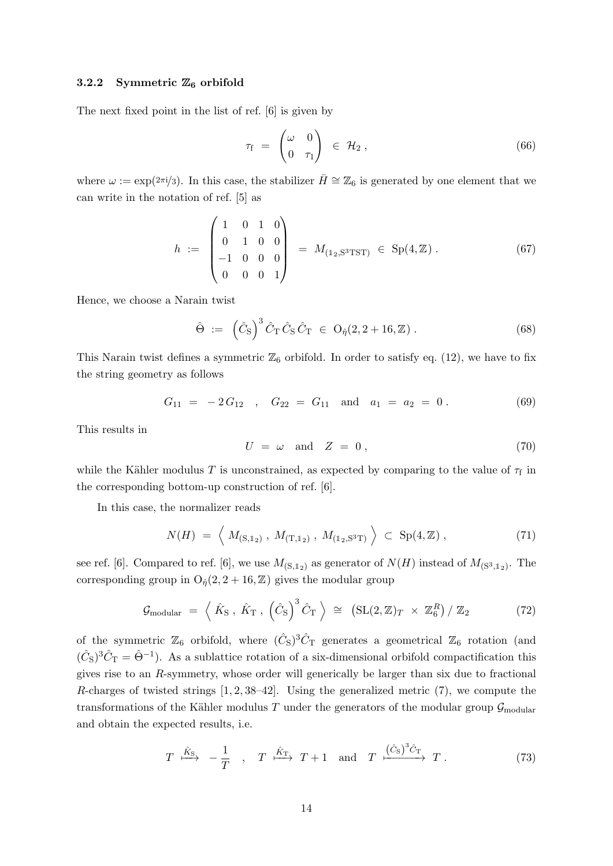#### <span id="page-14-0"></span>3.2.2 Symmetric  $\mathbb{Z}_6$  orbifold

The next fixed point in the list of ref. [\[6\]](#page-34-3) is given by

$$
\tau_{\rm f} = \begin{pmatrix} \omega & 0 \\ 0 & \tau_1 \end{pmatrix} \in \mathcal{H}_2 , \qquad (66)
$$

where  $\omega := \exp(2\pi i/3)$ . In this case, the stabilizer  $\bar{H} \cong \mathbb{Z}_6$  is generated by one element that we can write in the notation of ref. [\[5\]](#page-34-2) as

$$
h := \begin{pmatrix} 1 & 0 & 1 & 0 \\ 0 & 1 & 0 & 0 \\ -1 & 0 & 0 & 0 \\ 0 & 0 & 0 & 1 \end{pmatrix} = M_{(1_2, S^3 T S T)} \in Sp(4, \mathbb{Z}). \tag{67}
$$

Hence, we choose a Narain twist

<span id="page-14-1"></span>
$$
\hat{\Theta} := (\hat{C}_{S})^{3} \hat{C}_{T} \hat{C}_{S} \hat{C}_{T} \in O_{\hat{\eta}}(2, 2 + 16, \mathbb{Z}). \tag{68}
$$

This Narain twist defines a symmetric  $\mathbb{Z}_6$  orbifold. In order to satisfy eq. [\(12\)](#page-5-0), we have to fix the string geometry as follows

$$
G_{11} = -2G_{12} , G_{22} = G_{11} \text{ and } a_1 = a_2 = 0.
$$
 (69)

This results in

$$
U = \omega \quad \text{and} \quad Z = 0 \,, \tag{70}
$$

while the Kähler modulus T is unconstrained, as expected by comparing to the value of  $\tau_f$  in the corresponding bottom-up construction of ref. [\[6\]](#page-34-3).

In this case, the normalizer reads

$$
N(H) = \left\langle M_{(S,1_2)}, M_{(T,1_2)}, M_{(1_2,S^3T)} \right\rangle \subset Sp(4,\mathbb{Z}), \tag{71}
$$

see ref. [\[6\]](#page-34-3). Compared to ref. [6], we use  $M_{(S,1_2)}$  as generator of  $N(H)$  instead of  $M_{(S^3,1_2)}$ . The corresponding group in  $O_{\hat{\eta}}(2, 2 + 16, \mathbb{Z})$  gives the modular group

$$
\mathcal{G}_{\text{modular}} = \left\langle \hat{K}_{\text{S}} \,, \, \hat{K}_{\text{T}} \,, \, \left( \hat{C}_{\text{S}} \right)^3 \hat{C}_{\text{T}} \, \right\rangle \, \cong \, \left( \text{SL}(2, \mathbb{Z})_T \, \times \, \mathbb{Z}_6^R \right) / \, \mathbb{Z}_2 \tag{72}
$$

of the symmetric  $\mathbb{Z}_6$  orbifold, where  $(\hat{C}_S)^3 \hat{C}_T$  generates a geometrical  $\mathbb{Z}_6$  rotation (and  $(\hat{C}_S)^3 \hat{C}_T = \hat{\Theta}^{-1}$ . As a sublattice rotation of a six-dimensional orbifold compactification this gives rise to an R-symmetry, whose order will generically be larger than six due to fractional R-charges of twisted strings  $[1, 2, 38-42]$  $[1, 2, 38-42]$  $[1, 2, 38-42]$  $[1, 2, 38-42]$ . Using the generalized metric  $(7)$ , we compute the transformations of the Kähler modulus T under the generators of the modular group  $\mathcal{G}_{\text{modular}}$ and obtain the expected results, i.e.

$$
T \xrightarrow{\hat{K}_{\text{S}}} -\frac{1}{T} \quad , \quad T \xrightarrow{\hat{K}_{\text{T}}} T + 1 \quad \text{and} \quad T \xrightarrow{(\hat{C}_{\text{S}})^3 \hat{C}_{\text{T}}} T \ . \tag{73}
$$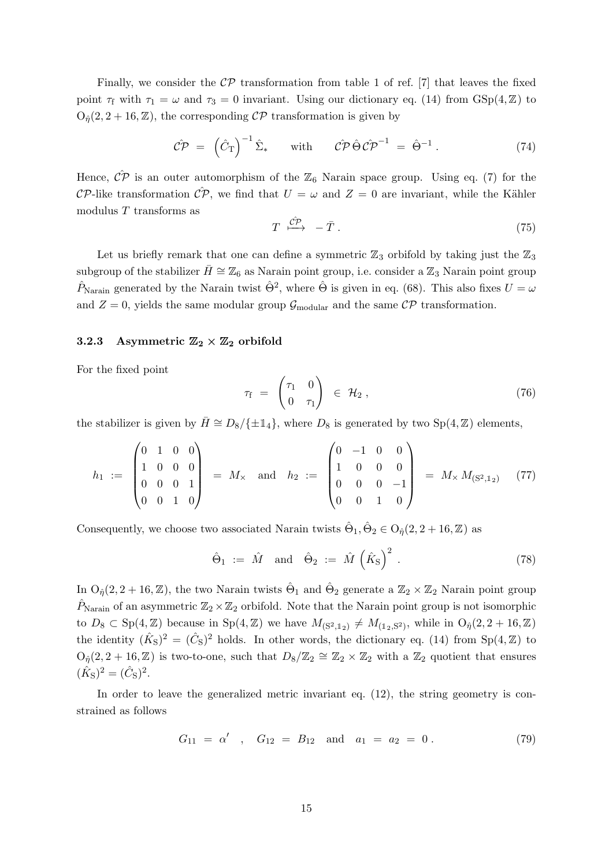Finally, we consider the  $\mathcal{CP}$  transformation from table 1 of ref. [\[7\]](#page-34-4) that leaves the fixed point  $\tau_f$  with  $\tau_1 = \omega$  and  $\tau_3 = 0$  invariant. Using our dictionary eq. [\(14\)](#page-6-1) from GSp(4, Z) to  $O_{\hat{\eta}}(2, 2+16, \mathbb{Z})$ , the corresponding  $\mathcal{CP}$  transformation is given by

$$
\hat{\mathcal{CP}} = (\hat{C}_{\mathrm{T}})^{-1} \hat{\Sigma}_{*} \quad \text{with} \quad \hat{\mathcal{CP}} \hat{\Theta} \hat{\mathcal{CP}}^{-1} = \hat{\Theta}^{-1} . \tag{74}
$$

Hence,  $\hat{CP}$  is an outer automorphism of the  $\mathbb{Z}_6$  Narain space group. Using eq. [\(7\)](#page-4-3) for the CP-like transformation  $\hat{CP}$ , we find that  $U = \omega$  and  $Z = 0$  are invariant, while the Kähler modulus T transforms as

$$
T \stackrel{\hat{C\mathcal{P}}}{\longrightarrow} -\bar{T} \ . \tag{75}
$$

Let us briefly remark that one can define a symmetric  $\mathbb{Z}_3$  orbifold by taking just the  $\mathbb{Z}_3$ subgroup of the stabilizer  $\bar{H} \cong \mathbb{Z}_6$  as Narain point group, i.e. consider a  $\mathbb{Z}_3$  Narain point group  $\hat{P}_{\text{Narain}}$  generated by the Narain twist  $\hat{\Theta}^2$ , where  $\hat{\Theta}$  is given in eq. [\(68\)](#page-14-1). This also fixes  $U = \omega$ and  $Z = 0$ , yields the same modular group  $\mathcal{G}_{\text{modular}}$  and the same  $\mathcal{CP}$  transformation.

#### <span id="page-15-0"></span>3.2.3 Asymmetric  $\mathbb{Z}_2 \times \mathbb{Z}_2$  orbifold

For the fixed point

$$
\tau_{\rm f} = \begin{pmatrix} \tau_1 & 0 \\ 0 & \tau_1 \end{pmatrix} \in \mathcal{H}_2 , \qquad (76)
$$

the stabilizer is given by  $\bar{H} \cong D_8/\{\pm 1\}$ , where  $D_8$  is generated by two Sp(4, Z) elements,

$$
h_1 := \begin{pmatrix} 0 & 1 & 0 & 0 \\ 1 & 0 & 0 & 0 \\ 0 & 0 & 0 & 1 \\ 0 & 0 & 1 & 0 \end{pmatrix} = M_{\times} \text{ and } h_2 := \begin{pmatrix} 0 & -1 & 0 & 0 \\ 1 & 0 & 0 & 0 \\ 0 & 0 & 0 & -1 \\ 0 & 0 & 1 & 0 \end{pmatrix} = M_{\times} M_{\left(S^2, 1_2\right)} \quad (77)
$$

Consequently, we choose two associated Narain twists  $\hat{\Theta}_1, \hat{\Theta}_2 \in O_{\hat{\eta}}(2, 2+16, \mathbb{Z})$  as

$$
\hat{\Theta}_1 := \hat{M} \quad \text{and} \quad \hat{\Theta}_2 := \hat{M} \left( \hat{K}_S \right)^2 \,. \tag{78}
$$

In  $O_{\hat{\eta}}(2,2+16,\mathbb{Z})$ , the two Narain twists  $\hat{\Theta}_1$  and  $\hat{\Theta}_2$  generate a  $\mathbb{Z}_2 \times \mathbb{Z}_2$  Narain point group  $\hat{P}_{\text{Narain}}$  of an asymmetric  $\mathbb{Z}_2 \times \mathbb{Z}_2$  orbifold. Note that the Narain point group is not isomorphic to  $D_8 \subset \text{Sp}(4,\mathbb{Z})$  because in  $\text{Sp}(4,\mathbb{Z})$  we have  $M_{(S^2,1_2)} \neq M_{(1_2,S^2)}$ , while in  $\text{O}_{\hat{\eta}}(2,2+16,\mathbb{Z})$ the identity  $(\hat{K}_{S})^2 = (\hat{C}_{S})^2$  holds. In other words, the dictionary eq. [\(14\)](#page-6-1) from  $Sp(4, \mathbb{Z})$  to  $O_{\hat{\eta}}(2, 2+16, \mathbb{Z})$  is two-to-one, such that  $D_8/\mathbb{Z}_2 \cong \mathbb{Z}_2 \times \mathbb{Z}_2$  with a  $\mathbb{Z}_2$  quotient that ensures  $(\hat{K}_{\rm S})^2 = (\hat{C}_{\rm S})^2$ .

In order to leave the generalized metric invariant eq.  $(12)$ , the string geometry is constrained as follows

<span id="page-15-1"></span>
$$
G_{11} = \alpha' \quad , \quad G_{12} = B_{12} \quad \text{and} \quad a_1 = a_2 = 0 \,. \tag{79}
$$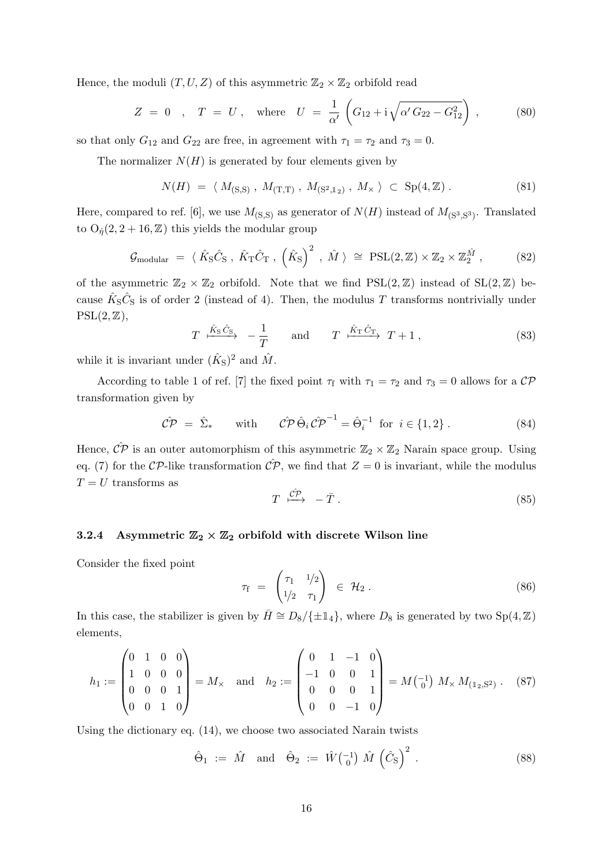Hence, the moduli  $(T, U, Z)$  of this asymmetric  $\mathbb{Z}_2 \times \mathbb{Z}_2$  orbifold read

$$
Z = 0
$$
,  $T = U$ , where  $U = \frac{1}{\alpha'} \left( G_{12} + i \sqrt{\alpha' G_{22} - G_{12}^2} \right)$ , (80)

so that only  $G_{12}$  and  $G_{22}$  are free, in agreement with  $\tau_1 = \tau_2$  and  $\tau_3 = 0$ .

The normalizer  $N(H)$  is generated by four elements given by

$$
N(H) = \langle M_{(S,S)}, M_{(T,T)}, M_{(S^2,1_2)}, M_{\times} \rangle \subset Sp(4, \mathbb{Z}). \tag{81}
$$

Here, compared to ref. [\[6\]](#page-34-3), we use  $M_{(S,S)}$  as generator of  $N(H)$  instead of  $M_{(S^3,S^3)}$ . Translated to  $O_{\hat{\eta}}(2, 2+16, \mathbb{Z})$  this yields the modular group

$$
\mathcal{G}_{\text{modular}} = \langle \hat{K}_{\text{S}} \hat{C}_{\text{S}} \,, \hat{K}_{\text{T}} \hat{C}_{\text{T}} \,, \left( \hat{K}_{\text{S}} \right)^2 \,, \hat{M} \,\rangle \cong \text{PSL}(2, \mathbb{Z}) \times \mathbb{Z}_2 \times \mathbb{Z}_2^{\hat{M}} \,, \tag{82}
$$

of the asymmetric  $\mathbb{Z}_2 \times \mathbb{Z}_2$  orbifold. Note that we find  $PSL(2, \mathbb{Z})$  instead of  $SL(2, \mathbb{Z})$  because  $\hat{K}_{S}\hat{C}_{S}$  is of order 2 (instead of 4). Then, the modulus T transforms nontrivially under  $PSL(2, \mathbb{Z}),$ 

$$
T \xrightarrow{\hat{K}_{\text{S}}\hat{C}_{\text{S}}} -\frac{1}{T} \quad \text{and} \quad T \xrightarrow{\hat{K}_{\text{T}}\hat{C}_{\text{T}}} T + 1 , \qquad (83)
$$

while it is invariant under  $(\hat{K}_{S})^2$  and  $\hat{M}$ .

According to table 1 of ref. [\[7\]](#page-34-4) the fixed point  $\tau_f$  with  $\tau_1 = \tau_2$  and  $\tau_3 = 0$  allows for a  $\mathcal{CP}$ transformation given by

$$
\hat{\mathcal{CP}} = \hat{\Sigma}_* \quad \text{with} \quad \hat{\mathcal{CP}} \hat{\Theta}_i \hat{\mathcal{CP}}^{-1} = \hat{\Theta}_i^{-1} \text{ for } i \in \{1, 2\} \,. \tag{84}
$$

Hence,  $\hat{CP}$  is an outer automorphism of this asymmetric  $\mathbb{Z}_2 \times \mathbb{Z}_2$  Narain space group. Using eq. [\(7\)](#page-4-3) for the CP-like transformation  $\mathcal{CP}$ , we find that  $Z = 0$  is invariant, while the modulus  $T = U$  transforms as

$$
T \stackrel{\hat{C\mathcal{P}}}{\longmapsto} -\bar{T} \ . \tag{85}
$$

#### <span id="page-16-0"></span>3.2.4 Asymmetric  $\mathbb{Z}_2 \times \mathbb{Z}_2$  orbifold with discrete Wilson line

Consider the fixed point

$$
\tau_{\rm f} = \begin{pmatrix} \tau_1 & 1/2 \\ 1/2 & \tau_1 \end{pmatrix} \in \mathcal{H}_2.
$$
 (86)

In this case, the stabilizer is given by  $\overline{H} \cong D_8/\{\pm 1\}$ , where  $D_8$  is generated by two Sp(4, Z) elements,

$$
h_1 := \begin{pmatrix} 0 & 1 & 0 & 0 \\ 1 & 0 & 0 & 0 \\ 0 & 0 & 0 & 1 \\ 0 & 0 & 1 & 0 \end{pmatrix} = M_{\times} \text{ and } h_2 := \begin{pmatrix} 0 & 1 & -1 & 0 \\ -1 & 0 & 0 & 1 \\ 0 & 0 & 0 & 1 \\ 0 & 0 & -1 & 0 \end{pmatrix} = M \begin{pmatrix} -1 \\ 0 \end{pmatrix} M_{\times} M_{(1_2, S^2)} . \quad (87)
$$

Using the dictionary eq. [\(14\)](#page-6-1), we choose two associated Narain twists

$$
\hat{\Theta}_1 := \hat{M} \quad \text{and} \quad \hat{\Theta}_2 := \hat{W} \begin{pmatrix} -1 \\ 0 \end{pmatrix} \hat{M} \begin{pmatrix} \hat{C}_S \end{pmatrix}^2 \,. \tag{88}
$$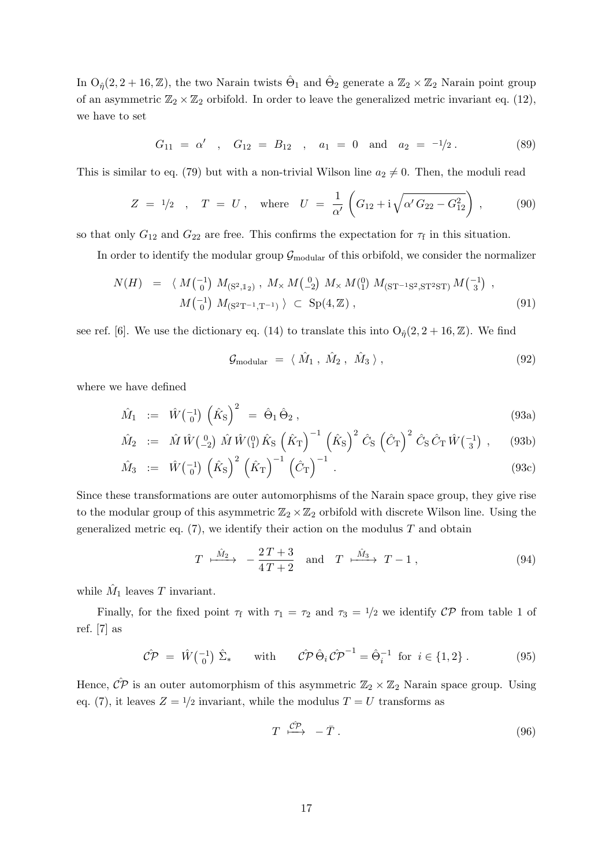In  $O_{\hat{\eta}}(2,2+16,\mathbb{Z})$ , the two Narain twists  $\hat{\Theta}_1$  and  $\hat{\Theta}_2$  generate a  $\mathbb{Z}_2 \times \mathbb{Z}_2$  Narain point group of an asymmetric  $\mathbb{Z}_2 \times \mathbb{Z}_2$  orbifold. In order to leave the generalized metric invariant eq. [\(12\)](#page-5-0), we have to set

$$
G_{11} = \alpha'
$$
,  $G_{12} = B_{12}$ ,  $a_1 = 0$  and  $a_2 = -1/2$ . (89)

This is similar to eq. [\(79\)](#page-15-1) but with a non-trivial Wilson line  $a_2 \neq 0$ . Then, the moduli read

$$
Z = 1/2
$$
,  $T = U$ , where  $U = \frac{1}{\alpha'} \left( G_{12} + i \sqrt{\alpha' G_{22} - G_{12}^2} \right)$ , (90)

so that only  $G_{12}$  and  $G_{22}$  are free. This confirms the expectation for  $\tau_f$  in this situation.

In order to identify the modular group  $\mathcal{G}_{\text{modular}}$  of this orbifold, we consider the normalizer

$$
N(H) = \langle M \begin{pmatrix} -1 \\ 0 \end{pmatrix} M_{(S^2, 1_2)}, M \times M \begin{pmatrix} 0 \\ -2 \end{pmatrix} M \times M \begin{pmatrix} 0 \\ 1 \end{pmatrix} M_{(ST^{-1}S^2, ST^2ST)} M \begin{pmatrix} -1 \\ 3 \end{pmatrix},
$$
  
\n
$$
M \begin{pmatrix} -1 \\ 0 \end{pmatrix} M_{(S^2T^{-1}, T^{-1})} \rangle \subset Sp(4, \mathbb{Z}),
$$
\n(91)

see ref. [\[6\]](#page-34-3). We use the dictionary eq. [\(14\)](#page-6-1) to translate this into  $O_{\hat{p}}(2, 2 + 16, \mathbb{Z})$ . We find

$$
\mathcal{G}_{\text{modular}} = \langle \hat{M}_1, \hat{M}_2, \hat{M}_3 \rangle, \qquad (92)
$$

where we have defined

$$
\hat{M}_1 := \hat{W} \begin{pmatrix} -1 \\ 0 \end{pmatrix} \left( \hat{K}_S \right)^2 = \hat{\Theta}_1 \hat{\Theta}_2 , \qquad (93a)
$$

$$
\hat{M}_2 := \hat{M} \hat{W} \begin{pmatrix} 0 \\ -2 \end{pmatrix} \hat{M} \hat{W} \begin{pmatrix} 0 \\ 1 \end{pmatrix} \hat{K}_S \left( \hat{K}_T \right)^{-1} \left( \hat{K}_S \right)^2 \hat{C}_S \left( \hat{C}_T \right)^2 \hat{C}_S \hat{C}_T \hat{W} \begin{pmatrix} -1 \\ 3 \end{pmatrix} , \quad (93b)
$$

$$
\hat{M}_3 \quad := \quad \hat{W}\begin{pmatrix} -1 \\ 0 \end{pmatrix} \left(\hat{K}_S\right)^2 \left(\hat{K}_T\right)^{-1} \left(\hat{C}_T\right)^{-1} \tag{93c}
$$

Since these transformations are outer automorphisms of the Narain space group, they give rise to the modular group of this asymmetric  $\mathbb{Z}_2 \times \mathbb{Z}_2$  orbifold with discrete Wilson line. Using the generalized metric eq.  $(7)$ , we identify their action on the modulus T and obtain

$$
T \xrightarrow{\hat{M}_2} -\frac{2T+3}{4T+2} \quad \text{and} \quad T \xrightarrow{\hat{M}_3} T-1 , \tag{94}
$$

while  $\hat{M}_1$  leaves T invariant.

Finally, for the fixed point  $\tau_f$  with  $\tau_1 = \tau_2$  and  $\tau_3 = 1/2$  we identify  $\mathcal{CP}$  from table 1 of ref. [\[7\]](#page-34-4) as

$$
\hat{\mathcal{CP}} = \hat{W}\begin{pmatrix} -1 \\ 0 \end{pmatrix} \hat{\Sigma}_* \quad \text{with} \quad \hat{\mathcal{CP}} \hat{\Theta}_i \hat{\mathcal{CP}}^{-1} = \hat{\Theta}_i^{-1} \text{ for } i \in \{1, 2\} \,.
$$
 (95)

Hence,  $\hat{CP}$  is an outer automorphism of this asymmetric  $\mathbb{Z}_2 \times \mathbb{Z}_2$  Narain space group. Using eq. [\(7\)](#page-4-3), it leaves  $Z = 1/2$  invariant, while the modulus  $T = U$  transforms as

$$
T \stackrel{\hat{C\mathcal{P}}}{\longmapsto} -\bar{T} \ . \tag{96}
$$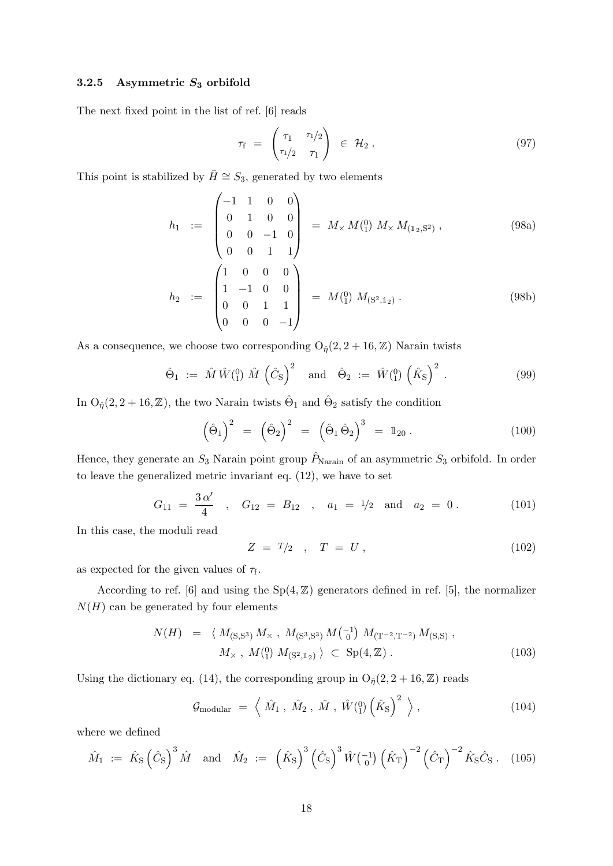#### <span id="page-18-0"></span>3.2.5 Asymmetric  $S_3$  orbifold

The next fixed point in the list of ref. [\[6\]](#page-34-3) reads

$$
\tau_{\rm f} = \begin{pmatrix} \tau_1 & \tau_1/2 \\ \tau_1/2 & \tau_1 \end{pmatrix} \in \mathcal{H}_2.
$$
 (97)

This point is stabilized by  $\bar{H} \cong S_3$ , generated by two elements

$$
h_1 := \begin{pmatrix} -1 & 1 & 0 & 0 \\ 0 & 1 & 0 & 0 \\ 0 & 0 & -1 & 0 \\ 0 & 0 & 1 & 1 \end{pmatrix} = M_{\times} M(^{0}_{1}) M_{\times} M_{(1_{2}, S^{2})}, \qquad (98a)
$$

$$
h_2 := \begin{pmatrix} 1 & 0 & 0 & 0 \\ 1 & -1 & 0 & 0 \\ 0 & 0 & 1 & 1 \\ 0 & 0 & 0 & -1 \end{pmatrix} = M(^{0}_{1}) M_{(S^{2},1_{2})}. \qquad (98b)
$$

As a consequence, we choose two corresponding  $O_{\hat{\eta}}(2, 2 + 16, \mathbb{Z})$  Narain twists

$$
\hat{\Theta}_1 := \hat{M} \hat{W} \begin{pmatrix} 0 \\ 1 \end{pmatrix} \hat{M} \left( \hat{C}_S \right)^2 \quad \text{and} \quad \hat{\Theta}_2 := \hat{W} \begin{pmatrix} 0 \\ 1 \end{pmatrix} \left( \hat{K}_S \right)^2 \,. \tag{99}
$$

In  $O_{\hat{\eta}}(2, 2+16, \mathbb{Z})$ , the two Narain twists  $\hat{\Theta}_1$  and  $\hat{\Theta}_2$  satisfy the condition

$$
\left(\hat{\Theta}_1\right)^2 = \left(\hat{\Theta}_2\right)^2 = \left(\hat{\Theta}_1\hat{\Theta}_2\right)^3 = \mathbb{1}_{20}.
$$
\n(100)

Hence, they generate an  $S_3$  Narain point group  $\hat{P}_{\text{Narain}}$  of an asymmetric  $S_3$  orbifold. In order to leave the generalized metric invariant eq. [\(12\)](#page-5-0), we have to set

<span id="page-18-1"></span>
$$
G_{11} = \frac{3 \alpha'}{4} , G_{12} = B_{12} , a_1 = 1/2 \text{ and } a_2 = 0.
$$
 (101)

In this case, the moduli read

$$
Z = T/2 \quad , \quad T = U \,, \tag{102}
$$

as expected for the given values of  $\tau_f$ .

According to ref. [\[6\]](#page-34-3) and using the  $Sp(4, \mathbb{Z})$  generators defined in ref. [\[5\]](#page-34-2), the normalizer  $N(H)$  can be generated by four elements

$$
N(H) = \langle M_{(S,S^3)} M_{\times}, M_{(S^3,S^3)} M_{(0)}^{-1} M_{(T^{-2},T^{-2})} M_{(S,S)},
$$
  

$$
M_{\times}, M_{(1)}^{(0)} M_{(S^2,1_2)} \rangle \subset Sp(4,\mathbb{Z}).
$$
 (103)

Using the dictionary eq. [\(14\)](#page-6-1), the corresponding group in  $O_{\hat{\eta}}(2, 2 + 16, \mathbb{Z})$  reads

$$
\mathcal{G}_{\text{modular}} = \left\langle \hat{M}_1, \hat{M}_2, \hat{M}, \hat{W}^{\left(0\right)}_{1\right) \left(\hat{K}_S\right)^2 \right\rangle, \tag{104}
$$

where we defined

$$
\hat{M}_1 := \hat{K}_S \left(\hat{C}_S\right)^3 \hat{M}
$$
 and  $\hat{M}_2 := \left(\hat{K}_S\right)^3 \left(\hat{C}_S\right)^3 \hat{W} \left(\frac{-1}{0}\right) \left(\hat{K}_T\right)^{-2} \left(\hat{C}_T\right)^{-2} \hat{K}_S \hat{C}_S$ . (105)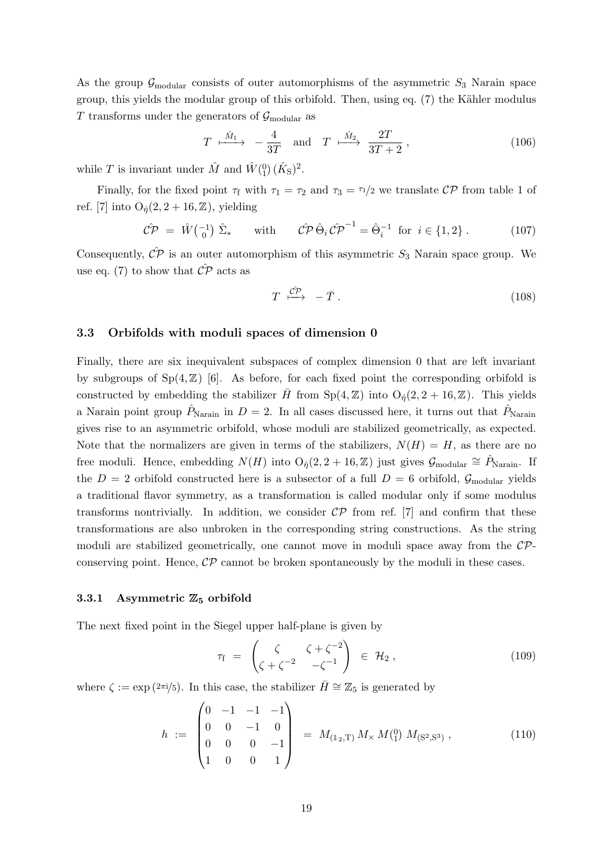As the group  $\mathcal{G}_{\text{modular}}$  consists of outer automorphisms of the asymmetric  $S_3$  Narain space group, this yields the modular group of this orbifold. Then, using eq.  $(7)$  the Kähler modulus T transforms under the generators of  $\mathcal{G}_{\text{modular}}$  as

$$
T \xrightarrow{\hat{M}_1} -\frac{4}{3T} \quad \text{and} \quad T \xrightarrow{\hat{M}_2} \frac{2T}{3T+2} , \qquad (106)
$$

while T is invariant under  $\hat{M}$  and  $\hat{W}^{(0)}_1(\hat{K}_S)^2$ .

Finally, for the fixed point  $\tau_f$  with  $\tau_1 = \tau_2$  and  $\tau_3 = \tau_1/2$  we translate CP from table 1 of ref. [\[7\]](#page-34-4) into  $O_{\hat{\eta}}(2, 2+16, \mathbb{Z})$ , yielding

$$
\hat{\mathcal{CP}} = \hat{W}\begin{pmatrix} -1\\ 0 \end{pmatrix} \hat{\Sigma}_* \quad \text{with} \quad \hat{\mathcal{CP}}\hat{\Theta}_i \hat{\mathcal{CP}}^{-1} = \hat{\Theta}_i^{-1} \text{ for } i \in \{1, 2\} \,.
$$
 (107)

Consequently,  $\hat{CP}$  is an outer automorphism of this asymmetric  $S_3$  Narain space group. We use eq. [\(7\)](#page-4-3) to show that  $\hat{CP}$  acts as

$$
T \xrightarrow{\hat{\mathcal{CP}}} -\bar{T} \tag{108}
$$

#### 3.3 Orbifolds with moduli spaces of dimension 0

Finally, there are six inequivalent subspaces of complex dimension 0 that are left invariant by subgroups of  $Sp(4, \mathbb{Z})$  [\[6\]](#page-34-3). As before, for each fixed point the corresponding orbifold is constructed by embedding the stabilizer  $\bar{H}$  from  $Sp(4, \mathbb{Z})$  into  $O_{\hat{n}}(2, 2 + 16, \mathbb{Z})$ . This yields a Narain point group  $\hat{P}_{\text{Narain}}$  in  $D = 2$ . In all cases discussed here, it turns out that  $\hat{P}_{\text{Narain}}$ gives rise to an asymmetric orbifold, whose moduli are stabilized geometrically, as expected. Note that the normalizers are given in terms of the stabilizers,  $N(H) = H$ , as there are no free moduli. Hence, embedding  $N(H)$  into  $O_{\hat{\eta}}(2, 2 + 16, \mathbb{Z})$  just gives  $\mathcal{G}_{\text{modular}} \cong \hat{P}_{\text{Narian}}$ . If the  $D = 2$  orbifold constructed here is a subsector of a full  $D = 6$  orbifold,  $\mathcal{G}_{\text{modular}}$  yields a traditional flavor symmetry, as a transformation is called modular only if some modulus transforms nontrivially. In addition, we consider  $\mathcal{CP}$  from ref. [\[7\]](#page-34-4) and confirm that these transformations are also unbroken in the corresponding string constructions. As the string moduli are stabilized geometrically, one cannot move in moduli space away from the  $\mathcal{CP}$ conserving point. Hence,  $\mathcal{CP}$  cannot be broken spontaneously by the moduli in these cases.

#### <span id="page-19-0"></span>3.3.1 Asymmetric  $\mathbb{Z}_5$  orbifold

The next fixed point in the Siegel upper half-plane is given by

$$
\tau_{\rm f} = \begin{pmatrix} \zeta & \zeta + \zeta^{-2} \\ \zeta + \zeta^{-2} & -\zeta^{-1} \end{pmatrix} \in \mathcal{H}_2, \qquad (109)
$$

where  $\zeta := \exp(2\pi i/5)$ . In this case, the stabilizer  $\bar{H} \cong \mathbb{Z}_5$  is generated by

$$
h := \begin{pmatrix} 0 & -1 & -1 & -1 \\ 0 & 0 & -1 & 0 \\ 0 & 0 & 0 & -1 \\ 1 & 0 & 0 & 1 \end{pmatrix} = M_{(1_2,\text{T})} M_{\times} M_{(1)}^{0} M_{(\text{S}^2,\text{S}^3)}, \qquad (110)
$$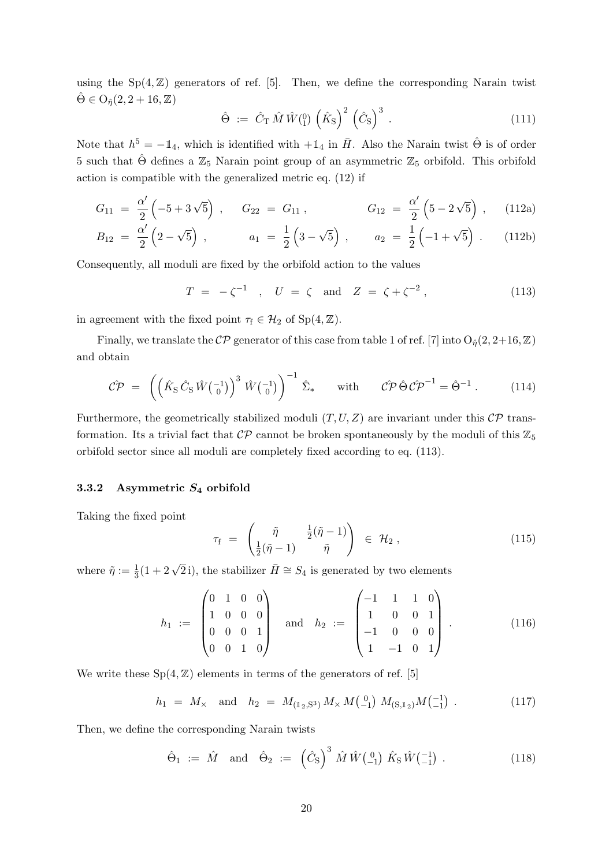using the  $Sp(4, \mathbb{Z})$  generators of ref. [\[5\]](#page-34-2). Then, we define the corresponding Narain twist  $\hat{\Theta} \in \mathrm{O}_{\hat{n}}(2, 2+16, \mathbb{Z})$ 

$$
\hat{\Theta} := \hat{C}_{\mathrm{T}} \hat{M} \hat{W} \begin{pmatrix} 0 \\ 1 \end{pmatrix} \left( \hat{K}_{\mathrm{S}} \right)^2 \left( \hat{C}_{\mathrm{S}} \right)^3 . \tag{111}
$$

Note that  $h^5 = -\mathbb{1}_4$ , which is identified with  $+\mathbb{1}_4$  in  $\bar{H}$ . Also the Narain twist  $\hat{\Theta}$  is of order 5 such that  $\hat{\Theta}$  defines a  $\mathbb{Z}_5$  Narain point group of an asymmetric  $\mathbb{Z}_5$  orbifold. This orbifold action is compatible with the generalized metric eq. [\(12\)](#page-5-0) if

$$
G_{11} = \frac{\alpha'}{2} \left( -5 + 3\sqrt{5} \right) , \qquad G_{22} = G_{11} , \qquad G_{12} = \frac{\alpha'}{2} \left( 5 - 2\sqrt{5} \right) , \qquad (112a)
$$

$$
B_{12} = \frac{\alpha'}{2} \left( 2 - \sqrt{5} \right) , \qquad a_1 = \frac{1}{2} \left( 3 - \sqrt{5} \right) , \qquad a_2 = \frac{1}{2} \left( -1 + \sqrt{5} \right) . \qquad (112b)
$$

Consequently, all moduli are fixed by the orbifold action to the values

<span id="page-20-1"></span>
$$
T = -\zeta^{-1} \quad , \quad U = \zeta \quad \text{and} \quad Z = \zeta + \zeta^{-2} \,, \tag{113}
$$

in agreement with the fixed point  $\tau_f \in \mathcal{H}_2$  of  $Sp(4, \mathbb{Z})$ .

Finally, we translate the  $\mathcal{CP}$  generator of this case from table 1 of ref. [\[7\]](#page-34-4) into  $O_{\hat{\eta}}(2, 2+16, \mathbb{Z})$ and obtain

$$
\hat{\mathcal{CP}} = \left( \left( \hat{K}_{\mathrm{S}} \hat{C}_{\mathrm{S}} \hat{W} \begin{pmatrix} -1 \\ 0 \end{pmatrix} \right)^3 \hat{W} \begin{pmatrix} -1 \\ 0 \end{pmatrix} \right)^{-1} \hat{\Sigma}_* \quad \text{with} \quad \hat{\mathcal{CP}} \hat{\Theta} \hat{\mathcal{CP}}^{-1} = \hat{\Theta}^{-1} . \quad (114)
$$

Furthermore, the geometrically stabilized moduli  $(T, U, Z)$  are invariant under this  $\mathcal{CP}$  transformation. Its a trivial fact that  $\mathcal{CP}$  cannot be broken spontaneously by the moduli of this  $\mathbb{Z}_5$ orbifold sector since all moduli are completely fixed according to eq. [\(113\)](#page-20-1).

#### <span id="page-20-0"></span>3.3.2 Asymmetric  $S_4$  orbifold

Taking the fixed point

$$
\tau_{\rm f} = \begin{pmatrix} \tilde{\eta} & \frac{1}{2}(\tilde{\eta} - 1) \\ \frac{1}{2}(\tilde{\eta} - 1) & \tilde{\eta} \end{pmatrix} \in \mathcal{H}_2 , \qquad (115)
$$

where  $\tilde{\eta} := \frac{1}{3}(1 + 2\sqrt{2}i)$ , the stabilizer  $\overline{H} \cong S_4$  is generated by two elements

$$
h_1 := \begin{pmatrix} 0 & 1 & 0 & 0 \\ 1 & 0 & 0 & 0 \\ 0 & 0 & 0 & 1 \\ 0 & 0 & 1 & 0 \end{pmatrix} \text{ and } h_2 := \begin{pmatrix} -1 & 1 & 1 & 0 \\ 1 & 0 & 0 & 1 \\ -1 & 0 & 0 & 0 \\ 1 & -1 & 0 & 1 \end{pmatrix}.
$$
 (116)

We write these  $Sp(4, \mathbb{Z})$  elements in terms of the generators of ref. [\[5\]](#page-34-2)

$$
h_1 = M_{\times} \quad \text{and} \quad h_2 = M_{(\mathbb{1}_2, \mathbb{S}^3)} M_{\times} M_{(-1)}^{0} M_{(\mathbb{S}, \mathbb{1}_2)} M_{(-1)}^{1} . \tag{117}
$$

Then, we define the corresponding Narain twists

$$
\hat{\Theta}_1 := \hat{M} \text{ and } \hat{\Theta}_2 := (\hat{C}_S)^3 \hat{M} \hat{W} \begin{pmatrix} 0 \\ -1 \end{pmatrix} \hat{K}_S \hat{W} \begin{pmatrix} -1 \\ -1 \end{pmatrix} . \tag{118}
$$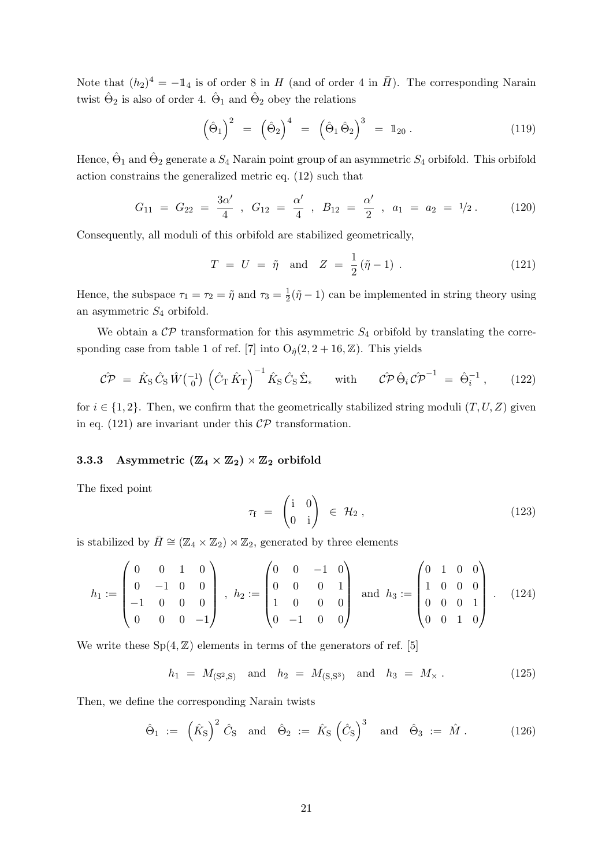Note that  $(h_2)^4 = -1_4$  is of order 8 in H (and of order 4 in  $\bar{H}$ ). The corresponding Narain twist  $\hat{\Theta}_2$  is also of order 4.  $\hat{\Theta}_1$  and  $\hat{\Theta}_2$  obey the relations

$$
\left(\hat{\Theta}_1\right)^2 = \left(\hat{\Theta}_2\right)^4 = \left(\hat{\Theta}_1\hat{\Theta}_2\right)^3 = \mathbb{1}_{20}.
$$
\n(119)

Hence,  $\hat{\Theta}_1$  and  $\hat{\Theta}_2$  generate a  $S_4$  Narain point group of an asymmetric  $S_4$  orbifold. This orbifold action constrains the generalized metric eq. [\(12\)](#page-5-0) such that

$$
G_{11} = G_{22} = \frac{3\alpha'}{4} , G_{12} = \frac{\alpha'}{4} , B_{12} = \frac{\alpha'}{2} , a_1 = a_2 = 1/2 . \qquad (120)
$$

Consequently, all moduli of this orbifold are stabilized geometrically,

<span id="page-21-1"></span>
$$
T = U = \tilde{\eta}
$$
 and  $Z = \frac{1}{2}(\tilde{\eta} - 1)$ . (121)

Hence, the subspace  $\tau_1 = \tau_2 = \tilde{\eta}$  and  $\tau_3 = \frac{1}{2}$  $\frac{1}{2}(\tilde{\eta}-1)$  can be implemented in string theory using an asymmetric  $S_4$  orbifold.

We obtain a  $\mathcal{CP}$  transformation for this asymmetric  $S_4$  orbifold by translating the corre-sponding case from table 1 of ref. [\[7\]](#page-34-4) into  $O_{\hat{n}}(2, 2+16, \mathbb{Z})$ . This yields

$$
\hat{CP} = \hat{K}_{\rm S} \hat{C}_{\rm S} \hat{W} \begin{pmatrix} -1 \\ 0 \end{pmatrix} \left( \hat{C}_{\rm T} \hat{K}_{\rm T} \right)^{-1} \hat{K}_{\rm S} \hat{C}_{\rm S} \hat{\Sigma}_{*} \quad \text{with} \quad \hat{CP} \hat{\Theta}_{i} \hat{CP}^{-1} = \hat{\Theta}_{i}^{-1} , \quad (122)
$$

for  $i \in \{1,2\}$ . Then, we confirm that the geometrically stabilized string moduli  $(T, U, Z)$  given in eq. [\(121\)](#page-21-1) are invariant under this  $\mathcal{CP}$  transformation.

#### <span id="page-21-0"></span>3.3.3 Asymmetric  $(\mathbb{Z}_4 \times \mathbb{Z}_2) \rtimes \mathbb{Z}_2$  orbifold

The fixed point

$$
\tau_{\rm f} = \begin{pmatrix} \mathrm{i} & 0 \\ 0 & \mathrm{i} \end{pmatrix} \in \mathcal{H}_2 , \qquad (123)
$$

is stabilized by  $\bar{H} \cong (\mathbb{Z}_4 \times \mathbb{Z}_2) \rtimes \mathbb{Z}_2$ , generated by three elements

$$
h_1 := \begin{pmatrix} 0 & 0 & 1 & 0 \\ 0 & -1 & 0 & 0 \\ -1 & 0 & 0 & 0 \\ 0 & 0 & 0 & -1 \end{pmatrix}, \ h_2 := \begin{pmatrix} 0 & 0 & -1 & 0 \\ 0 & 0 & 0 & 1 \\ 1 & 0 & 0 & 0 \\ 0 & -1 & 0 & 0 \end{pmatrix} \text{ and } h_3 := \begin{pmatrix} 0 & 1 & 0 & 0 \\ 1 & 0 & 0 & 0 \\ 0 & 0 & 0 & 1 \\ 0 & 0 & 1 & 0 \end{pmatrix}. \tag{124}
$$

We write these  $Sp(4, \mathbb{Z})$  elements in terms of the generators of ref. [\[5\]](#page-34-2)

$$
h_1 = M_{(S^2,S)} \quad \text{and} \quad h_2 = M_{(S,S^3)} \quad \text{and} \quad h_3 = M_\times \,. \tag{125}
$$

Then, we define the corresponding Narain twists

$$
\hat{\Theta}_1 := (\hat{K}_S)^2 \hat{C}_S \text{ and } \hat{\Theta}_2 := \hat{K}_S (\hat{C}_S)^3 \text{ and } \hat{\Theta}_3 := \hat{M}. \qquad (126)
$$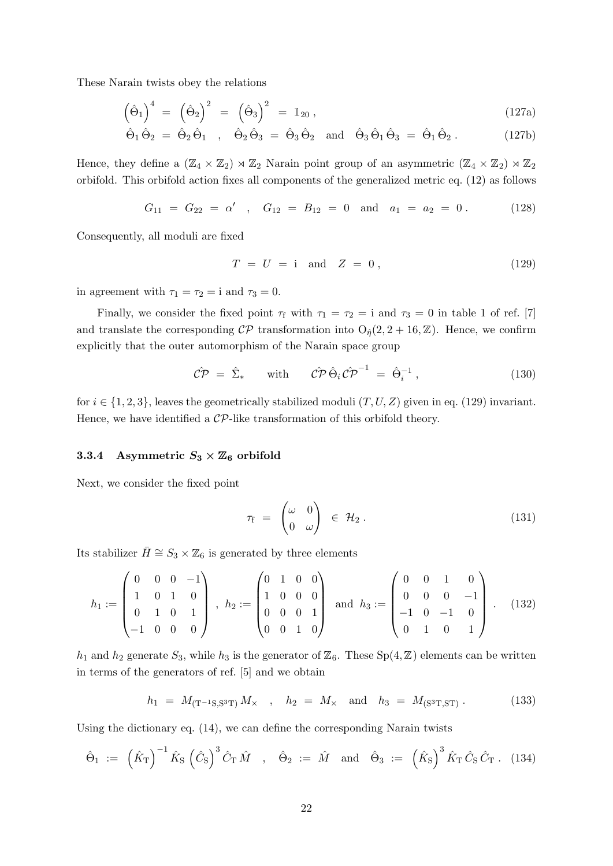These Narain twists obey the relations

$$
\left(\hat{\Theta}_1\right)^4 = \left(\hat{\Theta}_2\right)^2 = \left(\hat{\Theta}_3\right)^2 = \mathbb{1}_{20},\tag{127a}
$$

$$
\hat{\Theta}_1 \hat{\Theta}_2 = \hat{\Theta}_2 \hat{\Theta}_1 \quad , \quad \hat{\Theta}_2 \hat{\Theta}_3 = \hat{\Theta}_3 \hat{\Theta}_2 \quad \text{and} \quad \hat{\Theta}_3 \hat{\Theta}_1 \hat{\Theta}_3 = \hat{\Theta}_1 \hat{\Theta}_2 \,. \tag{127b}
$$

Hence, they define a  $(\mathbb{Z}_4 \times \mathbb{Z}_2) \rtimes \mathbb{Z}_2$  Narain point group of an asymmetric  $(\mathbb{Z}_4 \times \mathbb{Z}_2) \rtimes \mathbb{Z}_2$ orbifold. This orbifold action fixes all components of the generalized metric eq. [\(12\)](#page-5-0) as follows

$$
G_{11} = G_{22} = \alpha' \quad , \quad G_{12} = B_{12} = 0 \quad \text{and} \quad a_1 = a_2 = 0 \,. \tag{128}
$$

Consequently, all moduli are fixed

<span id="page-22-1"></span>
$$
T = U = i \quad \text{and} \quad Z = 0 \,, \tag{129}
$$

in agreement with  $\tau_1 = \tau_2 = i$  and  $\tau_3 = 0$ .

Finally, we consider the fixed point  $\tau_f$  with  $\tau_1 = \tau_2 = i$  and  $\tau_3 = 0$  in table 1 of ref. [\[7\]](#page-34-4) and translate the corresponding  $\mathcal{CP}$  transformation into  $O_{\hat{\eta}}(2, 2 + 16, \mathbb{Z})$ . Hence, we confirm explicitly that the outer automorphism of the Narain space group

$$
\hat{\mathcal{CP}} = \hat{\Sigma}_{*} \quad \text{with} \quad \hat{\mathcal{CP}} \hat{\Theta}_{i} \hat{\mathcal{CP}}^{-1} = \hat{\Theta}_{i}^{-1} , \qquad (130)
$$

for  $i \in \{1, 2, 3\}$ , leaves the geometrically stabilized moduli  $(T, U, Z)$  given in eq. [\(129\)](#page-22-1) invariant. Hence, we have identified a  $\mathcal{CP}$ -like transformation of this orbifold theory.

#### <span id="page-22-0"></span>3.3.4 Asymmetric  $S_3 \times \mathbb{Z}_6$  orbifold

Next, we consider the fixed point

$$
\tau_{\rm f} = \begin{pmatrix} \omega & 0 \\ 0 & \omega \end{pmatrix} \in \mathcal{H}_2 \,.
$$
 (131)

Its stabilizer  $\bar{H} \cong S_3 \times \mathbb{Z}_6$  is generated by three elements

$$
h_1 := \begin{pmatrix} 0 & 0 & 0 & -1 \\ 1 & 0 & 1 & 0 \\ 0 & 1 & 0 & 1 \\ -1 & 0 & 0 & 0 \end{pmatrix}, \ h_2 := \begin{pmatrix} 0 & 1 & 0 & 0 \\ 1 & 0 & 0 & 0 \\ 0 & 0 & 0 & 1 \\ 0 & 0 & 1 & 0 \end{pmatrix} \text{ and } h_3 := \begin{pmatrix} 0 & 0 & 1 & 0 \\ 0 & 0 & 0 & -1 \\ -1 & 0 & -1 & 0 \\ 0 & 1 & 0 & 1 \end{pmatrix}. \tag{132}
$$

 $h_1$  and  $h_2$  generate  $S_3$ , while  $h_3$  is the generator of  $\mathbb{Z}_6$ . These  $Sp(4, \mathbb{Z})$  elements can be written in terms of the generators of ref. [\[5\]](#page-34-2) and we obtain

$$
h_1 = M_{(T^{-1}S,S^3T)}M_{\times} , \quad h_2 = M_{\times} \quad \text{and} \quad h_3 = M_{(S^3T,ST)} . \tag{133}
$$

Using the dictionary eq. [\(14\)](#page-6-1), we can define the corresponding Narain twists

$$
\hat{\Theta}_1 := (\hat{K}_T)^{-1} \hat{K}_S (\hat{C}_S)^3 \hat{C}_T \hat{M} , \hat{\Theta}_2 := \hat{M} \text{ and } \hat{\Theta}_3 := (\hat{K}_S)^3 \hat{K}_T \hat{C}_S \hat{C}_T . (134)
$$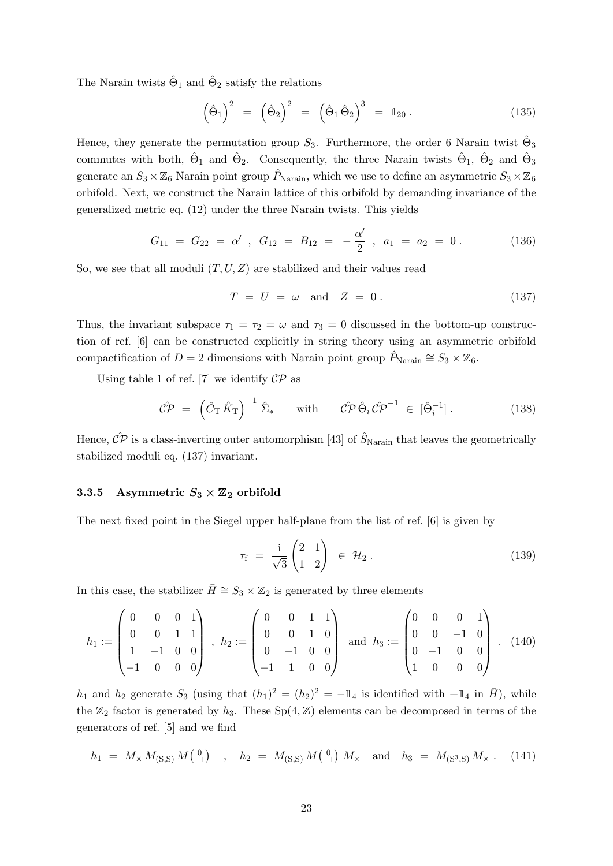The Narain twists  $\hat{\Theta}_1$  and  $\hat{\Theta}_2$  satisfy the relations

$$
\left(\hat{\Theta}_1\right)^2 = \left(\hat{\Theta}_2\right)^2 = \left(\hat{\Theta}_1\hat{\Theta}_2\right)^3 = \mathbb{1}_{20}.
$$
\n(135)

Hence, they generate the permutation group  $S_3$ . Furthermore, the order 6 Narain twist  $\hat{\Theta}_3$ commutes with both,  $\hat{\Theta}_1$  and  $\hat{\Theta}_2$ . Consequently, the three Narain twists  $\hat{\Theta}_1$ ,  $\hat{\Theta}_2$  and  $\hat{\Theta}_3$ generate an  $S_3 \times \mathbb{Z}_6$  Narain point group  $\hat{P}_{\text{Narain}}$ , which we use to define an asymmetric  $S_3 \times \mathbb{Z}_6$ orbifold. Next, we construct the Narain lattice of this orbifold by demanding invariance of the generalized metric eq. [\(12\)](#page-5-0) under the three Narain twists. This yields

$$
G_{11} = G_{22} = \alpha' , G_{12} = B_{12} = -\frac{\alpha'}{2} , a_1 = a_2 = 0.
$$
 (136)

So, we see that all moduli  $(T, U, Z)$  are stabilized and their values read

<span id="page-23-1"></span>
$$
T = U = \omega \quad \text{and} \quad Z = 0. \tag{137}
$$

Thus, the invariant subspace  $\tau_1 = \tau_2 = \omega$  and  $\tau_3 = 0$  discussed in the bottom-up construction of ref. [\[6\]](#page-34-3) can be constructed explicitly in string theory using an asymmetric orbifold compactification of D = 2 dimensions with Narain point group  $\hat{P}_{\text{Narain}} \cong S_3 \times \mathbb{Z}_6$ .

Using table 1 of ref. [\[7\]](#page-34-4) we identify  $\mathcal{CP}$  as

$$
\hat{\mathcal{CP}} = \left(\hat{C}_{\mathrm{T}}\hat{K}_{\mathrm{T}}\right)^{-1}\hat{\Sigma}_{*} \quad \text{with} \quad \hat{\mathcal{CP}}\hat{\Theta}_{i}\hat{\mathcal{CP}}^{-1} \in [\hat{\Theta}_{i}^{-1}]. \tag{138}
$$

Hence,  $\hat{CP}$  is a class-inverting outer automorphism [\[43\]](#page-37-1) of  $\hat{S}_{\text{Narain}}$  that leaves the geometrically stabilized moduli eq. [\(137\)](#page-23-1) invariant.

#### <span id="page-23-0"></span>3.3.5 Asymmetric  $S_3 \times \mathbb{Z}_2$  orbifold

The next fixed point in the Siegel upper half-plane from the list of ref. [\[6\]](#page-34-3) is given by

$$
\tau_{\rm f} = \frac{\rm i}{\sqrt{3}} \begin{pmatrix} 2 & 1 \\ 1 & 2 \end{pmatrix} \in \mathcal{H}_2 \,.
$$
 (139)

In this case, the stabilizer  $\bar{H} \cong S_3 \times \mathbb{Z}_2$  is generated by three elements

$$
h_1 := \begin{pmatrix} 0 & 0 & 0 & 1 \\ 0 & 0 & 1 & 1 \\ 1 & -1 & 0 & 0 \\ -1 & 0 & 0 & 0 \end{pmatrix}, \ h_2 := \begin{pmatrix} 0 & 0 & 1 & 1 \\ 0 & 0 & 1 & 0 \\ 0 & -1 & 0 & 0 \\ -1 & 1 & 0 & 0 \end{pmatrix} \text{ and } h_3 := \begin{pmatrix} 0 & 0 & 0 & 1 \\ 0 & 0 & -1 & 0 \\ 0 & -1 & 0 & 0 \\ 1 & 0 & 0 & 0 \end{pmatrix}. \tag{140}
$$

 $h_1$  and  $h_2$  generate  $S_3$  (using that  $(h_1)^2 = (h_2)^2 = -\mathbb{1}_4$  is identified with  $+\mathbb{1}_4$  in  $\bar{H}$ ), while the  $\mathbb{Z}_2$  factor is generated by  $h_3$ . These  $Sp(4, \mathbb{Z})$  elements can be decomposed in terms of the generators of ref. [\[5\]](#page-34-2) and we find

$$
h_1 = M \times M_{(S,S)} M_{(-1)}^{0} \quad , \quad h_2 = M_{(S,S)} M_{(-1)}^{0} M \times \text{ and } h_3 = M_{(S^3,S)} M \times . \quad (141)
$$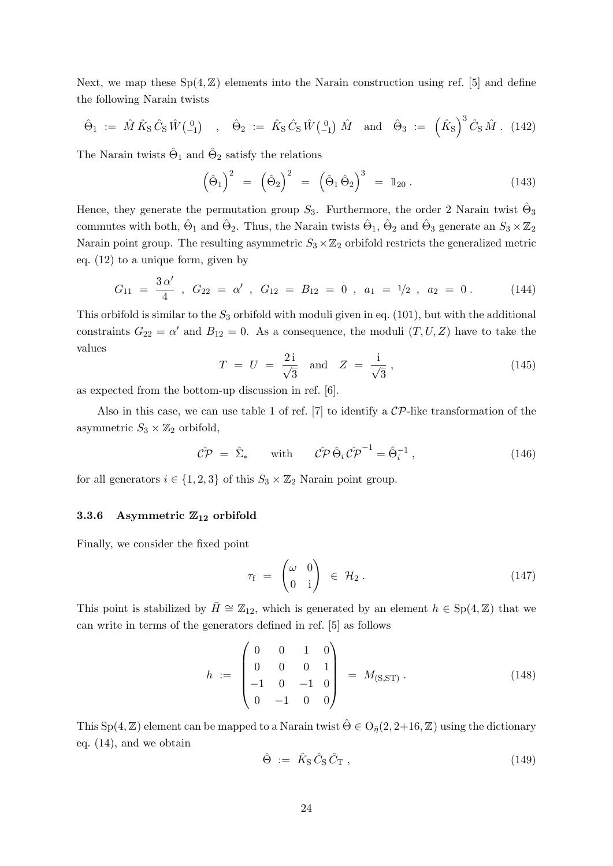Next, we map these  $Sp(4, \mathbb{Z})$  elements into the Narain construction using ref. [\[5\]](#page-34-2) and define the following Narain twists

$$
\hat{\Theta}_1 := \hat{M} \hat{K}_S \hat{C}_S \hat{W} \begin{pmatrix} 0 \\ -1 \end{pmatrix} , \hat{\Theta}_2 := \hat{K}_S \hat{C}_S \hat{W} \begin{pmatrix} 0 \\ -1 \end{pmatrix} \hat{M} \text{ and } \hat{\Theta}_3 := (\hat{K}_S)^3 \hat{C}_S \hat{M} . (142)
$$

The Narain twists  $\hat{\Theta}_1$  and  $\hat{\Theta}_2$  satisfy the relations

$$
\left(\hat{\Theta}_1\right)^2 = \left(\hat{\Theta}_2\right)^2 = \left(\hat{\Theta}_1\hat{\Theta}_2\right)^3 = \mathbb{1}_{20}.
$$
\n(143)

Hence, they generate the permutation group  $S_3$ . Furthermore, the order 2 Narain twist  $\hat{\Theta}_3$ commutes with both,  $\hat{\Theta}_1$  and  $\hat{\Theta}_2$ . Thus, the Narain twists  $\hat{\Theta}_1$ ,  $\hat{\Theta}_2$  and  $\hat{\Theta}_3$  generate an  $S_3 \times \mathbb{Z}_2$ Narain point group. The resulting asymmetric  $S_3 \times \mathbb{Z}_2$  orbifold restricts the generalized metric eq. [\(12\)](#page-5-0) to a unique form, given by

$$
G_{11} = \frac{3 \alpha'}{4} , G_{22} = \alpha' , G_{12} = B_{12} = 0 , a_1 = 1/2 , a_2 = 0.
$$
 (144)

This orbifold is similar to the  $S_3$  orbifold with moduli given in eq. [\(101\)](#page-18-1), but with the additional constraints  $G_{22} = \alpha'$  and  $B_{12} = 0$ . As a consequence, the moduli  $(T, U, Z)$  have to take the values

$$
T = U = \frac{2i}{\sqrt{3}} \text{ and } Z = \frac{i}{\sqrt{3}}, \qquad (145)
$$

as expected from the bottom-up discussion in ref. [\[6\]](#page-34-3).

Also in this case, we can use table 1 of ref. [\[7\]](#page-34-4) to identify a  $\mathcal{CP}$ -like transformation of the asymmetric  $S_3 \times \mathbb{Z}_2$  orbifold,

$$
\hat{\mathcal{CP}} = \hat{\Sigma}_{*} \quad \text{with} \quad \hat{\mathcal{CP}} \hat{\Theta}_{i} \hat{\mathcal{CP}}^{-1} = \hat{\Theta}_{i}^{-1} , \qquad (146)
$$

for all generators  $i \in \{1, 2, 3\}$  of this  $S_3 \times \mathbb{Z}_2$  Narain point group.

## <span id="page-24-0"></span>3.3.6 Asymmetric  $\mathbb{Z}_{12}$  orbifold

Finally, we consider the fixed point

$$
\tau_{\rm f} = \begin{pmatrix} \omega & 0 \\ 0 & \mathrm{i} \end{pmatrix} \in \mathcal{H}_2. \tag{147}
$$

This point is stabilized by  $\bar{H} \cong \mathbb{Z}_{12}$ , which is generated by an element  $h \in Sp(4, \mathbb{Z})$  that we can write in terms of the generators defined in ref. [\[5\]](#page-34-2) as follows

$$
h := \begin{pmatrix} 0 & 0 & 1 & 0 \\ 0 & 0 & 0 & 1 \\ -1 & 0 & -1 & 0 \\ 0 & -1 & 0 & 0 \end{pmatrix} = M_{(S,ST)}.
$$
 (148)

This Sp(4, Z) element can be mapped to a Narain twist  $\hat{\Theta} \in O_{\hat{\eta}}(2, 2+16, Z)$  using the dictionary eq. [\(14\)](#page-6-1), and we obtain

$$
\hat{\Theta} := \hat{K}_{\rm S} \hat{C}_{\rm S} \hat{C}_{\rm T} , \qquad (149)
$$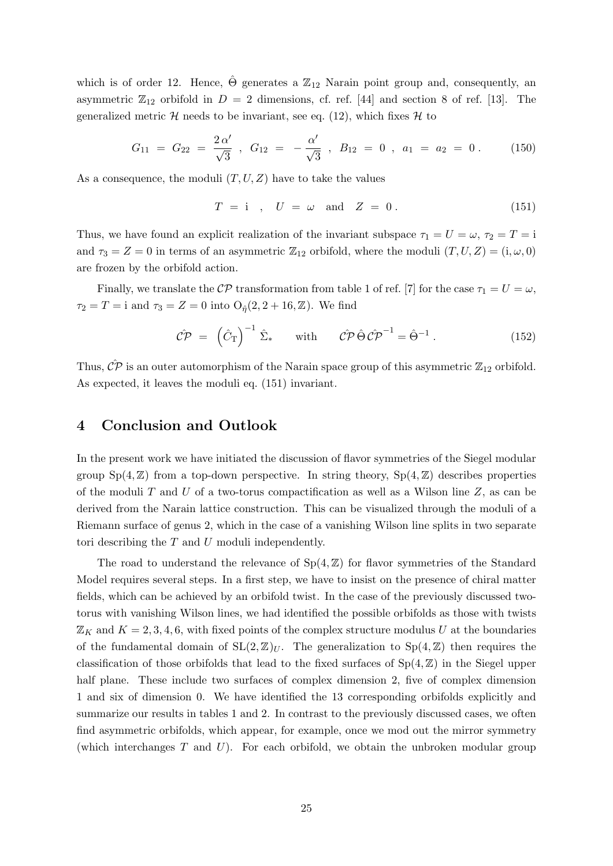which is of order 12. Hence,  $\Theta$  generates a  $\mathbb{Z}_{12}$  Narain point group and, consequently, an asymmetric  $\mathbb{Z}_{12}$  orbifold in  $D = 2$  dimensions, cf. ref. [\[44\]](#page-37-2) and section 8 of ref. [\[13\]](#page-35-3). The generalized metric  $\mathcal{H}$  needs to be invariant, see eq. [\(12\)](#page-5-0), which fixes  $\mathcal{H}$  to

$$
G_{11} = G_{22} = \frac{2\alpha'}{\sqrt{3}} , G_{12} = -\frac{\alpha'}{\sqrt{3}} , B_{12} = 0 , a_1 = a_2 = 0 .
$$
 (150)

As a consequence, the moduli  $(T, U, Z)$  have to take the values

<span id="page-25-1"></span>
$$
T = i \quad , \quad U = \omega \quad \text{and} \quad Z = 0 \,. \tag{151}
$$

Thus, we have found an explicit realization of the invariant subspace  $\tau_1 = U = \omega$ ,  $\tau_2 = T = i$ and  $\tau_3 = Z = 0$  in terms of an asymmetric  $\mathbb{Z}_{12}$  orbifold, where the moduli  $(T, U, Z) = (i, \omega, 0)$ are frozen by the orbifold action.

Finally, we translate the CP transformation from table 1 of ref. [\[7\]](#page-34-4) for the case  $\tau_1 = U = \omega$ ,  $\tau_2 = T = i$  and  $\tau_3 = Z = 0$  into  $O_{\hat{\eta}}(2, 2 + 16, Z)$ . We find

$$
\hat{\mathcal{CP}} = (\hat{C}_{\mathrm{T}})^{-1} \hat{\Sigma}_{*} \quad \text{with} \quad \hat{\mathcal{CP}} \hat{\Theta} \hat{\mathcal{CP}}^{-1} = \hat{\Theta}^{-1} . \quad (152)
$$

Thus,  $\mathcal{CP}$  is an outer automorphism of the Narain space group of this asymmetric  $\mathbb{Z}_{12}$  orbifold. As expected, it leaves the moduli eq. [\(151\)](#page-25-1) invariant.

## <span id="page-25-0"></span>4 Conclusion and Outlook

In the present work we have initiated the discussion of flavor symmetries of the Siegel modular group  $Sp(4, \mathbb{Z})$  from a top-down perspective. In string theory,  $Sp(4, \mathbb{Z})$  describes properties of the moduli T and U of a two-torus compactification as well as a Wilson line  $Z$ , as can be derived from the Narain lattice construction. This can be visualized through the moduli of a Riemann surface of genus 2, which in the case of a vanishing Wilson line splits in two separate tori describing the T and U moduli independently.

The road to understand the relevance of  $Sp(4, \mathbb{Z})$  for flavor symmetries of the Standard Model requires several steps. In a first step, we have to insist on the presence of chiral matter fields, which can be achieved by an orbifold twist. In the case of the previously discussed twotorus with vanishing Wilson lines, we had identified the possible orbifolds as those with twists  $\mathbb{Z}_K$  and  $K = 2, 3, 4, 6$ , with fixed points of the complex structure modulus U at the boundaries of the fundamental domain of  $SL(2, \mathbb{Z})_U$ . The generalization to  $Sp(4, \mathbb{Z})$  then requires the classification of those orbifolds that lead to the fixed surfaces of  $Sp(4, \mathbb{Z})$  in the Siegel upper half plane. These include two surfaces of complex dimension 2, five of complex dimension 1 and six of dimension 0. We have identified the 13 corresponding orbifolds explicitly and summarize our results in tables [1](#page-2-0) and [2.](#page-29-0) In contrast to the previously discussed cases, we often find asymmetric orbifolds, which appear, for example, once we mod out the mirror symmetry (which interchanges  $T$  and  $U$ ). For each orbifold, we obtain the unbroken modular group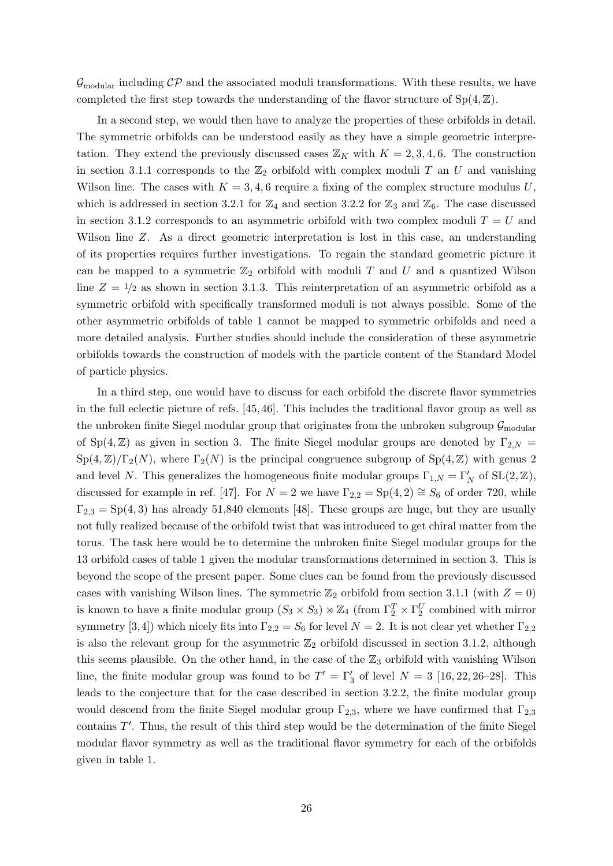$\mathcal{G}_{\text{modular}}$  including  $\mathcal{CP}$  and the associated moduli transformations. With these results, we have completed the first step towards the understanding of the flavor structure of  $Sp(4, \mathbb{Z})$ .

In a second step, we would then have to analyze the properties of these orbifolds in detail. The symmetric orbifolds can be understood easily as they have a simple geometric interpretation. They extend the previously discussed cases  $\mathbb{Z}_K$  with  $K = 2, 3, 4, 6$ . The construction in section [3.1.1](#page-7-0) corresponds to the  $\mathbb{Z}_2$  orbifold with complex moduli T an U and vanishing Wilson line. The cases with  $K = 3, 4, 6$  require a fixing of the complex structure modulus U, which is addressed in section [3.2.1](#page-12-0) for  $\mathbb{Z}_4$  and section [3.2.2](#page-14-0) for  $\mathbb{Z}_3$  and  $\mathbb{Z}_6$ . The case discussed in section [3.1.2](#page-9-0) corresponds to an asymmetric orbifold with two complex moduli  $T = U$  and Wilson line Z. As a direct geometric interpretation is lost in this case, an understanding of its properties requires further investigations. To regain the standard geometric picture it can be mapped to a symmetric  $\mathbb{Z}_2$  orbifold with moduli T and U and a quantized Wilson line  $Z = \frac{1}{2}$  as shown in section [3.1.3.](#page-10-0) This reinterpretation of an asymmetric orbifold as a symmetric orbifold with specifically transformed moduli is not always possible. Some of the other asymmetric orbifolds of table [1](#page-2-0) cannot be mapped to symmetric orbifolds and need a more detailed analysis. Further studies should include the consideration of these asymmetric orbifolds towards the construction of models with the particle content of the Standard Model of particle physics.

In a third step, one would have to discuss for each orbifold the discrete flavor symmetries in the full eclectic picture of refs. [\[45,](#page-37-3) [46\]](#page-37-4). This includes the traditional flavor group as well as the unbroken finite Siegel modular group that originates from the unbroken subgroup  $\mathcal{G}_{\text{modular}}$ of Sp(4,  $\mathbb{Z}$ ) as given in section [3.](#page-6-0) The finite Siegel modular groups are denoted by  $\Gamma_{2,N}$  =  $Sp(4,\mathbb{Z})/\Gamma_2(N)$ , where  $\Gamma_2(N)$  is the principal congruence subgroup of  $Sp(4,\mathbb{Z})$  with genus 2 and level N. This generalizes the homogeneous finite modular groups  $\Gamma_{1,N} = \Gamma'_{N}$  of  $SL(2, \mathbb{Z}),$ discussed for example in ref. [\[47\]](#page-37-5). For  $N = 2$  we have  $\Gamma_{2,2} = Sp(4, 2) \cong S_6$  of order 720, while  $\Gamma_{2,3} = Sp(4,3)$  has already 51,840 elements [\[48\]](#page-37-6). These groups are huge, but they are usually not fully realized because of the orbifold twist that was introduced to get chiral matter from the torus. The task here would be to determine the unbroken finite Siegel modular groups for the 13 orbifold cases of table [1](#page-2-0) given the modular transformations determined in section [3.](#page-6-0) This is beyond the scope of the present paper. Some clues can be found from the previously discussed cases with vanishing Wilson lines. The symmetric  $\mathbb{Z}_2$  orbifold from section [3.1.1](#page-7-0) (with  $Z = 0$ ) is known to have a finite modular group  $(S_3 \times S_3) \rtimes \mathbb{Z}_4$  (from  $\Gamma_2^T \times \Gamma_2^U$  combined with mirror symmetry [\[3,](#page-34-6)[4\]](#page-34-1)) which nicely fits into  $\Gamma_{2,2} = S_6$  for level  $N = 2$ . It is not clear yet whether  $\Gamma_{2,2}$ is also the relevant group for the asymmetric  $\mathbb{Z}_2$  orbifold discussed in section [3.1.2,](#page-9-0) although this seems plausible. On the other hand, in the case of the  $\mathbb{Z}_3$  orbifold with vanishing Wilson line, the finite modular group was found to be  $T' = \Gamma'_3$  of level  $N = 3$  [\[16,](#page-35-6) [22,](#page-35-9) [26–](#page-36-0)[28\]](#page-36-1). This leads to the conjecture that for the case described in section [3.2.2,](#page-14-0) the finite modular group would descend from the finite Siegel modular group  $\Gamma_{2,3}$ , where we have confirmed that  $\Gamma_{2,3}$ contains  $T'$ . Thus, the result of this third step would be the determination of the finite Siegel modular flavor symmetry as well as the traditional flavor symmetry for each of the orbifolds given in table [1.](#page-2-0)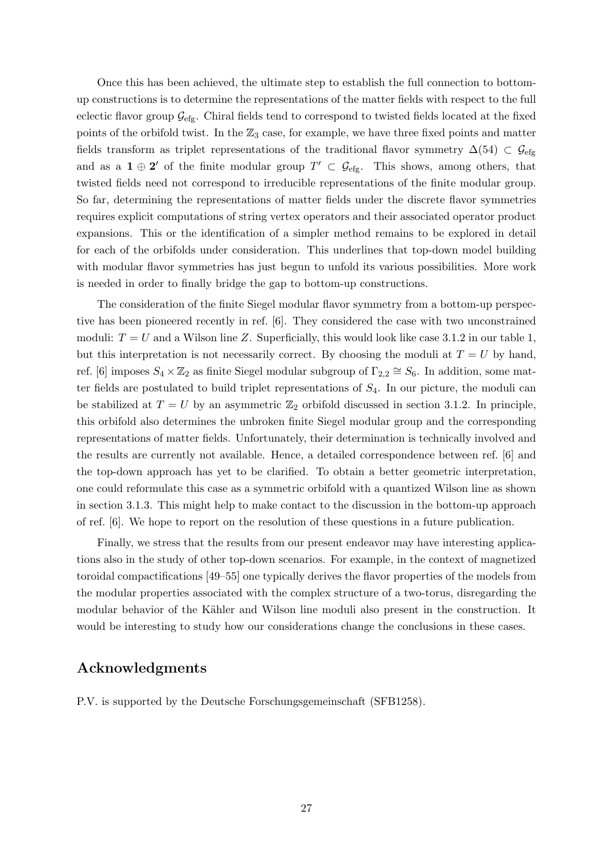Once this has been achieved, the ultimate step to establish the full connection to bottomup constructions is to determine the representations of the matter fields with respect to the full eclectic flavor group  $\mathcal{G}_{\text{efg}}$ . Chiral fields tend to correspond to twisted fields located at the fixed points of the orbifold twist. In the  $\mathbb{Z}_3$  case, for example, we have three fixed points and matter fields transform as triplet representations of the traditional flavor symmetry  $\Delta(54) \subset \mathcal{G}_{\text{efg}}$ and as a  $1 \oplus 2'$  of the finite modular group  $T' \subset \mathcal{G}_{\text{efg}}$ . This shows, among others, that twisted fields need not correspond to irreducible representations of the finite modular group. So far, determining the representations of matter fields under the discrete flavor symmetries requires explicit computations of string vertex operators and their associated operator product expansions. This or the identification of a simpler method remains to be explored in detail for each of the orbifolds under consideration. This underlines that top-down model building with modular flavor symmetries has just begun to unfold its various possibilities. More work is needed in order to finally bridge the gap to bottom-up constructions.

The consideration of the finite Siegel modular flavor symmetry from a bottom-up perspective has been pioneered recently in ref. [\[6\]](#page-34-3). They considered the case with two unconstrained moduli:  $T = U$  and a Wilson line Z. Superficially, this would look like case [3.1.2](#page-9-0) in our table [1,](#page-2-0) but this interpretation is not necessarily correct. By choosing the moduli at  $T = U$  by hand, ref. [\[6\]](#page-34-3) imposes  $S_4 \times \mathbb{Z}_2$  as finite Siegel modular subgroup of  $\Gamma_{2,2} \cong S_6$ . In addition, some matter fields are postulated to build triplet representations of  $S_4$ . In our picture, the moduli can be stabilized at  $T = U$  by an asymmetric  $\mathbb{Z}_2$  orbifold discussed in section [3.1.2.](#page-9-0) In principle, this orbifold also determines the unbroken finite Siegel modular group and the corresponding representations of matter fields. Unfortunately, their determination is technically involved and the results are currently not available. Hence, a detailed correspondence between ref. [\[6\]](#page-34-3) and the top-down approach has yet to be clarified. To obtain a better geometric interpretation, one could reformulate this case as a symmetric orbifold with a quantized Wilson line as shown in section [3.1.3.](#page-10-0) This might help to make contact to the discussion in the bottom-up approach of ref. [\[6\]](#page-34-3). We hope to report on the resolution of these questions in a future publication.

Finally, we stress that the results from our present endeavor may have interesting applications also in the study of other top-down scenarios. For example, in the context of magnetized toroidal compactifications [\[49–](#page-37-7)[55\]](#page-37-8) one typically derives the flavor properties of the models from the modular properties associated with the complex structure of a two-torus, disregarding the modular behavior of the Kähler and Wilson line moduli also present in the construction. It would be interesting to study how our considerations change the conclusions in these cases.

# Acknowledgments

P.V. is supported by the Deutsche Forschungsgemeinschaft (SFB1258).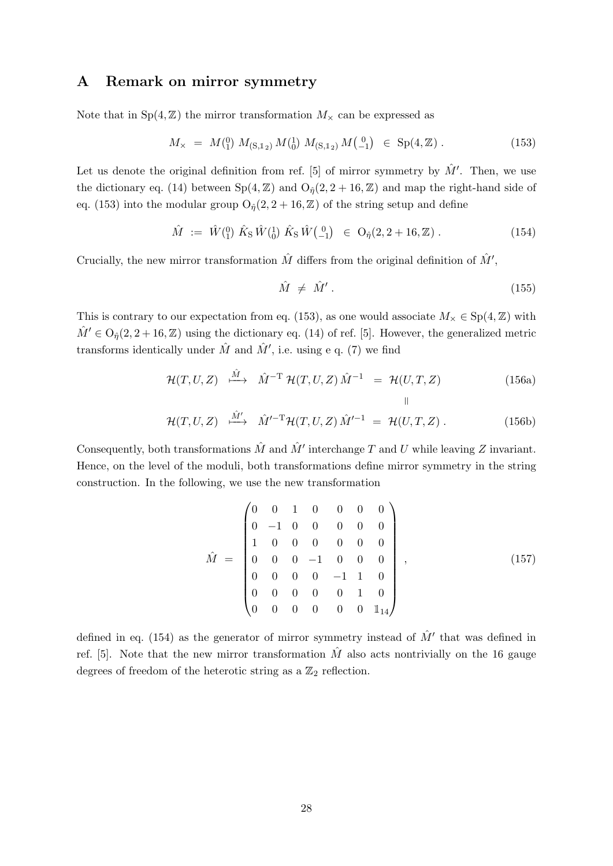# <span id="page-28-0"></span>A Remark on mirror symmetry

Note that in  $Sp(4, \mathbb{Z})$  the mirror transformation  $M_{\times}$  can be expressed as

<span id="page-28-2"></span>
$$
M_{\times} = M_{1}^{(0)} M_{(S,1_2)} M_{0}^{(1)} M_{(S,1_2)} M_{-1}^{(0)} \in Sp(4,\mathbb{Z}). \tag{153}
$$

Let us denote the original definition from ref. [\[5\]](#page-34-2) of mirror symmetry by  $\hat{M}'$ . Then, we use the dictionary eq. [\(14\)](#page-6-1) between  $Sp(4, \mathbb{Z})$  and  $O_{\hat{n}}(2, 2 + 16, \mathbb{Z})$  and map the right-hand side of eq. [\(153\)](#page-28-2) into the modular group  $O_{\hat{\eta}}(2, 2 + 16, \mathbb{Z})$  of the string setup and define

<span id="page-28-3"></span>
$$
\hat{M} := \hat{W}^{(0)}_{1} \hat{K}_{\rm S} \hat{W}^{(1)}_{0} \hat{K}_{\rm S} \hat{W}^{(0)}_{-1} \in O_{\hat{\eta}}(2, 2+16, \mathbb{Z}). \tag{154}
$$

Crucially, the new mirror transformation  $\hat{M}$  differs from the original definition of  $\hat{M}'$ ,

$$
\hat{M} \neq \hat{M}'.
$$
\n(155)

This is contrary to our expectation from eq. [\(153\)](#page-28-2), as one would associate  $M_{\times} \in Sp(4, \mathbb{Z})$  with  $\hat{M}' \in O_{\hat{p}}(2, 2+16, \mathbb{Z})$  using the dictionary eq. [\(14\)](#page-6-1) of ref. [\[5\]](#page-34-2). However, the generalized metric transforms identically under  $\hat{M}$  and  $\hat{M}'$ , i.e. using e q. [\(7\)](#page-4-3) we find

$$
\mathcal{H}(T,U,Z) \xrightarrow{\hat{M}} \hat{M}^{-T} \mathcal{H}(T,U,Z) \hat{M}^{-1} = \mathcal{H}(U,T,Z) \tag{156a}
$$

$$
\mathcal{H}(T,U,Z) \xrightarrow{\hat{M}'} \hat{M}'^{-T} \mathcal{H}(T,U,Z) \hat{M}'^{-1} = \mathcal{H}(U,T,Z) . \qquad (156b)
$$

Consequently, both transformations  $\hat{M}$  and  $\hat{M}'$  interchange T and U while leaving Z invariant. Hence, on the level of the moduli, both transformations define mirror symmetry in the string construction. In the following, we use the new transformation

<span id="page-28-1"></span>
$$
\hat{M} = \begin{pmatrix}\n0 & 0 & 1 & 0 & 0 & 0 & 0 \\
0 & -1 & 0 & 0 & 0 & 0 & 0 \\
1 & 0 & 0 & 0 & 0 & 0 & 0 \\
0 & 0 & 0 & -1 & 0 & 0 & 0 \\
0 & 0 & 0 & 0 & -1 & 1 & 0 \\
0 & 0 & 0 & 0 & 0 & 1 & 0 \\
0 & 0 & 0 & 0 & 0 & 0 & 1_{14}\n\end{pmatrix},
$$
\n(157)

defined in eq. [\(154\)](#page-28-3) as the generator of mirror symmetry instead of  $\hat{M}'$  that was defined in ref. [\[5\]](#page-34-2). Note that the new mirror transformation  $\hat{M}$  also acts nontrivially on the 16 gauge degrees of freedom of the heterotic string as a  $\mathbb{Z}_2$  reflection.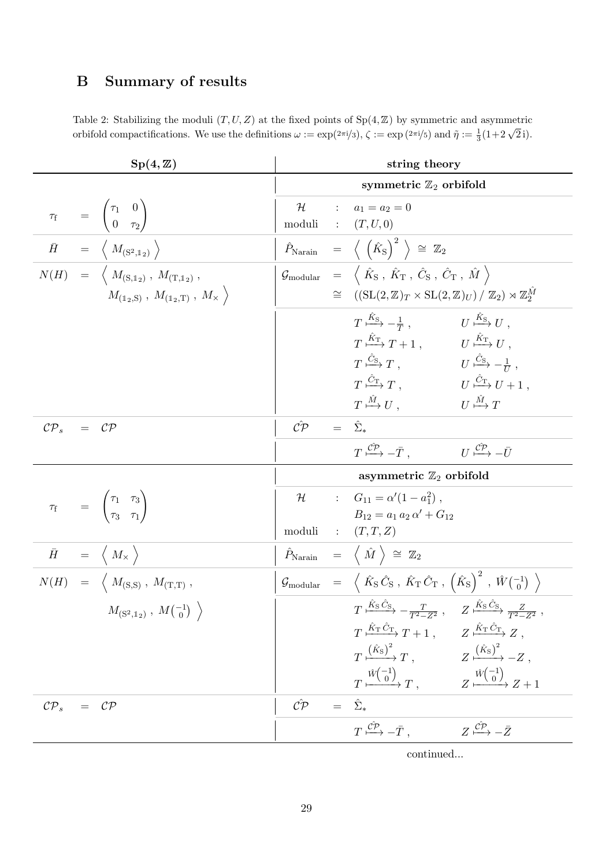# B Summary of results

<span id="page-29-0"></span>Table 2: Stabilizing the moduli  $(T, U, Z)$  at the fixed points of  $Sp(4, \mathbb{Z})$  by symmetric and asymmetric orbifold compactifications. We use the definitions  $\omega := \exp(2\pi i/3)$ ,  $\zeta := \exp(2\pi i/5)$  and  $\tilde{\eta} := \frac{1}{3}(1 + 2\sqrt{2}i)$ .

| $Sp(4,\mathbb{Z})$                                                                                                                     |                      |         | string theory                                                                                                                                                                                                          |
|----------------------------------------------------------------------------------------------------------------------------------------|----------------------|---------|------------------------------------------------------------------------------------------------------------------------------------------------------------------------------------------------------------------------|
|                                                                                                                                        |                      |         | symmetric $\mathbb{Z}_2$ orbifold                                                                                                                                                                                      |
| $\tau_{\rm f}$ = $\begin{pmatrix} \tau_1 & 0 \\ 0 & \tau_2 \end{pmatrix}$                                                              | ${\cal H}$<br>moduli |         | : $a_1 = a_2 = 0$<br>$\colon$ $(T, U, 0)$                                                                                                                                                                              |
| $\begin{array}{ccc} \bar{H} & = & \left\langle \begin{array}{c} M_{(\mathrm{S}^2,\mathbb{I}_2)} \end{array} \right\rangle \end{array}$ |                      |         | $\hat{P}_{\text{Narain}} = \langle (\hat{K}_{\text{S}})^2 \rangle \cong \mathbb{Z}_2$                                                                                                                                  |
| $N(H) = \left\langle M_{(\text{S},1_2)}, M_{(\text{T},1_2)}, \right\rangle$                                                            |                      |         | $\mathcal{G}_{\rm modular}$ = $\langle \hat{K}_{\rm S}$ , $\hat{K}_{\rm T}$ , $\hat{C}_{\rm S}$ , $\hat{C}_{\rm T}$ , $\hat{M}$                                                                                        |
| $M_{(\mathbb{1}_2,\mathbf{S})}$ , $M_{(\mathbb{1}_2,\mathbf{T})}$ , $M_{\times}$                                                       |                      | $\cong$ | $((\mathrm{SL}(2,\mathbb{Z})_T\times \mathrm{SL}(2,\mathbb{Z})_U)/\mathbb{Z}_2)\rtimes \mathbb{Z}_2^M$                                                                                                                 |
|                                                                                                                                        |                      |         | $T \xrightarrow{K_{\rm S}} -\frac{1}{T}$ , $U \xrightarrow{K_{\rm S}} U$ ,                                                                                                                                             |
|                                                                                                                                        |                      |         | $T \xrightarrow{\hat{K}_{\mathrm{T}}} T + 1, \qquad U \xrightarrow{\hat{K}_{\mathrm{T}}} U,$                                                                                                                           |
|                                                                                                                                        |                      |         | $T \stackrel{\tilde{C}_{\rm S}}{\longmapsto} T,$ $U \stackrel{\tilde{C}_{\rm S}}{\longmapsto} -\frac{1}{U},$                                                                                                           |
|                                                                                                                                        |                      |         | $T \stackrel{C_{\rm T}}{\longmapsto} T$ , $U \stackrel{C_{\rm T}}{\longmapsto} U + 1$ ,                                                                                                                                |
|                                                                                                                                        |                      |         | $T \stackrel{\tilde{M}}{\longmapsto} U$ ,<br>$U \stackrel{\tilde{M}}{\longmapsto} T$                                                                                                                                   |
| $\mathcal{CP}_s$<br>$= CP$                                                                                                             | $\hat{C}P$           |         | $=$ $\hat{\Sigma}_{*}$                                                                                                                                                                                                 |
|                                                                                                                                        |                      |         | $T \stackrel{\hat{C\mathcal{P}}}{\longmapsto} -\bar{T}$ .<br>$U \stackrel{\hat{CP}}{\longrightarrow} -\bar{U}$                                                                                                         |
|                                                                                                                                        |                      |         | asymmetric $\mathbb{Z}_2$ orbifold                                                                                                                                                                                     |
| $\tau_{\rm f}$ = $\begin{pmatrix} \tau_1 & \tau_3 \\ \tau_3 & \tau_1 \end{pmatrix}$                                                    |                      |         | $\mathcal{H}$ : $G_{11} = \alpha'(1 - a_1^2)$ ,                                                                                                                                                                        |
|                                                                                                                                        |                      |         | $B_{12} = a_1 a_2 \alpha' + G_{12}$                                                                                                                                                                                    |
|                                                                                                                                        |                      |         | moduli : $(T, T, Z)$                                                                                                                                                                                                   |
| $\bar{H} = \langle M_{\times} \rangle$                                                                                                 |                      |         | $\hat{P}_{\text{Narain}} = \langle \hat{M} \rangle \cong \mathbb{Z}_2$                                                                                                                                                 |
| $N(H) = \langle M_{(S,S)}, M_{(T,T)},$                                                                                                 |                      |         | ${\cal G}_{\rm modular}$ = $\langle \hat{K}_{\rm S} \hat{C}_{\rm S} \, , \, \hat{K}_{\rm T} \hat{C}_{\rm T} \, , \, \left( \hat{K}_{\rm S} \right)^2 \, , \, \hat{W} \begin{pmatrix} -1 \\ 0 \end{pmatrix} \, \rangle$ |
| $M_{(\mathrm{S}^2, \mathbb{1}_2)}$ , $M_{(\begin{smallmatrix} -1 \\ 0 \end{smallmatrix})}$                                             |                      |         | $T \xrightarrow{\hat{K}_S \hat{C}_S} -\frac{T}{T^2 - Z^2}$ , $Z \xrightarrow{\hat{K}_S \hat{C}_S} \frac{Z}{T^2 - Z^2}$                                                                                                 |
|                                                                                                                                        |                      |         | $T \xrightarrow{\hat{K}_{\mathrm{T}} \hat{C}_{\mathrm{T}}} T + 1, \qquad Z \xrightarrow{\hat{K}_{\mathrm{T}} \hat{C}_{\mathrm{T}}} Z,$                                                                                 |
|                                                                                                                                        |                      |         | $T \xrightarrow{(\hat{K}_{\rm S})^2} T$ , $Z \xrightarrow{(\hat{K}_{\rm S})^2} -Z$ ,                                                                                                                                   |
|                                                                                                                                        |                      |         | $T \xrightarrow{\hat{W}\begin{pmatrix} -1\\0 \end{pmatrix}} T, \qquad Z \xrightarrow{\hat{W}\begin{pmatrix} -1\\0 \end{pmatrix}} Z + 1$                                                                                |
| $\mathcal{CP}_s = \mathcal{CP}$                                                                                                        | $\hat{C}P$           |         | $=$ $\hat{\Sigma}_{*}$                                                                                                                                                                                                 |
|                                                                                                                                        |                      |         | $T \stackrel{\hat{C P}}{\longmapsto} - \bar{T}$ ,<br>$Z \stackrel{\hat{C P}}{\longmapsto} -\bar{Z}$                                                                                                                    |

continued...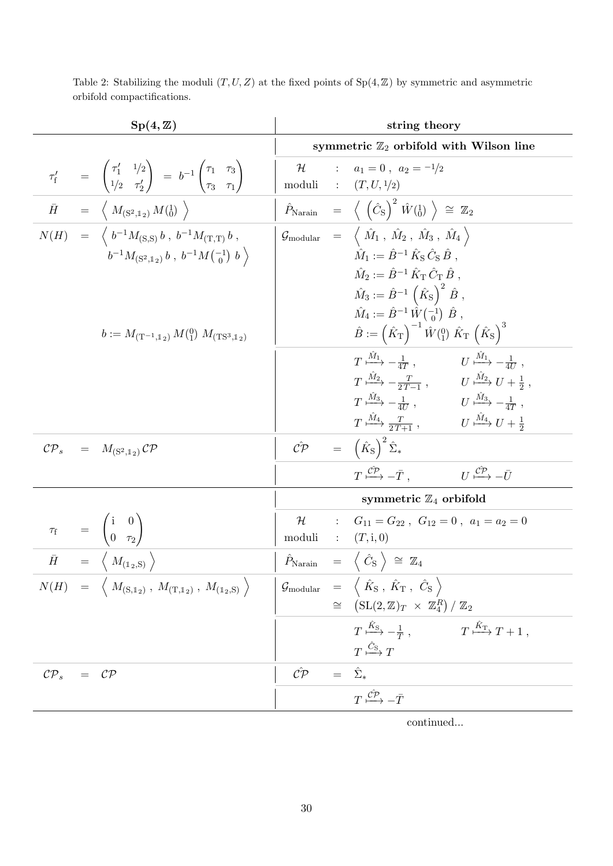| $Sp(4,\mathbb{Z})$                                                                                                                                                                                               |                                        | string theory                                                                                                                                                                                                                                                                                                                                                                                                         |
|------------------------------------------------------------------------------------------------------------------------------------------------------------------------------------------------------------------|----------------------------------------|-----------------------------------------------------------------------------------------------------------------------------------------------------------------------------------------------------------------------------------------------------------------------------------------------------------------------------------------------------------------------------------------------------------------------|
|                                                                                                                                                                                                                  |                                        | symmetric $\mathbb{Z}_2$ orbifold with Wilson line                                                                                                                                                                                                                                                                                                                                                                    |
| $\tau'_{f}$ = $\begin{pmatrix} \tau'_{1} & 1/2 \\ 1/2 & \tau'_{2} \end{pmatrix}$ = $b^{-1} \begin{pmatrix} \tau_{1} & \tau_{3} \\ \tau_{3} & \tau_{1} \end{pmatrix}$                                             | $\mathcal H$<br>moduli : $(T, U, 1/2)$ | : $a_1 = 0$ , $a_2 = -1/2$                                                                                                                                                                                                                                                                                                                                                                                            |
| $\begin{array}{rcl} \bar{H} & = & \left\langle \right. \, M_{\left( \mathrm{S}^2, \mathbb{I}_2 \right)} \, M(\mathrm{I}_0) \, \left. \right\rangle \end{array}$                                                  |                                        | $\hat{P}_{\text{Narain}} = \langle (\hat{C}_{\text{S}})^2 \hat{W}(\frac{1}{0}) \rangle \cong \mathbb{Z}_2$                                                                                                                                                                                                                                                                                                            |
| $N(H) = \langle b^{-1} M_{(S,S)} b, b^{-1} M_{(T,T)} b,$<br>$b^{-1}M_{\left(S^2,\mathbb{1}_2\right)}b$ , $b^{-1}M\left(\begin{smallmatrix} -1\\0 \end{smallmatrix}\right)b$                                      |                                        | $\mathcal{G}_{\rm modular}$ = $\langle \hat{M}_1, \hat{M}_2, \hat{M}_3, \hat{M}_4 \rangle$<br>$\hat{M}_1 := \hat{B}^{-1} \hat{K}_S \hat{C}_S \hat{B}$ ,<br>$\hat{M}_2 := \hat{B}^{-1} \hat{K}_{\rm T} \hat{C}_{\rm T} \hat{B}.$                                                                                                                                                                                       |
| $b := M_{(\mathrm{T}^{-1},\mathbb{1}_2)} M_{(1)}^{0} M_{(\mathrm{TS}^3,\mathbb{1}_2)}$                                                                                                                           |                                        | $\hat{M}_3 := \hat{B}^{-1} (\hat{K}_S)^2 \hat{B}$ ,<br>$\hat{M}_4 := \hat{B}^{-1} \hat{W} \begin{pmatrix} -1 \\ 0 \end{pmatrix} \hat{B}$ ,<br>$\hat{B} := (\hat{K}_{\rm T})^{-1} \hat{W}({}^{0}_{1}) \hat{K}_{\rm T} (\hat{K}_{\rm S})^{3}$                                                                                                                                                                           |
|                                                                                                                                                                                                                  |                                        | $T \stackrel{M_1}{\longmapsto} -\frac{1}{4T}$ , $U \stackrel{M_1}{\longmapsto} -\frac{1}{4U}$ ,<br>$T \stackrel{\hat{M}_2}{\longmapsto} -\frac{T}{2\,T-1} \; , \qquad \quad U \stackrel{\hat{M}_2}{\longmapsto} U + \tfrac{1}{2} \; ,$<br>$T \xrightarrow{\tilde{M}_3} -\frac{1}{4U}$ , $U \xrightarrow{\tilde{M}_3} -\frac{1}{4T}$ ,<br>$T \xrightarrow{M_4} \frac{T}{2T+1}$ , $U \xrightarrow{M_4} U + \frac{1}{2}$ |
| $\mathcal{CP}_s = M_{(S^2,1_2)}\mathcal{CP}$                                                                                                                                                                     |                                        | $\hat{CP} = (\hat{K}_{\rm S})^2 \hat{\Sigma}_*$                                                                                                                                                                                                                                                                                                                                                                       |
|                                                                                                                                                                                                                  |                                        | $U \stackrel{\r{CP}}{\longmapsto} -\bar{U}$<br>$T \stackrel{\hat{C\mathcal{P}}}{\longmapsto} -\bar{T}$ .                                                                                                                                                                                                                                                                                                              |
|                                                                                                                                                                                                                  |                                        | symmetric $\mathbb{Z}_4$ orbifold                                                                                                                                                                                                                                                                                                                                                                                     |
| $\begin{array}{ccc} \tau_{\rm f} & = & \begin{pmatrix} {\rm i} & 0 \ 0 & \tau_2 \end{pmatrix} \ \overline{\tilde{H}} & = & \left\langle \begin{array}{c} M_{(1_2, \rm S)} \end{array} \right\rangle \end{array}$ | ${\cal H}$<br>moduli : $(T,i,0)$       | : $G_{11} = G_{22}$ , $G_{12} = 0$ , $a_1 = a_2 = 0$                                                                                                                                                                                                                                                                                                                                                                  |
|                                                                                                                                                                                                                  |                                        | $\hat{P}_{\text{Narian}}$ = $\langle \hat{C}_{\text{S}} \rangle \cong \mathbb{Z}_4$                                                                                                                                                                                                                                                                                                                                   |
| $N(H) = \left\langle M_{(S,1_2)}, M_{(T,1_2)}, M_{(1_2,S)} \right\rangle$                                                                                                                                        |                                        | $\Big \begin{array}{ccc} \mathcal{G}_{\rm modular} &=& \left\langle \begin{array}{c} \hat{K}_{\rm S} \end{array}, \hat{K}_{\rm T} \end{array}, \begin{array}{c} \hat{C}_{\rm S} \end{array} \right\rangle$<br>$\cong$ $\left(SL(2,\mathbb{Z})_T \times \mathbb{Z}_4^R\right)/\mathbb{Z}_2$                                                                                                                            |
|                                                                                                                                                                                                                  |                                        | $T \xrightarrow{\hat{K}_{\text{S}}} -\frac{1}{T}, \qquad T \xrightarrow{\hat{K}_{\text{T}}} T + 1,$<br>$T \stackrel{\hat{C}_{\text{S}}}{\longmapsto} T$                                                                                                                                                                                                                                                               |
| $\mathcal{CP}_s$<br>$\cal CP$<br>$=$                                                                                                                                                                             | $\hat{C}P$                             | $=$ $\hat{\Sigma}_{*}$                                                                                                                                                                                                                                                                                                                                                                                                |
|                                                                                                                                                                                                                  |                                        | $T \xrightarrow{\mathcal{C}\mathcal{P}} -\bar{T}$                                                                                                                                                                                                                                                                                                                                                                     |

continued...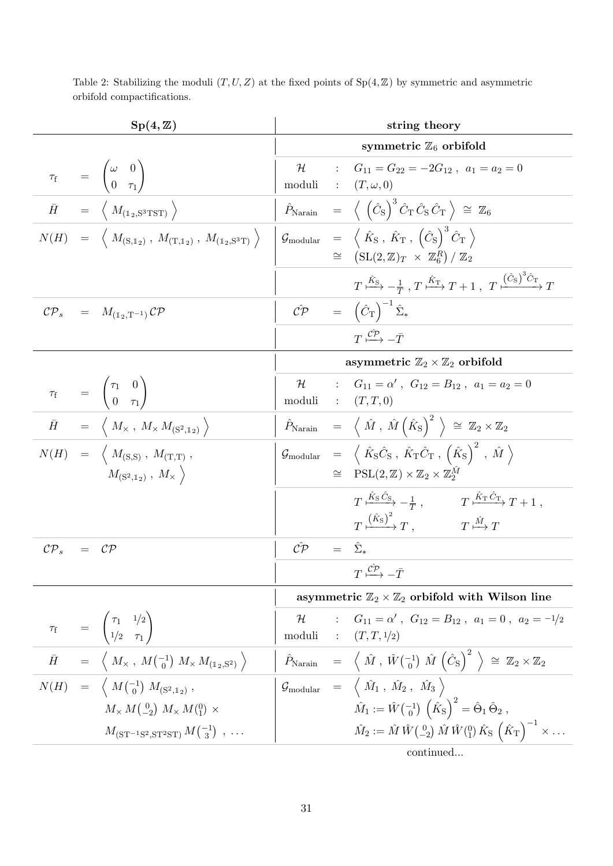| $Sp(4,\mathbb{Z})$                                                                        |                                                                                                                               | string theory                     |  |                                                                                                                                                                                                                                                                                                               |
|-------------------------------------------------------------------------------------------|-------------------------------------------------------------------------------------------------------------------------------|-----------------------------------|--|---------------------------------------------------------------------------------------------------------------------------------------------------------------------------------------------------------------------------------------------------------------------------------------------------------------|
|                                                                                           |                                                                                                                               | symmetric $\mathbb{Z}_6$ orbifold |  |                                                                                                                                                                                                                                                                                                               |
| $\tau_{\rm f}$ = $\begin{pmatrix} \omega & 0 \\ 0 & \tau_1 \end{pmatrix}$                 |                                                                                                                               | $\mathcal H$                      |  | : $G_{11} = G_{22} = -2G_{12}$ , $a_1 = a_2 = 0$<br>moduli : $(T, \omega, 0)$                                                                                                                                                                                                                                 |
| $\bar{H}$ = $\langle M_{(1_2, \mathrm{S}^3 \mathrm{T} \mathrm{ST})} \rangle$              |                                                                                                                               |                                   |  | $\hat{P}_{\text{Narain}}$ = $\langle (\hat{C}_{\text{S}})^3 \hat{C}_{\text{T}} \hat{C}_{\text{S}} \hat{C}_{\text{T}} \rangle \cong \mathbb{Z}_6$                                                                                                                                                              |
|                                                                                           | $N(H) \quad = \quad \Big\langle \; M_{\rm (S,1_2)} \; , \; M_{\rm (T,1_2)} \; , \; M_{\rm (1_2,S^3T)} \; \Big\rangle \quad .$ |                                   |  | $\Big\vert \begin{array}{ccc} \mathcal{G}_{\rm modular} &=& \left\langle \begin{array}{c} \hat{K}_{\rm S} \end{array}, \hat{K}_{\rm T} \end{array}, \left( \hat{C}_{\rm S} \right)^3 \hat{C}_{\rm T} \end{array} \right\rangle$<br>$\cong$ $(\mathrm{SL}(2,\mathbb{Z})_T \times \mathbb{Z}_6^R)/\mathbb{Z}_2$ |
|                                                                                           |                                                                                                                               |                                   |  | $T \xrightarrow{\hat{K}_{\text{S}}} -\frac{1}{T}, T \xrightarrow{\hat{K}_{\text{T}}} T + 1, T \xrightarrow{( \hat{C}_{\text{S}} )^3 \hat{C}_{\text{T}}} T$                                                                                                                                                    |
| $\mathcal{CP}_s = M_{(\mathbb{1}_2, \mathrm{T}^{-1})} \mathcal{CP}$                       |                                                                                                                               |                                   |  | $\hat{C}P = (\hat{C}_{T})^{-1} \hat{\Sigma}_{*}$                                                                                                                                                                                                                                                              |
|                                                                                           |                                                                                                                               |                                   |  | $T \stackrel{\hat{C P}}{\longmapsto} - \bar{T}$                                                                                                                                                                                                                                                               |
|                                                                                           |                                                                                                                               |                                   |  | asymmetric $\mathbb{Z}_2 \times \mathbb{Z}_2$ orbifold                                                                                                                                                                                                                                                        |
| $\tau_{\rm f}$ = $\begin{pmatrix} \tau_1 & 0 \\ 0 & \tau_1 \end{pmatrix}$                 |                                                                                                                               | $\mathcal H$                      |  | $G_{11} = \alpha'$ , $G_{12} = B_{12}$ , $a_1 = a_2 = 0$<br>moduli : $(T, T, 0)$                                                                                                                                                                                                                              |
| $\bar{H}$ = $\langle M_{\times}, M_{\times} M_{(\mathrm{S}^2, \mathbb{I}_2)} \rangle$     |                                                                                                                               |                                   |  | $\begin{array}{rcl} \hat{P}_{\text{Narain}} & = & \left\langle \ \hat{M} \ , \ \hat{M} \left( \hat{K}_{\text{S}} \right)^2 \ \right\rangle \ \cong \ \mathbb{Z}_2 \times \mathbb{Z}_2 \end{array}$                                                                                                            |
| $N(H) = \langle M_{(S,S)}, M_{(T,T)},$                                                    | $M_{(S^2,1_2)}$ , $M_{\times}$                                                                                                |                                   |  | $\mathcal{G}_{\text{modular}} = \langle \hat{K}_{\text{S}} \hat{C}_{\text{S}} , \hat{K}_{\text{T}} \hat{C}_{\text{T}} , \left( \hat{K}_{\text{S}} \right)^2 , \hat{M} \rangle$<br>$\cong$ PSL $(2,\mathbb{Z})\times\mathbb{Z}_2\times\mathbb{Z}_2^M$                                                          |
|                                                                                           |                                                                                                                               |                                   |  | $T \xrightarrow{\hat{K}_{\rm S} \hat{C}_{\rm S}} -\frac{1}{T}$ , $T \xrightarrow{\hat{K}_{\rm T} C_{\rm T}} T + 1$ ,<br>$T \xrightarrow{(\hat{K}_{\rm S})^2} T$ , $T \xrightarrow{\hat{M}} T$                                                                                                                 |
| $\mathcal{CP}_s$<br>$=$ $\mathcal{CP}$                                                    |                                                                                                                               | $\hat{CP} = \hat{\Sigma}_*$       |  |                                                                                                                                                                                                                                                                                                               |
|                                                                                           |                                                                                                                               |                                   |  | $T \stackrel{\hat{\mathcal{CP}}}{\longmapsto} -\bar{T}$                                                                                                                                                                                                                                                       |
|                                                                                           |                                                                                                                               |                                   |  | asymmetric $\mathbb{Z}_2 \times \mathbb{Z}_2$ orbifold with Wilson line                                                                                                                                                                                                                                       |
| $\tau_{\rm f}$ = $\begin{pmatrix} \tau_{1} & 1/2 \\ 1/2 & \tau_{1} \end{pmatrix}$         |                                                                                                                               | H                                 |  | : $G_{11} = \alpha'$ , $G_{12} = B_{12}$ , $a_1 = 0$ , $a_2 = -1/2$<br>moduli : $(T, T, 1/2)$                                                                                                                                                                                                                 |
|                                                                                           | $\bar{H} = \langle M_{\times}, M(^{-1}_{0}) M_{\times} M_{(1_{2},S^{2})} \rangle$                                             |                                   |  | $\hat{P}_{\text{Narain}} = \left\langle \hat{M}, \hat{W} \begin{pmatrix} -1 \\ 0 \end{pmatrix} \hat{M} \begin{pmatrix} \hat{C}_\text{S} \end{pmatrix}^2 \right\rangle \cong \mathbb{Z}_2 \times \mathbb{Z}_2$                                                                                                 |
| $N(H) = \left\langle M\begin{pmatrix} -1 \\ 0 \end{pmatrix} M_{(S^2,1_2)}, \right\rangle$ |                                                                                                                               |                                   |  | $\mathcal{G}_{\rm modular}$ = $\langle \hat{M}_1, \hat{M}_2, \hat{M}_3 \rangle$                                                                                                                                                                                                                               |
|                                                                                           | $M_{\times} M({}^{0}_{-2}) M_{\times} M({}^{0}_{1}) \times$                                                                   |                                   |  | $\hat{M}_1 := \hat{W} \begin{pmatrix} -1 \\ 0 \end{pmatrix} \hat{K}_S^{\dagger} = \hat{\Theta}_1 \hat{\Theta}_2,$                                                                                                                                                                                             |
|                                                                                           | $M_{\rm (ST^{-1}S^2,ST^2ST)} M_{\rm (3)}^{-1}$ ,                                                                              |                                   |  | $\hat{M}_2 := \hat{M} \hat{W} \begin{pmatrix} 0 \\ -2 \end{pmatrix} \hat{M} \hat{W} \begin{pmatrix} 0 \\ 1 \end{pmatrix} \hat{K}_S \hat{K}_T \begin{pmatrix} \hat{K}_T \\ \end{pmatrix}^{-1} \times \dots$                                                                                                    |
|                                                                                           |                                                                                                                               |                                   |  | continued                                                                                                                                                                                                                                                                                                     |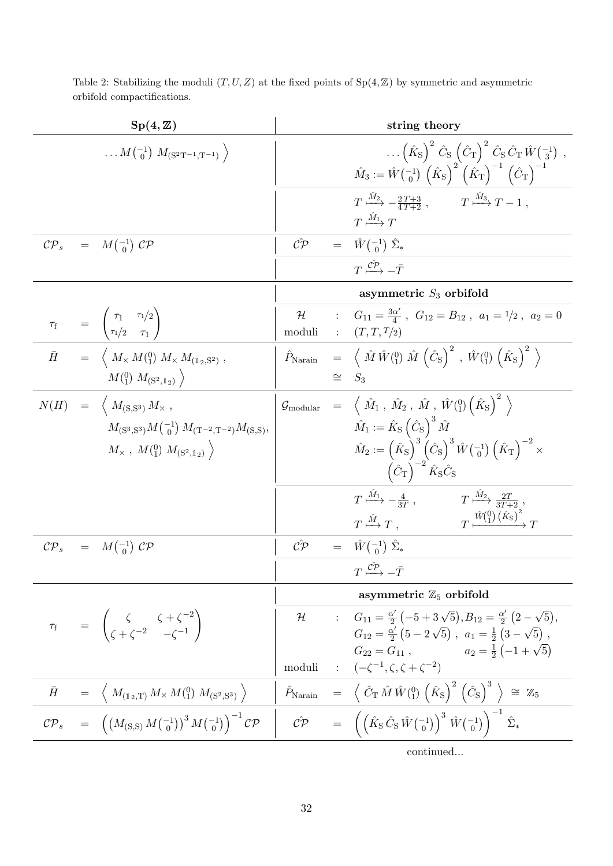|           | $Sp(4,\mathbb{Z})$                                                                                                                                                      |        | string theory                                                                                                                                                                                                                                                                                  |
|-----------|-------------------------------------------------------------------------------------------------------------------------------------------------------------------------|--------|------------------------------------------------------------------------------------------------------------------------------------------------------------------------------------------------------------------------------------------------------------------------------------------------|
|           | $\ldots M_{\binom{-1}{0}} M_{\left(S^2T^{-1},T^{-1}\right)}$                                                                                                            |        | $(\hat{K}_{S})^{2} \hat{C}_{S} (\hat{C}_{T})^{2} \hat{C}_{S} \hat{C}_{T} \hat{W} \begin{pmatrix} -1 \\ 3 \end{pmatrix} ,$<br>$\hat{M}_3 := \hat{W} \begin{pmatrix} -1 \\ 0 \end{pmatrix} \left( \hat{K}_S \right)^2 \left( \hat{K}_T \right)^{-1} \left( \hat{C}_T \right)^{-1}$               |
|           |                                                                                                                                                                         |        | $T \xrightarrow{M_2} -\frac{2T+3}{4T+2}$ , $T \xrightarrow{M_3} T-1$ ,<br>$T \stackrel{\tilde{M}_1}{\longmapsto} T$                                                                                                                                                                            |
|           | $\mathcal{CP}_s = M\begin{pmatrix} -1 \\ 0 \end{pmatrix} \mathcal{CP}$                                                                                                  |        | $\hat{CP} = \hat{W} \begin{pmatrix} -1 \\ 0 \end{pmatrix} \hat{\Sigma}_*$                                                                                                                                                                                                                      |
|           |                                                                                                                                                                         |        | $T \stackrel{\hat{C\mathcal{P}}}{\longmapsto} -\bar{T}$                                                                                                                                                                                                                                        |
|           |                                                                                                                                                                         |        | asymmetric $S_3$ orbifold                                                                                                                                                                                                                                                                      |
|           | $\tau_{\rm f}$ = $\begin{pmatrix} \tau_1 & \tau_1/2 \\ \tau_1/2 & \tau_1 \end{pmatrix}$                                                                                 | moduli | $\mathcal{H}$ : $G_{11} = \frac{3\alpha'}{4}$ , $G_{12} = B_{12}$ , $a_1 = 1/2$ , $a_2 = 0$<br>T, T, T/2                                                                                                                                                                                       |
| $\bar{H}$ | $\hspace{.3cm} = \hspace{.3cm} \left\langle \; M_{\times} \, M(^{0}_{1}) \; M_{\times} \, M_{(\mathbb{1}_{2}, \mathbb{S}^{2})} \; , \right.$                            |        | $\hat{P}_{\text{Narain}} = \left\langle \hat{M} \hat{W} \begin{pmatrix} 0 \end{pmatrix} \hat{M} \begin{pmatrix} \hat{C}_{\text{S}} \end{pmatrix}^2, \hat{W} \begin{pmatrix} 0 \end{pmatrix} \begin{pmatrix} \hat{K}_{\text{S}} \end{pmatrix}^2 \right\rangle$                                  |
|           | $M(^{0}_{1})$ $M_{(S^2,1_2)}$                                                                                                                                           |        | $\cong S_3$                                                                                                                                                                                                                                                                                    |
|           | $N(H) = \langle M_{(S,S^3)} M_{\times} ,$                                                                                                                               |        | $\mathcal{G}_{\rm modular}$ = $\langle \hat{M}_1, \hat{M}_2, \hat{M}, \hat{W}^{(0)}_{11} \left( \hat{K}_S \right)^2 \rangle$                                                                                                                                                                   |
|           | $M_{\rm(S^3,S^3)}M_{\rm(C^1)}M_{\rm (T^{-2},T^{-2})}M_{\rm (S,S)},$                                                                                                     |        | $\hat{M}_1 := \hat{K}_\text{S} \left(\hat{C}_\text{S}\right)^3 \hat{M}$                                                                                                                                                                                                                        |
|           | $M_{\times}$ , $M(^{0}_{1})$ $M_{(S^{2},1_{2})}$                                                                                                                        |        | $\hat{M}_2 := \left(\hat{K}_{\rm S}\right)^3 \left(\hat{C}_{\rm S}\right)^3 \hat{W} \left(^{-1}_{0}\right) \left(\hat{K}_{\rm T}\right)^{-2} \times$<br>$\left(\hat{C}_{\rm T}\right)^{-2} \hat{K}_{\rm S} \hat{C}_{\rm S}$                                                                    |
|           |                                                                                                                                                                         |        | $T \xrightarrow{\hat{M}_1} -\frac{4}{3T}$ , $T \xrightarrow{\hat{M}_2} \frac{2T}{3T+2}$ ,<br>$T \stackrel{\hat{M}}{\longmapsto} T$ , $T \stackrel{\hat{W}(0)}{\longmapsto} \stackrel{\hat{W}(0)}{\longrightarrow} T$                                                                           |
|           | $\mathcal{CP}_s = M \begin{pmatrix} -1 \\ 0 \end{pmatrix} \mathcal{CP}$                                                                                                 |        | $\hat{CP} = \hat{W} \begin{pmatrix} -1 \\ 0 \end{pmatrix} \hat{\Sigma}_*$                                                                                                                                                                                                                      |
|           |                                                                                                                                                                         |        | $T \stackrel{\mathcal{CP}}{\longmapsto} -\bar{T}$                                                                                                                                                                                                                                              |
|           |                                                                                                                                                                         |        | asymmetric $\mathbb{Z}_5$ orbifold                                                                                                                                                                                                                                                             |
|           | $\tau_f$ = $\begin{pmatrix} \zeta & \zeta + \zeta^{-2} \\ \zeta + \zeta^{-2} & -\zeta^{-1} \end{pmatrix}$                                                               |        | $\mathcal{H}$ : $G_{11} = \frac{\alpha'}{2} \left( -5 + 3\sqrt{5} \right), B_{12} = \frac{\alpha'}{2} \left( 2 - \sqrt{5} \right),$<br>$G_{12} = \frac{\alpha'}{2} (5 - 2\sqrt{5}), a_1 = \frac{1}{2} (3 - \sqrt{5}),$<br>$G_{22} = G_{11}$ , $a_2 = \frac{1}{2} \left( -1 + \sqrt{5} \right)$ |
|           |                                                                                                                                                                         |        | moduli : $(-\zeta^{-1}, \zeta, \zeta + \zeta^{-2})$                                                                                                                                                                                                                                            |
|           | $\bar{H}$ = $\langle M_{(1_2,\text{T})} M_{\times} M_{(1)}^{(0)} M_{(\text{S}^2,\text{S}^3)} \rangle$                                                                   |        | $\hat{P}_{\text{Narain}} = \left\langle \hat{C}_{\text{T}} \hat{M} \hat{W} \begin{pmatrix} 0 \\ 1 \end{pmatrix} \left( \hat{K}_{\text{S}} \right)^2 \left( \hat{C}_{\text{S}} \right)^3 \right\rangle \cong \mathbb{Z}_5$                                                                      |
|           | $\mathcal{CP}_s = \left( \left( M_{\text{(S,S)}} M \begin{pmatrix} -1 \\ 0 \end{pmatrix} \right)^3 M \begin{pmatrix} -1 \\ 0 \end{pmatrix} \right)^{-1} \mathcal{CP}_s$ |        | $\hat{C} \hat{P} = \left( \left( \hat{K}_{S} \hat{C}_{S} \hat{W} \begin{pmatrix} -1 \\ 0 \end{pmatrix} \right)^{3} \hat{W} \begin{pmatrix} -1 \\ 0 \end{pmatrix} \right)^{-1} \hat{\Sigma}_{*}$                                                                                                |
|           |                                                                                                                                                                         |        | continued                                                                                                                                                                                                                                                                                      |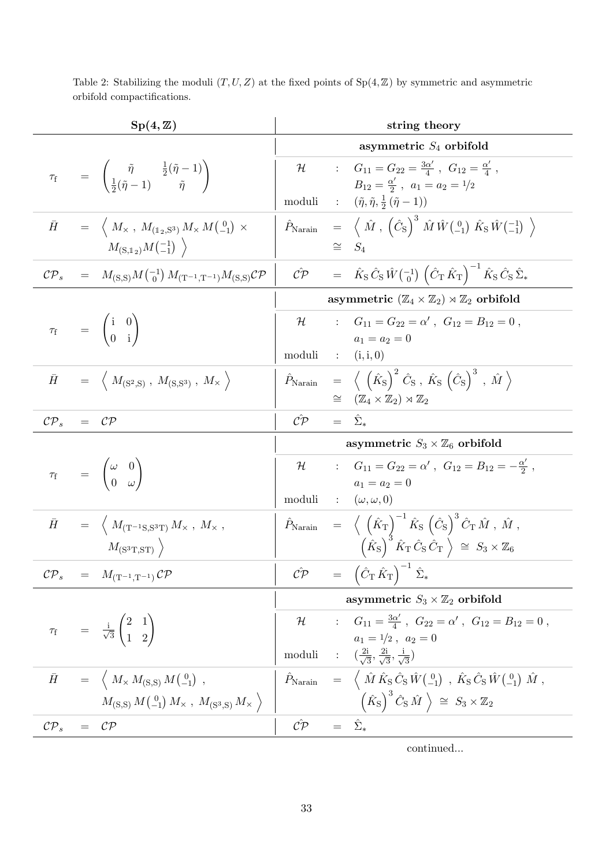| $Sp(4,\mathbb{Z})$ |  | string theory                                                                                                                                                                                                                       |              |                        |                                                                                                                                                                                                                                 |
|--------------------|--|-------------------------------------------------------------------------------------------------------------------------------------------------------------------------------------------------------------------------------------|--------------|------------------------|---------------------------------------------------------------------------------------------------------------------------------------------------------------------------------------------------------------------------------|
|                    |  |                                                                                                                                                                                                                                     |              |                        | asymmetric $S_4$ orbifold                                                                                                                                                                                                       |
|                    |  | $\tau_{\rm f}$ = $\begin{pmatrix} \tilde{\eta} & \frac{1}{2}(\tilde{\eta}-1) \\ \frac{1}{2}(\tilde{\eta}-1) & \tilde{\eta} \end{pmatrix}$                                                                                           | $\mathcal H$ |                        | : $G_{11} = G_{22} = \frac{3\alpha'}{4}$ , $G_{12} = \frac{\alpha'}{4}$ ,<br>$B_{12} = \frac{\alpha'}{2}$ , $a_1 = a_2 = 1/2$                                                                                                   |
|                    |  |                                                                                                                                                                                                                                     | moduli       |                        | $\hspace{1.6cm} : \hspace{1.5cm} (\tilde\eta , {\tilde\eta} , \frac{1}{2} \left( \tilde\eta - 1 \right))$                                                                                                                       |
| $\bar{H}$          |  | $\hspace{.3cm} = \hspace{.3cm} \left\langle \; M_{\times} \; , \; M_{(\mathbb{1}_2,\mathbb{S}^3)} \, M_{\times} \, M \left( \begin{smallmatrix} 0 \\ -1 \end{smallmatrix} \right) \; \times \; \right\rangle$<br>$M_{(S,1_2)}M(-1)$ |              |                        | $\hat{P}_{\text{Narain}} = \langle \hat{M}, \left(\hat{C}_{\text{S}}\right)^3 \hat{M} \hat{W} \begin{pmatrix} 0 \\ -1 \end{pmatrix} \hat{K}_{\text{S}} \hat{W} \begin{pmatrix} -1 \\ -1 \end{pmatrix} \rangle$<br>$\cong S_4$   |
| $\mathcal{CP}_s$   |  | $= M_{(S,S)}M^{-1}_{0}M_{(T^{-1},T^{-1})}M_{(S,S)}\mathcal{CP}$                                                                                                                                                                     |              |                        | $\hat{C} \hat{\mathcal{P}} = \hat{K}_{\rm S} \hat{C}_{\rm S} \hat{W} \begin{pmatrix} -1 \\ 0 \end{pmatrix} \left( \hat{C}_{\rm T} \hat{K}_{\rm T} \right)^{-1} \hat{K}_{\rm S} \hat{C}_{\rm S} \hat{\Sigma}_{*}$                |
|                    |  |                                                                                                                                                                                                                                     |              |                        | asymmetric $(\mathbb{Z}_4 \times \mathbb{Z}_2) \rtimes \mathbb{Z}_2$ orbifold                                                                                                                                                   |
|                    |  | $\tau_{\rm f}$ = $\begin{pmatrix} \text{i} & 0 \\ 0 & \text{i} \end{pmatrix}$                                                                                                                                                       | ${\cal H}$   |                        | : $G_{11} = G_{22} = \alpha'$ , $G_{12} = B_{12} = 0$ ,<br>$a_1 = a_2 = 0$                                                                                                                                                      |
|                    |  |                                                                                                                                                                                                                                     | moduli       |                        | $\colon$ (i, i, 0)                                                                                                                                                                                                              |
| $\bar{H}$          |  | $\hspace{.6cm} = \hspace{.4cm} \left\langle \; M_{\rm (S^2,S)} \; , \; M_{\rm (S,S^3)} \; , \; M_{\times} \; \right\rangle$                                                                                                         |              |                        | $\hat{P}_{\text{Narain}}$ = $\langle \hat{K_{\text{S}}} \rangle^2 \hat{C}_{\text{S}}$ , $\hat{K_{\text{S}}} \left(\hat{C}_{\text{S}}\right)^3$ , $\hat{M} \rangle$                                                              |
|                    |  |                                                                                                                                                                                                                                     |              |                        | $\cong$ $(\mathbb{Z}_4 \times \mathbb{Z}_2) \rtimes \mathbb{Z}_2$                                                                                                                                                               |
| $\mathcal{CP}_s$   |  | $=$ $\mathcal{CP}$                                                                                                                                                                                                                  | $\hat{C}P$   | $=$                    | $\hat{\Sigma}_{*}$                                                                                                                                                                                                              |
|                    |  |                                                                                                                                                                                                                                     |              |                        | asymmetric $S_3 \times \mathbb{Z}_6$ orbifold                                                                                                                                                                                   |
|                    |  | $\tau_{\rm f}$ = $\begin{pmatrix} \omega & 0 \\ 0 & \omega \end{pmatrix}$                                                                                                                                                           |              |                        | $\mathcal{H}$ : $G_{11} = G_{22} = \alpha'$ , $G_{12} = B_{12} = -\frac{\alpha'}{2}$ ,<br>$a_1 = a_2 = 0$                                                                                                                       |
|                    |  |                                                                                                                                                                                                                                     | moduli       |                        | $\colon \quad (\omega, \omega, 0)$                                                                                                                                                                                              |
| $\bar{H}$          |  | $\hspace{1.6cm} = \hspace{1.2cm} \Big\langle \; M_{\rm (T^{-1}S,S^3T)} \, M_{\times} \; , \; M_{\times} \; , \;$                                                                                                                    |              |                        | $\hat{P}_{\text{Narain}} \quad = \quad \Big\langle \; \left( \hat{K}_\text{T} \right)^{-1} \hat{K}_\text{S} \; \left( \hat{C}_\text{S} \right)^3 \hat{C}_\text{T} \, \hat{M} \; , \; \hat{M} \; ,$                              |
|                    |  | $M_{\rm (S^3T,ST)}$                                                                                                                                                                                                                 |              |                        | $\left(\hat{K}_{\rm S}\right)^3 \hat{K}_{\rm T} \hat{C}_{\rm S} \hat{C}_{\rm T} \; \Big\rangle \; \cong \; S_3 \times \mathbb{Z}_6$                                                                                             |
| $\mathcal{CP}_s$   |  | $= M_{(\mathrm{T}^{-1},\mathrm{T}^{-1})} \mathcal{CP}$                                                                                                                                                                              |              |                        | $\hat{C\mathcal{P}} = (\hat{C}_{\text{T}} \hat{K}_{\text{T}})^{-1} \hat{\Sigma}_{*}$                                                                                                                                            |
|                    |  |                                                                                                                                                                                                                                     |              |                        | asymmetric $S_3 \times \mathbb{Z}_2$ orbifold                                                                                                                                                                                   |
|                    |  | $\tau_{\rm f}$ = $\frac{\rm i}{\sqrt{3}}\begin{pmatrix} 2 & 1 \\ 1 & 2 \end{pmatrix}$                                                                                                                                               |              |                        | $\mathcal{H}$ : $G_{11} = \frac{3\alpha'}{4}$ , $G_{22} = \alpha'$ , $G_{12} = B_{12} = 0$ ,                                                                                                                                    |
|                    |  |                                                                                                                                                                                                                                     |              |                        | $a_1 = 1/2$ , $a_2 = 0$                                                                                                                                                                                                         |
|                    |  |                                                                                                                                                                                                                                     |              |                        | moduli : $\left(\frac{2i}{\sqrt{3}}, \frac{2i}{\sqrt{3}}, \frac{i}{\sqrt{3}}\right)$                                                                                                                                            |
| $\bar{H}$          |  | $= \left\langle M_{\times} M_{\rm (S,S)} M_{\rm (-1)}^{0} \right\rangle,$                                                                                                                                                           |              |                        | $\hat{P}_{\text{Narain}} = \langle \hat{M} \hat{K}_{\text{S}} \hat{C}_{\text{S}} \hat{W} \begin{pmatrix} 0 \\ -1 \end{pmatrix} , \hat{K}_{\text{S}} \hat{C}_{\text{S}} \hat{W} \begin{pmatrix} 0 \\ -1 \end{pmatrix} \hat{M} ,$ |
|                    |  | $M_{\rm (S,S)} M_{\rm (-1)}^{0} M_{\times}$ , $M_{\rm (S^3,S)} M_{\times}$                                                                                                                                                          |              |                        | $\left(\hat{K}_{\rm S}\right)^3 \hat{C}_{\rm S} \hat{M}$ $\Big\rangle \cong S_3 \times \mathbb{Z}_2$                                                                                                                            |
| $\mathcal{CP}_s$   |  | $= CP$                                                                                                                                                                                                                              | $\hat{C}P$   | $=$ $\hat{\Sigma}_{*}$ |                                                                                                                                                                                                                                 |

continued...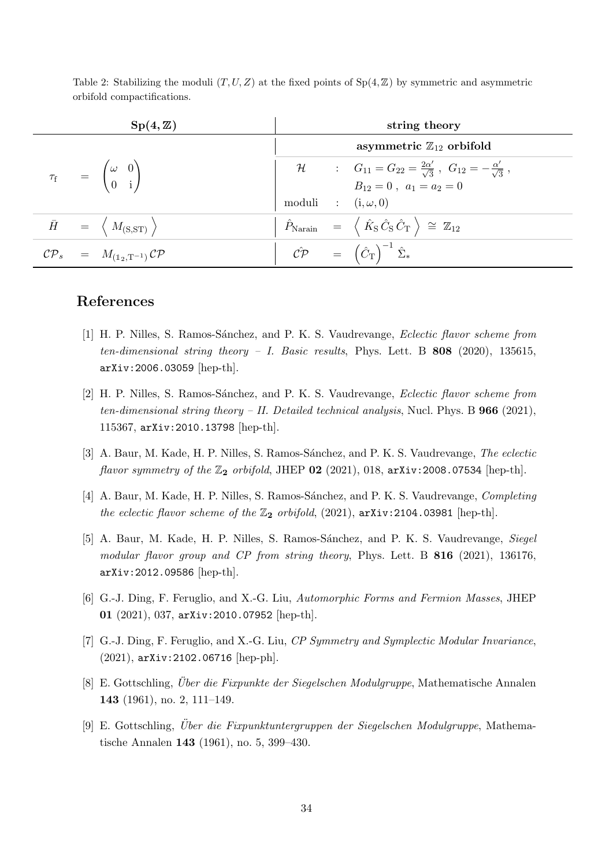|                                                                               | $Sp(4,\mathbb{Z})$                                                  |                           | string theory                                                                                                                  |
|-------------------------------------------------------------------------------|---------------------------------------------------------------------|---------------------------|--------------------------------------------------------------------------------------------------------------------------------|
|                                                                               |                                                                     |                           | asymmetric $\mathbb{Z}_{12}$ orbifold                                                                                          |
| $\tau_{\rm f}$ = $\begin{pmatrix} \omega & 0 \\ 0 & \mathrm{i} \end{pmatrix}$ |                                                                     |                           | $H$ : $G_{11} = G_{22} = \frac{2\alpha'}{\sqrt{3}}$ , $G_{12} = -\frac{\alpha'}{\sqrt{3}}$ ,<br>$B_{12} = 0$ , $a_1 = a_2 = 0$ |
|                                                                               |                                                                     |                           |                                                                                                                                |
|                                                                               |                                                                     | moduli : $(i, \omega, 0)$ |                                                                                                                                |
|                                                                               | $\bar{H}$ = $\langle M_{\rm (S,ST)} \rangle$                        |                           | $\hat{P}_{\text{Narain}} = \langle \hat{K}_{\text{S}} \hat{C}_{\text{S}} \hat{C}_{\text{T}} \rangle \cong \mathbb{Z}_{12}$     |
|                                                                               | $\mathcal{CP}_s = M_{(\mathbb{1}_2, \mathbb{T}^{-1})} \mathcal{CP}$ |                           | $\hat{C} \hat{\mathcal{P}} = (\hat{C}_{\mathrm{T}})^{-1} \hat{\Sigma}_{*}$                                                     |

# References

- <span id="page-34-0"></span>[1] H. P. Nilles, S. Ramos-Sánchez, and P. K. S. Vaudrevange, *Eclectic flavor scheme from* ten-dimensional string theory - I. Basic results, Phys. Lett. B  $808$  (2020), 135615, arXiv:2006.03059 [hep-th].
- <span id="page-34-7"></span>[2] H. P. Nilles, S. Ramos-Sánchez, and P. K. S. Vaudrevange, *Eclectic flavor scheme from* ten-dimensional string theory – II. Detailed technical analysis, Nucl. Phys. B  $966$  (2021), 115367, arXiv:2010.13798 [hep-th].
- <span id="page-34-6"></span>[3] A. Baur, M. Kade, H. P. Nilles, S. Ramos-Sánchez, and P. K. S. Vaudrevange, The eclectic flavor symmetry of the  $\mathbb{Z}_2$  orbifold, JHEP 02 (2021), 018, arXiv:2008.07534 [hep-th].
- <span id="page-34-1"></span>[4] A. Baur, M. Kade, H. P. Nilles, S. Ramos-Sánchez, and P. K. S. Vaudrevange, *Completing* the eclectic flavor scheme of the  $\mathbb{Z}_2$  orbifold, (2021), arXiv:2104.03981 [hep-th].
- <span id="page-34-2"></span>[5] A. Baur, M. Kade, H. P. Nilles, S. Ramos-Sánchez, and P. K. S. Vaudrevange, Siegel modular flavor group and CP from string theory, Phys. Lett. B 816 (2021), 136176, arXiv:2012.09586 [hep-th].
- <span id="page-34-3"></span>[6] G.-J. Ding, F. Feruglio, and X.-G. Liu, Automorphic Forms and Fermion Masses, JHEP 01 (2021), 037, arXiv:2010.07952 [hep-th].
- <span id="page-34-4"></span>[7] G.-J. Ding, F. Feruglio, and X.-G. Liu, CP Symmetry and Symplectic Modular Invariance, (2021), arXiv:2102.06716 [hep-ph].
- <span id="page-34-5"></span>[8] E. Gottschling, *Über die Fixpunkte der Siegelschen Modulgruppe*, Mathematische Annalen 143 (1961), no. 2, 111–149.
- [9] E. Gottschling, *Über die Fixpunktuntergruppen der Siegelschen Modulgruppe*, Mathematische Annalen 143 (1961), no. 5, 399–430.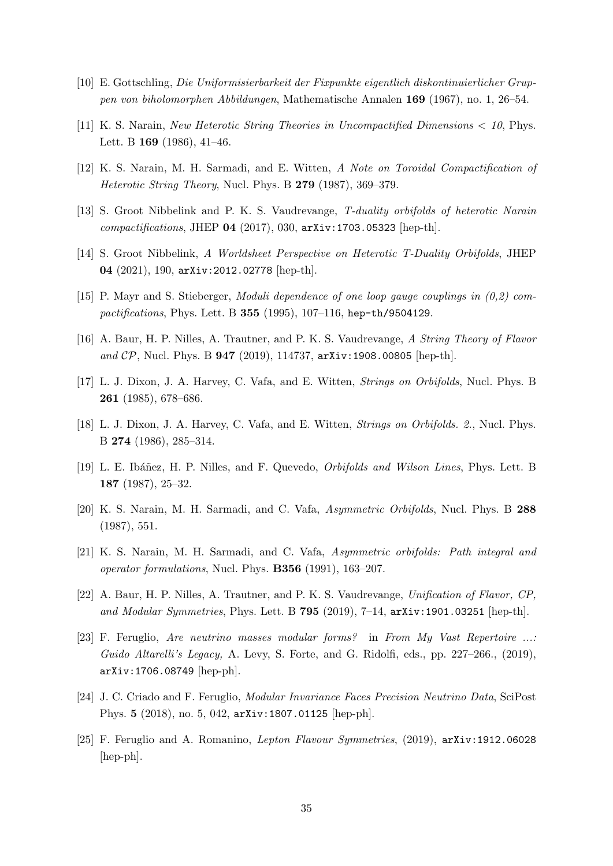- <span id="page-35-0"></span>[10] E. Gottschling, Die Uniformisierbarkeit der Fixpunkte eigentlich diskontinuierlicher Gruppen von biholomorphen Abbildungen, Mathematische Annalen 169 (1967), no. 1, 26–54.
- <span id="page-35-1"></span>[11] K. S. Narain, New Heterotic String Theories in Uncompactified Dimensions < 10, Phys. Lett. B 169 (1986), 41-46.
- <span id="page-35-2"></span>[12] K. S. Narain, M. H. Sarmadi, and E. Witten, A Note on Toroidal Compactification of Heterotic String Theory, Nucl. Phys. B 279 (1987), 369–379.
- <span id="page-35-3"></span>[13] S. Groot Nibbelink and P. K. S. Vaudrevange, T-duality orbifolds of heterotic Narain compactifications, JHEP 04  $(2017)$ , 030,  $arXiv:1703.05323$  [hep-th].
- <span id="page-35-4"></span>[14] S. Groot Nibbelink, A Worldsheet Perspective on Heterotic T-Duality Orbifolds, JHEP 04 (2021), 190, arXiv:2012.02778 [hep-th].
- <span id="page-35-5"></span>[15] P. Mayr and S. Stieberger, Moduli dependence of one loop gauge couplings in (0,2) compactifications, Phys. Lett. B 355 (1995), 107–116, hep-th/9504129.
- <span id="page-35-6"></span>[16] A. Baur, H. P. Nilles, A. Trautner, and P. K. S. Vaudrevange, A String Theory of Flavor and  $\mathcal{CP}$ , Nucl. Phys. B 947 (2019), 114737, arXiv:1908.00805 [hep-th].
- <span id="page-35-7"></span>[17] L. J. Dixon, J. A. Harvey, C. Vafa, and E. Witten, Strings on Orbifolds, Nucl. Phys. B 261 (1985), 678–686.
- [18] L. J. Dixon, J. A. Harvey, C. Vafa, and E. Witten, Strings on Orbifolds. 2., Nucl. Phys. B 274 (1986), 285–314.
- <span id="page-35-12"></span>[19] L. E. Ibáñez, H. P. Nilles, and F. Quevedo, *Orbifolds and Wilson Lines*, Phys. Lett. B 187 (1987), 25–32.
- [20] K. S. Narain, M. H. Sarmadi, and C. Vafa, Asymmetric Orbifolds, Nucl. Phys. B 288 (1987), 551.
- <span id="page-35-8"></span>[21] K. S. Narain, M. H. Sarmadi, and C. Vafa, Asymmetric orbifolds: Path integral and operator formulations, Nucl. Phys. B356 (1991), 163–207.
- <span id="page-35-9"></span>[22] A. Baur, H. P. Nilles, A. Trautner, and P. K. S. Vaudrevange, Unification of Flavor, CP, and Modular Symmetries, Phys. Lett. B 795 (2019), 7-14,  $arXiv:1901.03251$  [hep-th].
- <span id="page-35-10"></span>[23] F. Feruglio, Are neutrino masses modular forms? in From My Vast Repertoire ...: Guido Altarelli's Legacy, A. Levy, S. Forte, and G. Ridolfi, eds., pp. 227–266., (2019), arXiv:1706.08749 [hep-ph].
- [24] J. C. Criado and F. Feruglio, Modular Invariance Faces Precision Neutrino Data, SciPost Phys. 5 (2018), no. 5, 042, arXiv:1807.01125 [hep-ph].
- <span id="page-35-11"></span>[25] F. Feruglio and A. Romanino, Lepton Flavour Symmetries, (2019), arXiv:1912.06028 [hep-ph].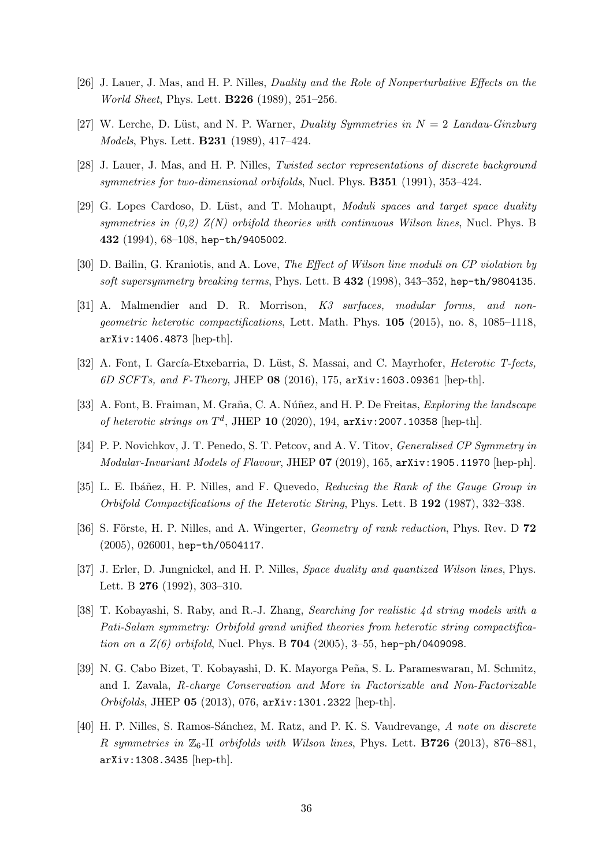- <span id="page-36-0"></span>[26] J. Lauer, J. Mas, and H. P. Nilles, Duality and the Role of Nonperturbative Effects on the World Sheet, Phys. Lett. B226 (1989), 251–256.
- [27] W. Lerche, D. Lüst, and N. P. Warner, Duality Symmetries in  $N = 2$  Landau-Ginzburg Models, Phys. Lett. B231 (1989), 417–424.
- <span id="page-36-1"></span>[28] J. Lauer, J. Mas, and H. P. Nilles, Twisted sector representations of discrete background symmetries for two-dimensional orbifolds, Nucl. Phys.  $B351$  (1991), 353–424.
- <span id="page-36-2"></span>[29] G. Lopes Cardoso, D. Lüst, and T. Mohaupt, *Moduli spaces and target space duality* symmetries in  $(0,2)$   $Z(N)$  orbifold theories with continuous Wilson lines, Nucl. Phys. B 432 (1994), 68–108, hep-th/9405002.
- [30] D. Bailin, G. Kraniotis, and A. Love, The Effect of Wilson line moduli on CP violation by soft supersymmetry breaking terms, Phys. Lett. B  $432$  (1998), 343-352, hep-th/9804135.
- [31] A. Malmendier and D. R. Morrison, K3 surfaces, modular forms, and nongeometric heterotic compactifications, Lett. Math. Phys. 105 (2015), no. 8, 1085–1118, arXiv:1406.4873 [hep-th].
- [32] A. Font, I. García-Etxebarria, D. Lüst, S. Massai, and C. Mayrhofer, *Heterotic T-fects*, 6D SCFTs, and F-Theory, JHEP 08 (2016), 175, arXiv:1603.09361 [hep-th].
- <span id="page-36-3"></span>[33] A. Font, B. Fraiman, M. Graña, C. A. Núñez, and H. P. De Freitas, *Exploring the landscape* of heterotic strings on  $T<sup>d</sup>$ , JHEP 10 (2020), 194,  $arXiv:2007.10358$  [hep-th].
- <span id="page-36-4"></span>[34] P. P. Novichkov, J. T. Penedo, S. T. Petcov, and A. V. Titov, *Generalised CP Symmetry in*  $Modular\text{-}Invariant\ Models\ of\ Flavour, JHEP\ 07\ (2019), 165, arXiv:1905.11970\ [hep-ph].$
- <span id="page-36-5"></span>[35] L. E. Ibáñez, H. P. Nilles, and F. Quevedo, Reducing the Rank of the Gauge Group in Orbifold Compactifications of the Heterotic String, Phys. Lett. B 192 (1987), 332–338.
- <span id="page-36-6"></span>[36] S. Förste, H. P. Nilles, and A. Wingerter, *Geometry of rank reduction*, Phys. Rev. D 72 (2005), 026001, hep-th/0504117.
- <span id="page-36-7"></span>[37] J. Erler, D. Jungnickel, and H. P. Nilles, *Space duality and quantized Wilson lines*, Phys. Lett. B 276 (1992), 303–310.
- <span id="page-36-8"></span>[38] T. Kobayashi, S. Raby, and R.-J. Zhang, Searching for realistic 4d string models with a Pati-Salam symmetry: Orbifold grand unified theories from heterotic string compactification on a  $Z(6)$  orbifold, Nucl. Phys. B 704 (2005), 3-55, hep-ph/0409098.
- [39] N. G. Cabo Bizet, T. Kobayashi, D. K. Mayorga Peña, S. L. Parameswaran, M. Schmitz, and I. Zavala, R-charge Conservation and More in Factorizable and Non-Factorizable Orbifolds, JHEP 05 (2013), 076, arXiv:1301.2322 [hep-th].
- [40] H. P. Nilles, S. Ramos-Sánchez, M. Ratz, and P. K. S. Vaudrevange, A note on discrete R symmetries in  $\mathbb{Z}_6$ -II orbifolds with Wilson lines, Phys. Lett. **B726** (2013), 876–881, arXiv:1308.3435 [hep-th].